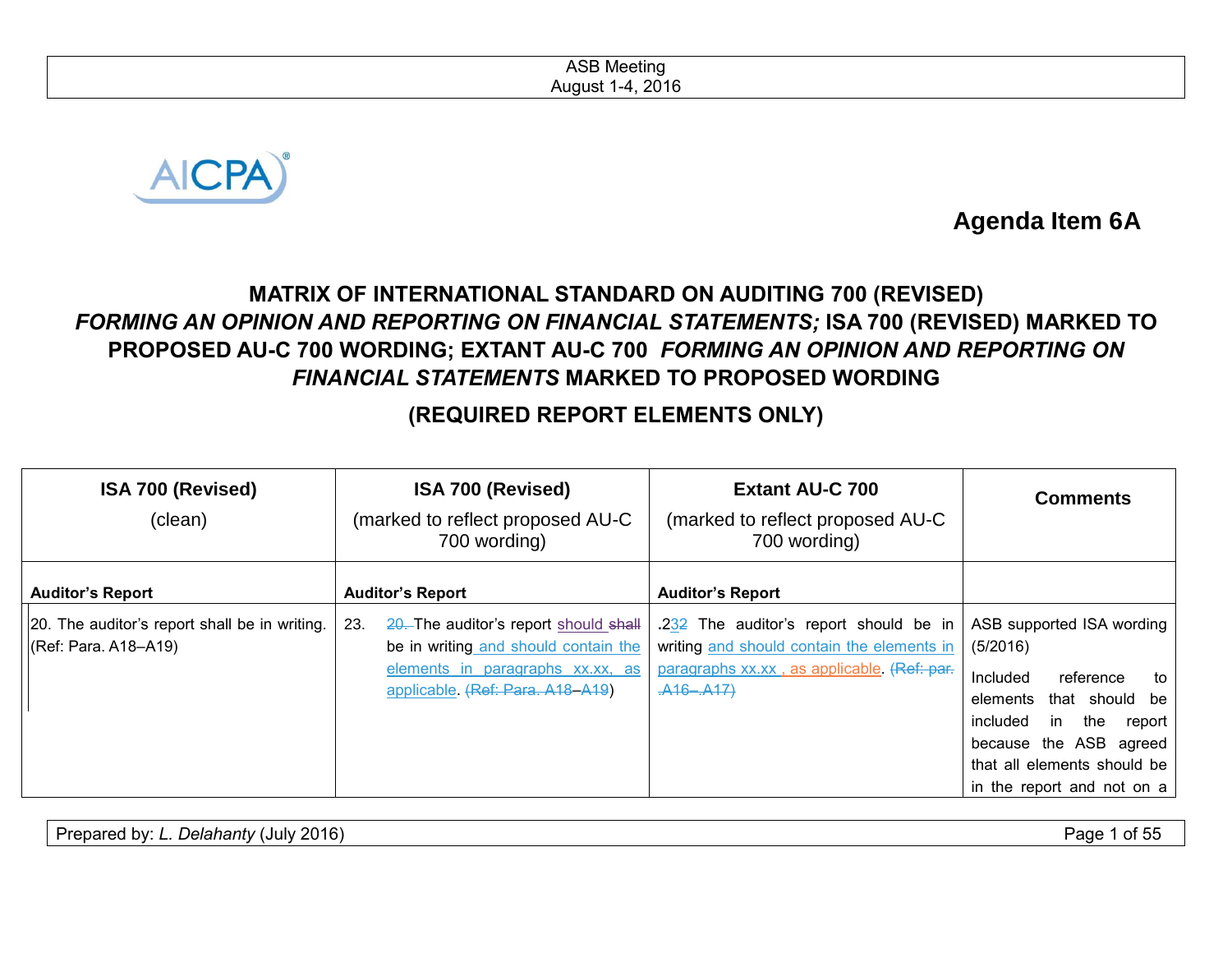

**Agenda Item 6A**

# **MATRIX OF INTERNATIONAL STANDARD ON AUDITING 700 (REVISED)** *FORMING AN OPINION AND REPORTING ON FINANCIAL STATEMENTS;* **ISA 700 (REVISED) MARKED TO PROPOSED AU-C 700 WORDING; EXTANT AU-C 700** *FORMING AN OPINION AND REPORTING ON FINANCIAL STATEMENTS* **MARKED TO PROPOSED WORDING**

**(REQUIRED REPORT ELEMENTS ONLY)**

| ISA 700 (Revised)<br>(clean)                                          | ISA 700 (Revised)<br>(marked to reflect proposed AU-C)<br>700 wording)                                                                                       | <b>Extant AU-C 700</b><br>(marked to reflect proposed AU-C<br>700 wording)                                                                          | <b>Comments</b>                                                                                                                                                                                                             |
|-----------------------------------------------------------------------|--------------------------------------------------------------------------------------------------------------------------------------------------------------|-----------------------------------------------------------------------------------------------------------------------------------------------------|-----------------------------------------------------------------------------------------------------------------------------------------------------------------------------------------------------------------------------|
| <b>Auditor's Report</b>                                               | <b>Auditor's Report</b>                                                                                                                                      | <b>Auditor's Report</b>                                                                                                                             |                                                                                                                                                                                                                             |
| 20. The auditor's report shall be in writing.<br>(Ref: Para. A18–A19) | 23.<br>20. The auditor's report should shall<br>be in writing and should contain the<br>elements in paragraphs xx.xx, as<br>applicable. (Ref: Para. A18-A19) | .232 The auditor's report should be in<br>writing and should contain the elements in<br>paragraphs xx.xx, as applicable. (Ref: par.<br>$.A16 - A17$ | ASB supported ISA wording<br>(5/2016)<br>Included<br>reference<br>to<br>elements that should be<br>included<br>the<br>in l<br>report<br>because the ASB agreed<br>that all elements should be<br>in the report and not on a |

Prepared by: *L. Delahanty* (July 2016) **Prepared by:** *L. Delahanty* (July 2016)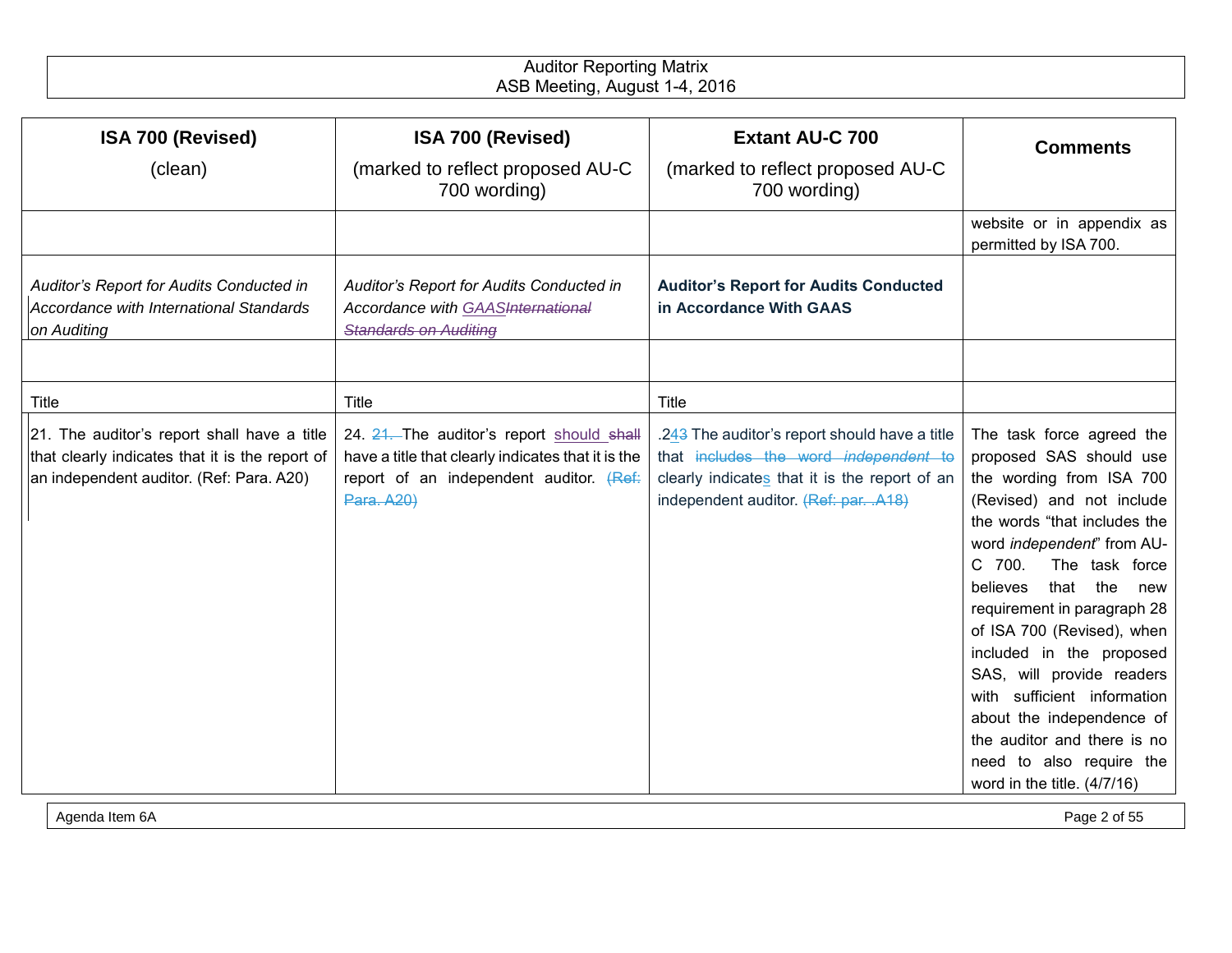| . Reporting<br>Auditor                |
|---------------------------------------|
| ' Matrix                              |
| л.                                    |
| 2016<br>\uaust<br>Meeting<br>ASD<br>ີ |

<span id="page-1-0"></span>

| ISA 700 (Revised)                                                                                                                          | ISA 700 (Revised)                                                                                                                                        | <b>Extant AU-C 700</b>                                                                                                                                                           | <b>Comments</b>                                                                                                                                                                                                                                                                                                                                                                                                                                                                                                       |
|--------------------------------------------------------------------------------------------------------------------------------------------|----------------------------------------------------------------------------------------------------------------------------------------------------------|----------------------------------------------------------------------------------------------------------------------------------------------------------------------------------|-----------------------------------------------------------------------------------------------------------------------------------------------------------------------------------------------------------------------------------------------------------------------------------------------------------------------------------------------------------------------------------------------------------------------------------------------------------------------------------------------------------------------|
| (clean)                                                                                                                                    | (marked to reflect proposed AU-C<br>700 wording)                                                                                                         | (marked to reflect proposed AU-C<br>700 wording)                                                                                                                                 |                                                                                                                                                                                                                                                                                                                                                                                                                                                                                                                       |
|                                                                                                                                            |                                                                                                                                                          |                                                                                                                                                                                  | website or in appendix as<br>permitted by ISA 700.                                                                                                                                                                                                                                                                                                                                                                                                                                                                    |
| Auditor's Report for Audits Conducted in<br>Accordance with International Standards<br>on Auditing                                         | Auditor's Report for Audits Conducted in<br>Accordance with GAASInternational<br><b>Standards on Auditing</b>                                            | <b>Auditor's Report for Audits Conducted</b><br>in Accordance With GAAS                                                                                                          |                                                                                                                                                                                                                                                                                                                                                                                                                                                                                                                       |
|                                                                                                                                            |                                                                                                                                                          |                                                                                                                                                                                  |                                                                                                                                                                                                                                                                                                                                                                                                                                                                                                                       |
| <b>Title</b>                                                                                                                               | Title                                                                                                                                                    | <b>Title</b>                                                                                                                                                                     |                                                                                                                                                                                                                                                                                                                                                                                                                                                                                                                       |
| 21. The auditor's report shall have a title<br>that clearly indicates that it is the report of<br>an independent auditor. (Ref: Para. A20) | 24. 21. The auditor's report should shall<br>have a title that clearly indicates that it is the<br>report of an independent auditor. (Ref:<br>Para. A20) | .243 The auditor's report should have a title<br>that includes the word independent to<br>clearly indicates that it is the report of an<br>independent auditor. (Ref: par. .A18) | The task force agreed the<br>proposed SAS should use<br>the wording from ISA 700<br>(Revised) and not include<br>the words "that includes the<br>word independent" from AU-<br>C 700.<br>The task force<br>that the<br>believes<br>new<br>requirement in paragraph 28<br>of ISA 700 (Revised), when<br>included in the proposed<br>SAS, will provide readers<br>sufficient information<br>with<br>about the independence of<br>the auditor and there is no<br>need to also require the<br>word in the title. (4/7/16) |
| Agenda Item 6A                                                                                                                             |                                                                                                                                                          |                                                                                                                                                                                  | Page 2 of 55                                                                                                                                                                                                                                                                                                                                                                                                                                                                                                          |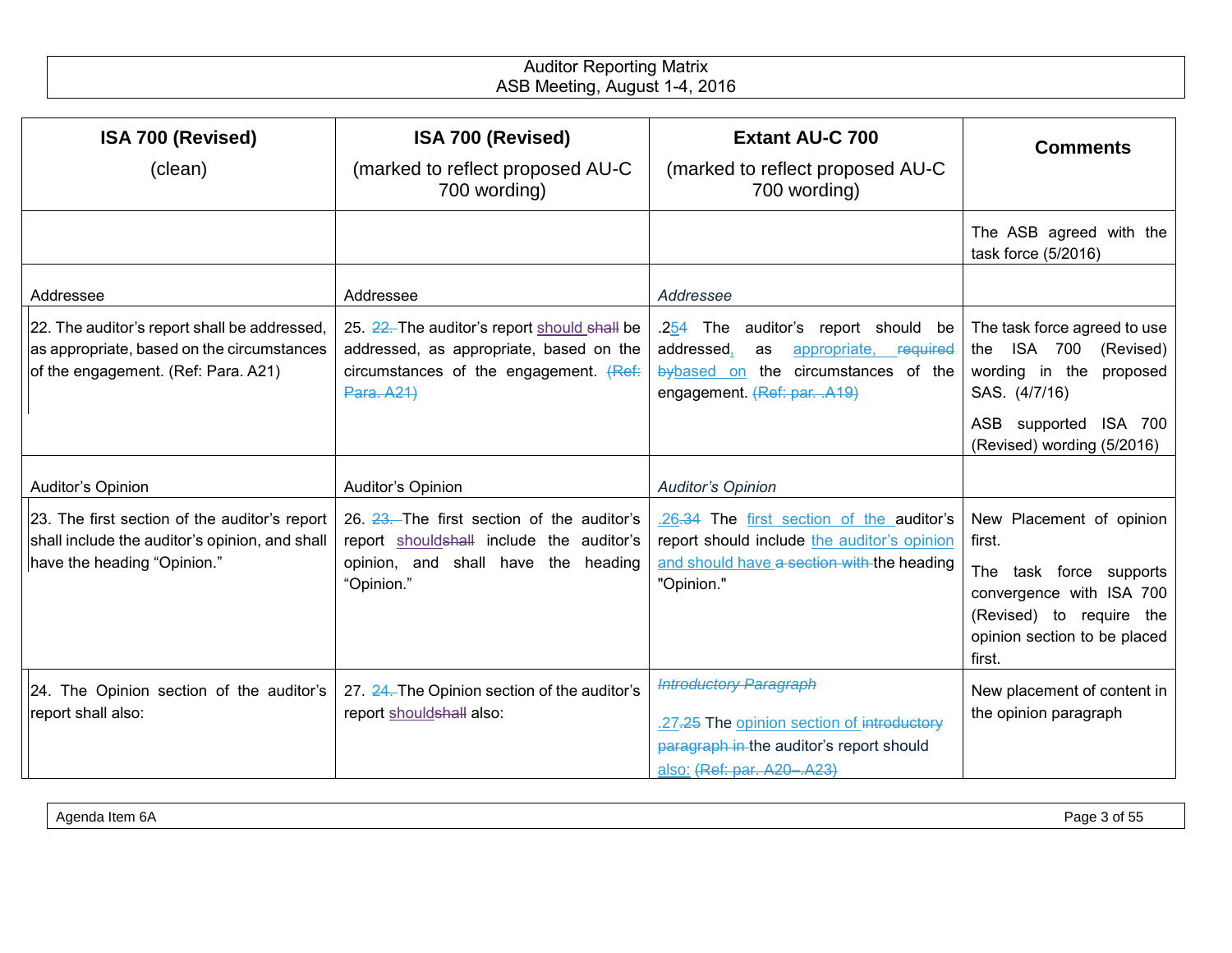|     | .<br>Matrix<br>Auditor<br><b>Reporting</b> |
|-----|--------------------------------------------|
|     |                                            |
| ASB | 2016<br>Meetin<br>uausi                    |
|     |                                            |

| ISA 700 (Revised)                                                                                                                  | ISA 700 (Revised)                                                                                                                               | <b>Extant AU-C 700</b>                                                                                                                                        | <b>Comments</b>                                                                                                                                                                 |
|------------------------------------------------------------------------------------------------------------------------------------|-------------------------------------------------------------------------------------------------------------------------------------------------|---------------------------------------------------------------------------------------------------------------------------------------------------------------|---------------------------------------------------------------------------------------------------------------------------------------------------------------------------------|
| (clean)                                                                                                                            | (marked to reflect proposed AU-C<br>700 wording)                                                                                                | (marked to reflect proposed AU-C<br>700 wording)                                                                                                              |                                                                                                                                                                                 |
|                                                                                                                                    |                                                                                                                                                 |                                                                                                                                                               | The ASB agreed with the<br>task force (5/2016)                                                                                                                                  |
| Addressee                                                                                                                          | Addressee                                                                                                                                       | Addressee                                                                                                                                                     |                                                                                                                                                                                 |
| [22. The auditor's report shall be addressed,<br>as appropriate, based on the circumstances<br>of the engagement. (Ref: Para. A21) | 25. 22. The auditor's report should shall be<br>addressed, as appropriate, based on the<br>circumstances of the engagement. (Ref:<br>Para. A21) | .254 The<br>auditor's report should<br>be<br>addressed,<br>appropriate, required<br>as<br>bybased on the circumstances of the<br>engagement. (Ref: par. .A19) | The task force agreed to use<br><b>ISA 700</b><br>(Revised)<br>the<br>wording in the proposed<br>SAS. (4/7/16)<br>ASB supported<br><b>ISA 700</b><br>(Revised) wording (5/2016) |
| Auditor's Opinion                                                                                                                  | Auditor's Opinion                                                                                                                               | <b>Auditor's Opinion</b>                                                                                                                                      |                                                                                                                                                                                 |
| [23. The first section of the auditor's report<br>shall include the auditor's opinion, and shall<br>have the heading "Opinion."    | 26. 23. The first section of the auditor's<br>report shouldshall include the auditor's<br>opinion, and shall have the heading<br>"Opinion."     | .26.34 The first section of the auditor's<br>report should include the auditor's opinion<br>and should have a section with the heading<br>"Opinion."          | New Placement of opinion<br>first.<br>The task force supports<br>convergence with ISA 700<br>(Revised) to require the<br>opinion section to be placed<br>first.                 |
| 24. The Opinion section of the auditor's<br>report shall also:                                                                     | 27. 24. The Opinion section of the auditor's<br>report shouldshall also:                                                                        | <b>Introductory Paragraph</b><br>.27.25 The opinion section of introductory<br>paragraph in the auditor's report should<br>also: (Ref: par. A20-.A23)         | New placement of content in<br>the opinion paragraph                                                                                                                            |

Agenda Item 6A Page 3 of 55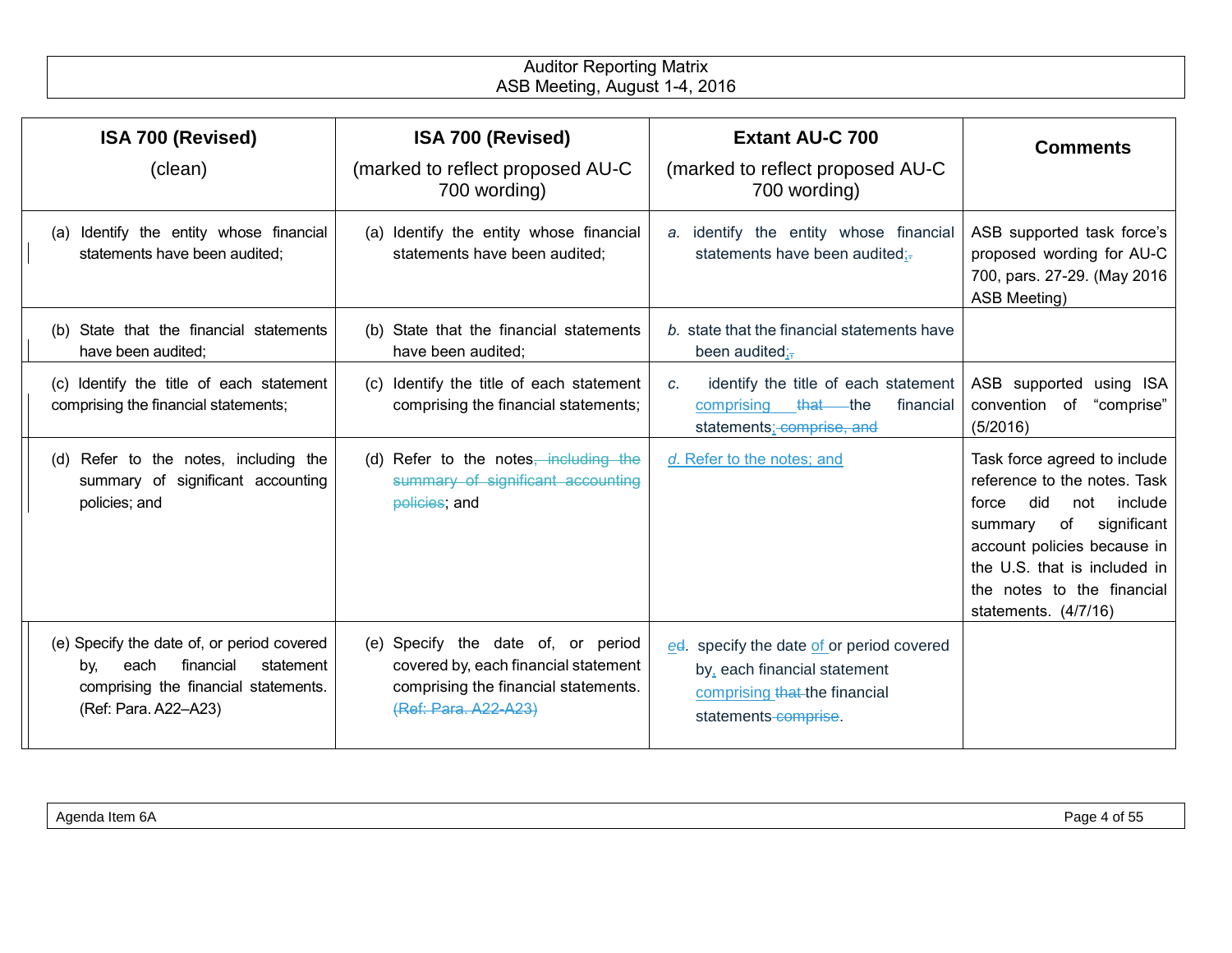| ISA 700 (Revised)<br>(clean)                                                                                                                        | ISA 700 (Revised)<br>(marked to reflect proposed AU-C<br>700 wording)                                                                      | <b>Extant AU-C 700</b><br>(marked to reflect proposed AU-C<br>700 wording)                                                         | <b>Comments</b>                                                                                                                                                                                                                                     |
|-----------------------------------------------------------------------------------------------------------------------------------------------------|--------------------------------------------------------------------------------------------------------------------------------------------|------------------------------------------------------------------------------------------------------------------------------------|-----------------------------------------------------------------------------------------------------------------------------------------------------------------------------------------------------------------------------------------------------|
| Identify the entity whose financial<br>(a)<br>statements have been audited;                                                                         | (a) Identify the entity whose financial<br>statements have been audited;                                                                   | identify the entity whose financial<br>a.<br>statements have been audited;-                                                        | ASB supported task force's<br>proposed wording for AU-C<br>700, pars. 27-29. (May 2016<br>ASB Meeting)                                                                                                                                              |
| State that the financial statements<br>(b)<br>have been audited;                                                                                    | (b) State that the financial statements<br>have been audited;                                                                              | b. state that the financial statements have<br>been audited;                                                                       |                                                                                                                                                                                                                                                     |
| (c) Identify the title of each statement<br>comprising the financial statements;                                                                    | (c) Identify the title of each statement<br>comprising the financial statements;                                                           | identify the title of each statement<br>C <sub>1</sub><br>financial<br>comprising<br>that<br>-the<br>statements; comprise, and     | ASB supported using ISA<br>convention<br>of<br>"comprise"<br>(5/2016)                                                                                                                                                                               |
| Refer to the notes, including the<br>(d)<br>summary of significant accounting<br>policies; and                                                      | (d) Refer to the notes, including the<br>summary of significant accounting<br>policies; and                                                | d. Refer to the notes; and                                                                                                         | Task force agreed to include<br>reference to the notes. Task<br>did<br>not<br>include<br>force<br>significant<br>of<br>summary<br>account policies because in<br>the U.S. that is included in<br>the notes to the financial<br>statements. (4/7/16) |
| (e) Specify the date of, or period covered<br>financial<br>statement<br>each<br>by.<br>comprising the financial statements.<br>(Ref: Para. A22-A23) | (e) Specify the date of, or period<br>covered by, each financial statement<br>comprising the financial statements.<br>(Ref: Para, A22-A23) | ed. specify the date of or period covered<br>by, each financial statement<br>comprising that the financial<br>statements-comprise. |                                                                                                                                                                                                                                                     |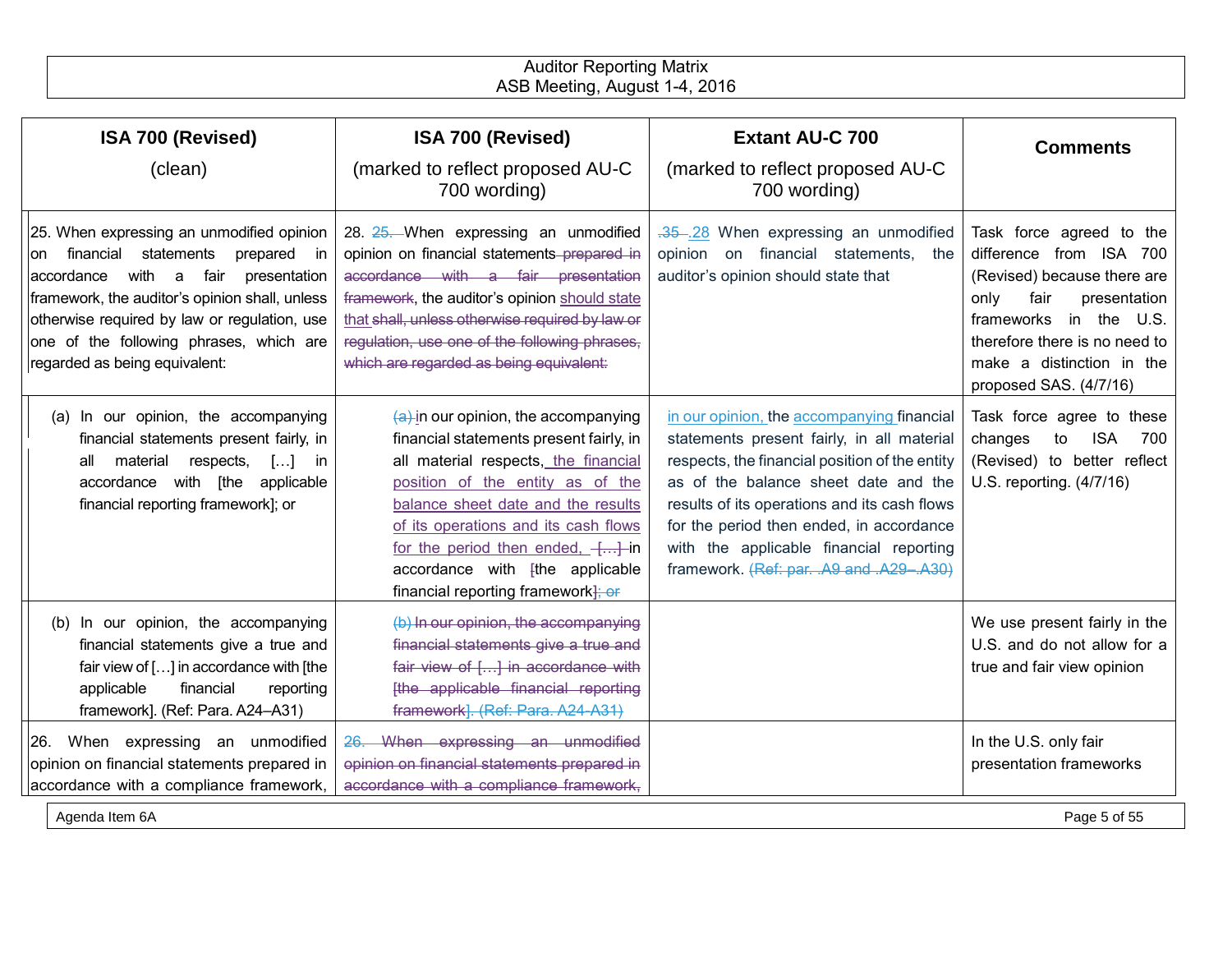| ISA 700 (Revised)<br>(clean)                                                                                                                                                                                                                                                                                          | ISA 700 (Revised)<br>(marked to reflect proposed AU-C<br>700 wording)                                                                                                                                                                                                                                                                                      | <b>Extant AU-C 700</b><br>(marked to reflect proposed AU-C<br>700 wording)                                                                                                                                                                                                                                                                                            | <b>Comments</b>                                                                                                                                                                                                                      |
|-----------------------------------------------------------------------------------------------------------------------------------------------------------------------------------------------------------------------------------------------------------------------------------------------------------------------|------------------------------------------------------------------------------------------------------------------------------------------------------------------------------------------------------------------------------------------------------------------------------------------------------------------------------------------------------------|-----------------------------------------------------------------------------------------------------------------------------------------------------------------------------------------------------------------------------------------------------------------------------------------------------------------------------------------------------------------------|--------------------------------------------------------------------------------------------------------------------------------------------------------------------------------------------------------------------------------------|
| 25. When expressing an unmodified opinion<br>financial<br>statements<br>prepared in<br>lon<br>with a fair<br>accordance<br>presentation<br>framework, the auditor's opinion shall, unless<br>otherwise required by law or regulation, use<br>one of the following phrases, which are<br>regarded as being equivalent: | 28. 25. When expressing an unmodified<br>opinion on financial statements-prepared in<br>accordance with a fair presentation<br>framework, the auditor's opinion should state<br>that shall, unless otherwise required by law or<br>regulation, use one of the following phrases,<br>which are regarded as being equivalent:                                | .35 .28 When expressing an unmodified<br>opinion on financial statements, the<br>auditor's opinion should state that                                                                                                                                                                                                                                                  | Task force agreed to the<br>difference from ISA 700<br>(Revised) because there are<br>fair<br>presentation<br>only<br>frameworks in the U.S.<br>therefore there is no need to<br>make a distinction in the<br>proposed SAS. (4/7/16) |
| In our opinion, the accompanying<br>(a)<br>financial statements present fairly, in<br>material<br>respects,<br>all<br>$\Box$<br>- in<br>accordance with [the applicable<br>financial reporting framework]; or                                                                                                         | $(a)$ -in our opinion, the accompanying<br>financial statements present fairly, in<br>all material respects, the financial<br>position of the entity as of the<br>balance sheet date and the results<br>of its operations and its cash flows<br>for the period then ended, -[]-in<br>accordance with [the applicable<br>financial reporting framework]; or | in our opinion, the accompanying financial<br>statements present fairly, in all material<br>respects, the financial position of the entity<br>as of the balance sheet date and the<br>results of its operations and its cash flows<br>for the period then ended, in accordance<br>with the applicable financial reporting<br>framework. (Ref: par. .A9 and .A29-.A30) | Task force agree to these<br><b>ISA</b><br>700<br>changes<br>to<br>(Revised) to better reflect<br>U.S. reporting. (4/7/16)                                                                                                           |
| (b) In our opinion, the accompanying<br>financial statements give a true and<br>fair view of [] in accordance with [the<br>applicable<br>financial<br>reporting<br>framework]. (Ref: Para. A24-A31)                                                                                                                   | (b) In our opinion, the accompanying<br>financial statements give a true and<br>fair view of [] in accordance with<br>[the applicable financial reporting<br>framework]. (Ref: Para. A24 A31)                                                                                                                                                              |                                                                                                                                                                                                                                                                                                                                                                       | We use present fairly in the<br>U.S. and do not allow for a<br>true and fair view opinion                                                                                                                                            |
| 26. When expressing an unmodified<br>opinion on financial statements prepared in<br>accordance with a compliance framework,<br>Agenda Item 6A                                                                                                                                                                         | 26. When expressing an unmodified<br>opinion on financial statements prepared in<br>accordance with a compliance framework,                                                                                                                                                                                                                                |                                                                                                                                                                                                                                                                                                                                                                       | In the U.S. only fair<br>presentation frameworks<br>Page 5 of 55                                                                                                                                                                     |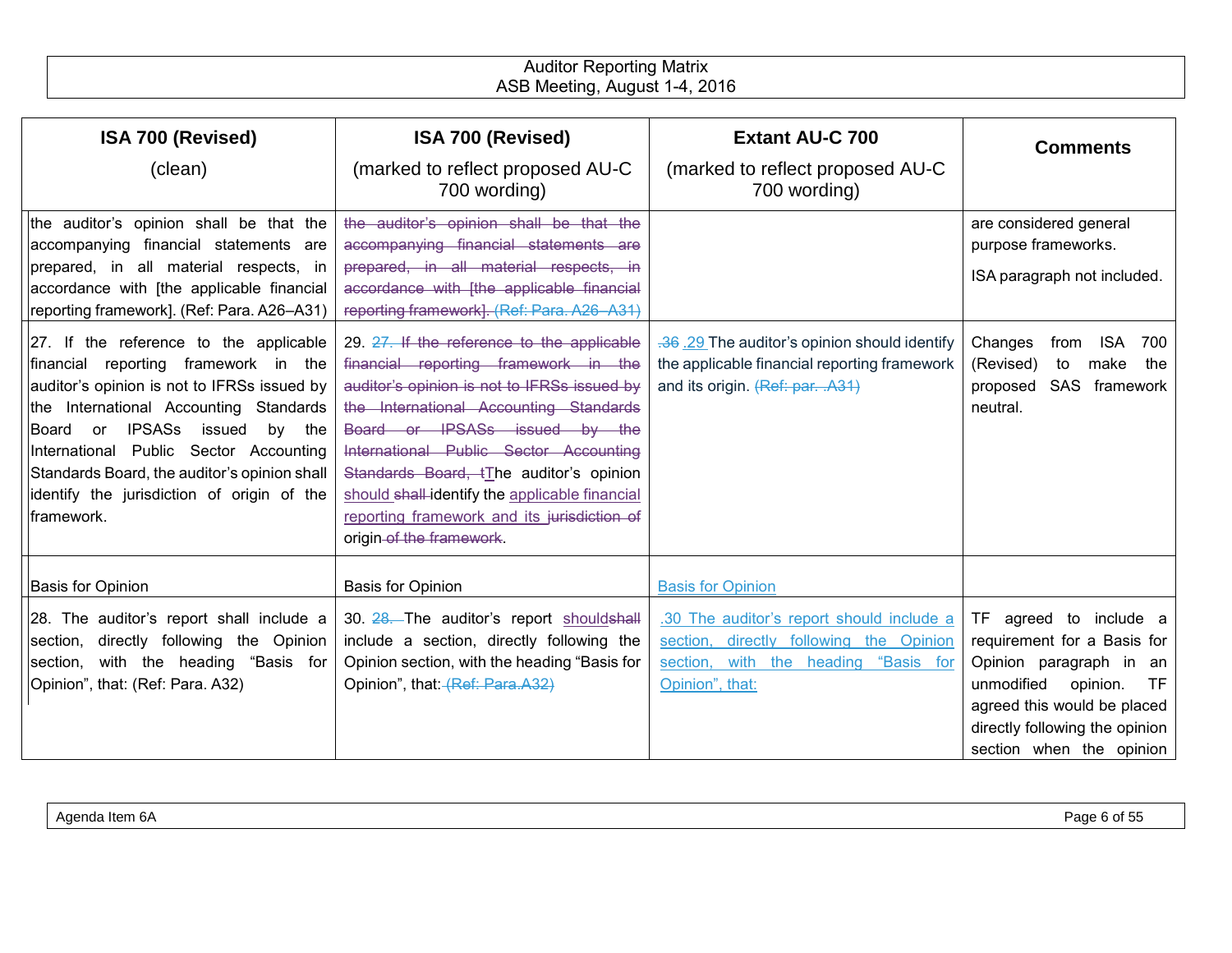| ISA 700 (Revised)<br>(clean)                                                                                                                                                                                                                                                                                                                                                                              | ISA 700 (Revised)<br>(marked to reflect proposed AU-C<br>700 wording)                                                                                                                                                                                                                                                                                                                                                          | <b>Extant AU-C 700</b><br>(marked to reflect proposed AU-C<br>700 wording)                                                                                  | <b>Comments</b>                                                                                                                                                                                                         |
|-----------------------------------------------------------------------------------------------------------------------------------------------------------------------------------------------------------------------------------------------------------------------------------------------------------------------------------------------------------------------------------------------------------|--------------------------------------------------------------------------------------------------------------------------------------------------------------------------------------------------------------------------------------------------------------------------------------------------------------------------------------------------------------------------------------------------------------------------------|-------------------------------------------------------------------------------------------------------------------------------------------------------------|-------------------------------------------------------------------------------------------------------------------------------------------------------------------------------------------------------------------------|
| the auditor's opinion shall be that the<br>accompanying financial statements are<br>prepared, in all material respects, in<br>accordance with [the applicable financial<br>reporting framework]. (Ref: Para. A26-A31)                                                                                                                                                                                     | the auditor's opinion shall be that the<br>accompanying financial statements are<br>prepared, in all material respects, in<br>accordance with [the applicable financial<br>reporting framework]. (Ref: Para. A26-A31)                                                                                                                                                                                                          |                                                                                                                                                             | are considered general<br>purpose frameworks.<br>ISA paragraph not included.                                                                                                                                            |
| 27. If the reference to the applicable<br>financial reporting framework in the<br>auditor's opinion is not to IFRSs issued by<br>the International Accounting Standards<br><b>IPSASs</b><br>by<br>the<br><b>Board</b><br><sub>or</sub><br>issued<br>Public Sector Accounting<br>International<br>Standards Board, the auditor's opinion shall<br>identify the jurisdiction of origin of the<br>framework. | 29. 27. If the reference to the applicable<br>financial reporting framework in the<br>auditor's opinion is not to IFRSs issued by<br>the International Accounting Standards<br>Board or IPSASs issued by the<br>International Public Sector Accounting<br>Standards Board, tThe auditor's opinion<br>should shall-identify the applicable financial<br>reporting framework and its jurisdiction of<br>origin-of-the-framework. | .36 .29 The auditor's opinion should identify<br>the applicable financial reporting framework<br>and its origin. (Ref: par. .A31)                           | Changes<br><b>ISA</b><br>700<br>from<br>(Revised)<br>the<br>to<br>make<br><b>SAS</b><br>proposed<br>framework<br>neutral.                                                                                               |
| <b>Basis for Opinion</b>                                                                                                                                                                                                                                                                                                                                                                                  | Basis for Opinion                                                                                                                                                                                                                                                                                                                                                                                                              | <b>Basis for Opinion</b>                                                                                                                                    |                                                                                                                                                                                                                         |
| 28. The auditor's report shall include a<br>directly following the Opinion<br>section,<br>section, with the heading "Basis for<br>Opinion", that: (Ref: Para. A32)                                                                                                                                                                                                                                        | 30. 28. The auditor's report shouldshall<br>include a section, directly following the<br>Opinion section, with the heading "Basis for<br>Opinion", that: (Ref: Para.A32)                                                                                                                                                                                                                                                       | .30 The auditor's report should include a<br>the Opinion<br>directly<br>following<br>section,<br>section, with the heading<br>"Basis for<br>Opinion", that: | agreed to include a<br>TF<br>requirement for a Basis for<br>Opinion paragraph in an<br>unmodified<br><b>TF</b><br>opinion.<br>agreed this would be placed<br>directly following the opinion<br>section when the opinion |

Agenda Item 6A Page 6 of 55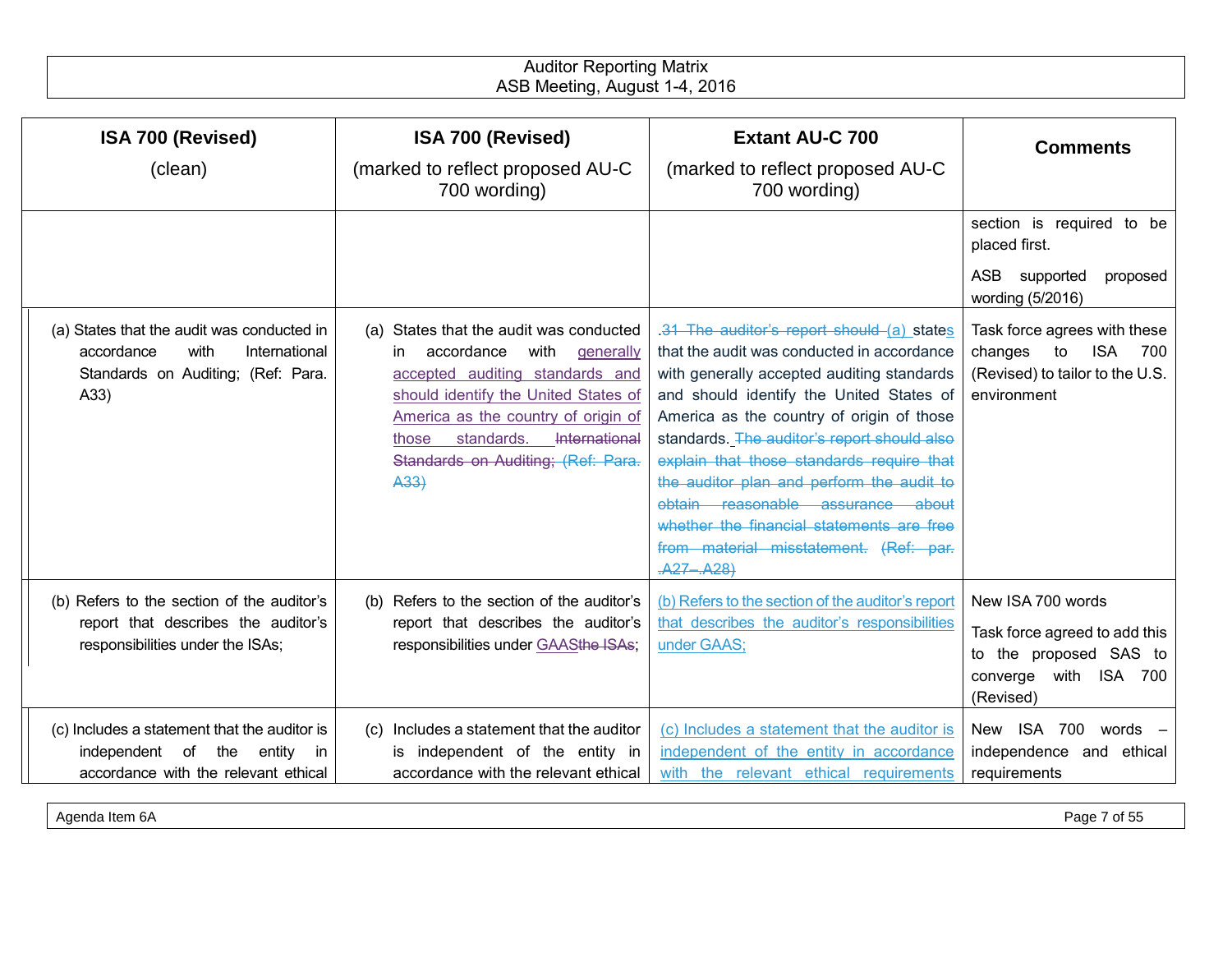| .<br>* Reporting Matrix<br><b>Audito</b>              |
|-------------------------------------------------------|
|                                                       |
| 2016<br>$\sim$<br>August<br>⊀ Meeting,<br>ำ –⊿<br>AOL |
| $\cdot$ $\cdot$                                       |

| ISA 700 (Revised)<br>(clean)                                                                                                    | ISA 700 (Revised)<br>(marked to reflect proposed AU-C)                                                                                                                                                                                                                                   | <b>Extant AU-C 700</b><br>(marked to reflect proposed AU-C                                                                                                                                                                                                                                                                                                                                                                                                                                                                      | <b>Comments</b>                                                                                                       |
|---------------------------------------------------------------------------------------------------------------------------------|------------------------------------------------------------------------------------------------------------------------------------------------------------------------------------------------------------------------------------------------------------------------------------------|---------------------------------------------------------------------------------------------------------------------------------------------------------------------------------------------------------------------------------------------------------------------------------------------------------------------------------------------------------------------------------------------------------------------------------------------------------------------------------------------------------------------------------|-----------------------------------------------------------------------------------------------------------------------|
|                                                                                                                                 | 700 wording)                                                                                                                                                                                                                                                                             | 700 wording)                                                                                                                                                                                                                                                                                                                                                                                                                                                                                                                    |                                                                                                                       |
|                                                                                                                                 |                                                                                                                                                                                                                                                                                          |                                                                                                                                                                                                                                                                                                                                                                                                                                                                                                                                 | section is required to be<br>placed first.                                                                            |
|                                                                                                                                 |                                                                                                                                                                                                                                                                                          |                                                                                                                                                                                                                                                                                                                                                                                                                                                                                                                                 | ASB<br>supported<br>proposed<br>wording (5/2016)                                                                      |
| (a) States that the audit was conducted in<br>with<br>accordance<br>International<br>Standards on Auditing; (Ref: Para.<br>A33) | (a) States that the audit was conducted<br>accordance<br>with<br>generally<br>in.<br>accepted auditing standards and<br>should identify the United States of<br>America as the country of origin of<br>standards.<br>International<br>those<br>Standards on Auditing; (Ref: Para.<br>A33 | .31 The auditor's report should (a) states<br>that the audit was conducted in accordance<br>with generally accepted auditing standards<br>and should identify the United States of<br>America as the country of origin of those<br>standards. The auditor's report should also<br>explain that those standards require that<br>the auditor plan and perform the audit to<br>obtain reasonable assurance<br><u>-ahout</u><br>whether the financial statements are free<br>from material misstatement. (Ref: par.<br>$.A27 - A28$ | Task force agrees with these<br><b>ISA</b><br>changes<br>to<br>700<br>(Revised) to tailor to the U.S.<br>environment  |
| (b) Refers to the section of the auditor's<br>report that describes the auditor's<br>responsibilities under the ISAs;           | (b) Refers to the section of the auditor's<br>report that describes the auditor's<br>responsibilities under GAASthe ISAs;                                                                                                                                                                | (b) Refers to the section of the auditor's report<br>that describes the auditor's responsibilities<br>under GAAS;                                                                                                                                                                                                                                                                                                                                                                                                               | New ISA 700 words<br>Task force agreed to add this<br>to the proposed SAS to<br>with ISA 700<br>converge<br>(Revised) |
| (c) Includes a statement that the auditor is<br>independent of the<br>entity<br>-in<br>accordance with the relevant ethical     | (c) Includes a statement that the auditor<br>is independent of the entity in<br>accordance with the relevant ethical                                                                                                                                                                     | (c) Includes a statement that the auditor is<br>independent of the entity in accordance<br>with the relevant ethical requirements                                                                                                                                                                                                                                                                                                                                                                                               | New ISA<br>700<br>words –<br>independence and ethical<br>requirements                                                 |

Agenda Item 6A Page 7 of 55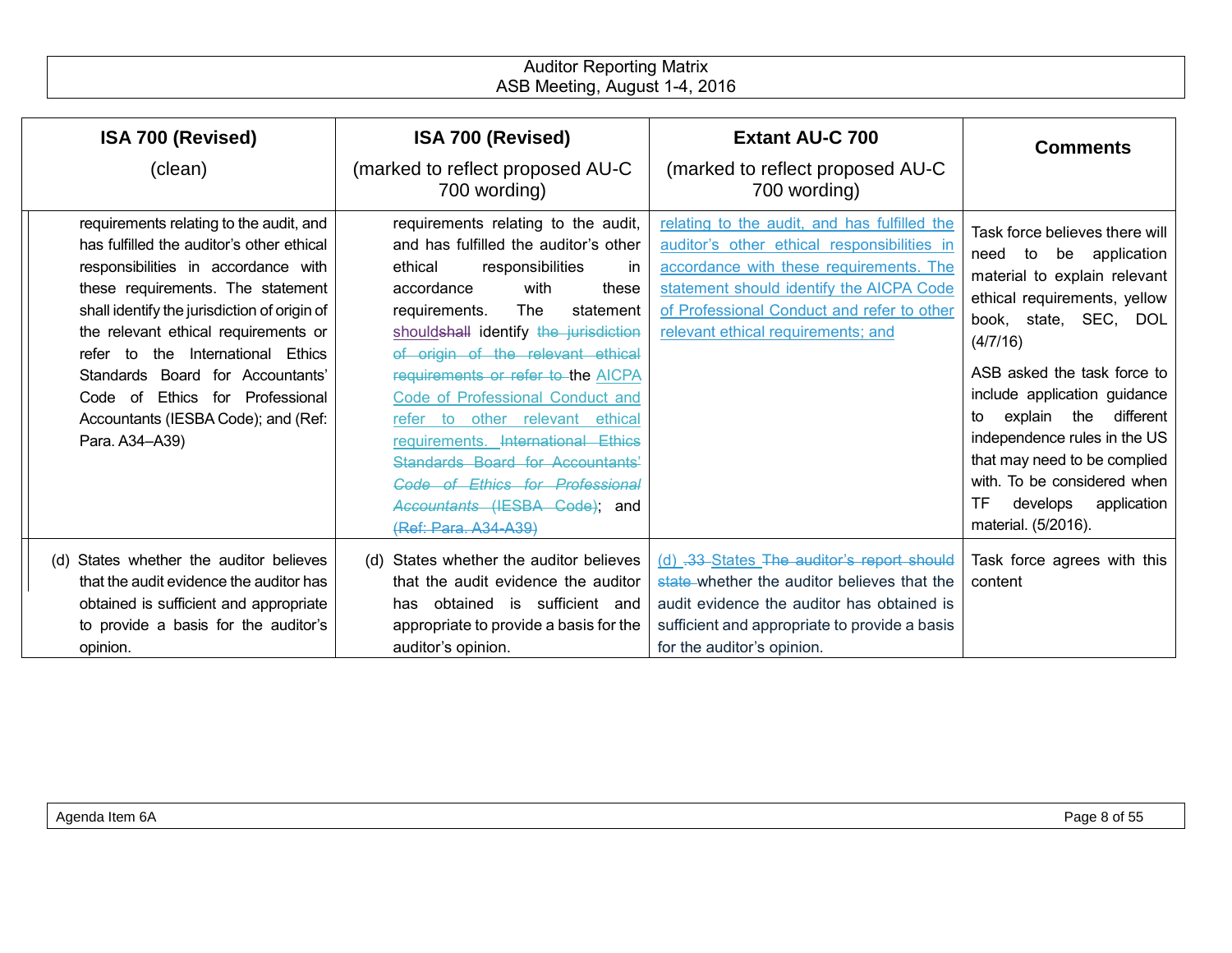| ISA 700 (Revised)<br>(clean)                                                                                                                                                                                                                                                                                                                                                                                                        | <b>ISA 700 (Revised)</b><br>(marked to reflect proposed AU-C)<br>700 wording)                                                                                                                                                                                                                                                                                                                                                                                                                                                                                   | <b>Extant AU-C 700</b><br>(marked to reflect proposed AU-C)<br>700 wording)                                                                                                                                                                                            | <b>Comments</b>                                                                                                                                                                                                                                                                                                                                                                                                       |
|-------------------------------------------------------------------------------------------------------------------------------------------------------------------------------------------------------------------------------------------------------------------------------------------------------------------------------------------------------------------------------------------------------------------------------------|-----------------------------------------------------------------------------------------------------------------------------------------------------------------------------------------------------------------------------------------------------------------------------------------------------------------------------------------------------------------------------------------------------------------------------------------------------------------------------------------------------------------------------------------------------------------|------------------------------------------------------------------------------------------------------------------------------------------------------------------------------------------------------------------------------------------------------------------------|-----------------------------------------------------------------------------------------------------------------------------------------------------------------------------------------------------------------------------------------------------------------------------------------------------------------------------------------------------------------------------------------------------------------------|
| requirements relating to the audit, and<br>has fulfilled the auditor's other ethical<br>responsibilities in accordance with<br>these requirements. The statement<br>shall identify the jurisdiction of origin of<br>the relevant ethical requirements or<br>the International Ethics<br>refer to<br>Standards Board for Accountants'<br>Ethics for Professional<br>Code of<br>Accountants (IESBA Code); and (Ref:<br>Para. A34-A39) | requirements relating to the audit,<br>and has fulfilled the auditor's other<br>ethical<br>responsibilities<br>in<br>with<br>these<br>accordance<br>The<br>statement<br>requirements.<br>shouldshall identify the jurisdiction<br>of origin of the relevant ethical<br>requirements or refer to the AICPA<br>Code of Professional Conduct and<br>other relevant<br>ethical<br>refer<br>to<br>requirements. International Ethics<br>Standards Board for Accountants'<br>Code of Ethics for Professional<br>Accountants (IESBA Code); and<br>(Ref: Para, A34-A39) | relating to the audit, and has fulfilled the<br>auditor's other ethical responsibilities in<br>accordance with these requirements. The<br>statement should identify the AICPA Code<br>of Professional Conduct and refer to other<br>relevant ethical requirements; and | Task force believes there will<br>be application<br>need to<br>material to explain relevant<br>ethical requirements, yellow<br>book, state, SEC, DOL<br>(4/7/16)<br>ASB asked the task force to<br>include application guidance<br>explain the different<br>to<br>independence rules in the US<br>that may need to be complied<br>with. To be considered when<br>TF<br>develops<br>application<br>material. (5/2016). |
| (d) States whether the auditor believes<br>that the audit evidence the auditor has<br>obtained is sufficient and appropriate<br>to provide a basis for the auditor's<br>opinion.                                                                                                                                                                                                                                                    | States whether the auditor believes<br>(d)<br>that the audit evidence the auditor<br>obtained is sufficient and<br>has<br>appropriate to provide a basis for the<br>auditor's opinion.                                                                                                                                                                                                                                                                                                                                                                          | (d) .33 States The auditor's report should<br>state whether the auditor believes that the<br>audit evidence the auditor has obtained is<br>sufficient and appropriate to provide a basis<br>for the auditor's opinion.                                                 | Task force agrees with this<br>content                                                                                                                                                                                                                                                                                                                                                                                |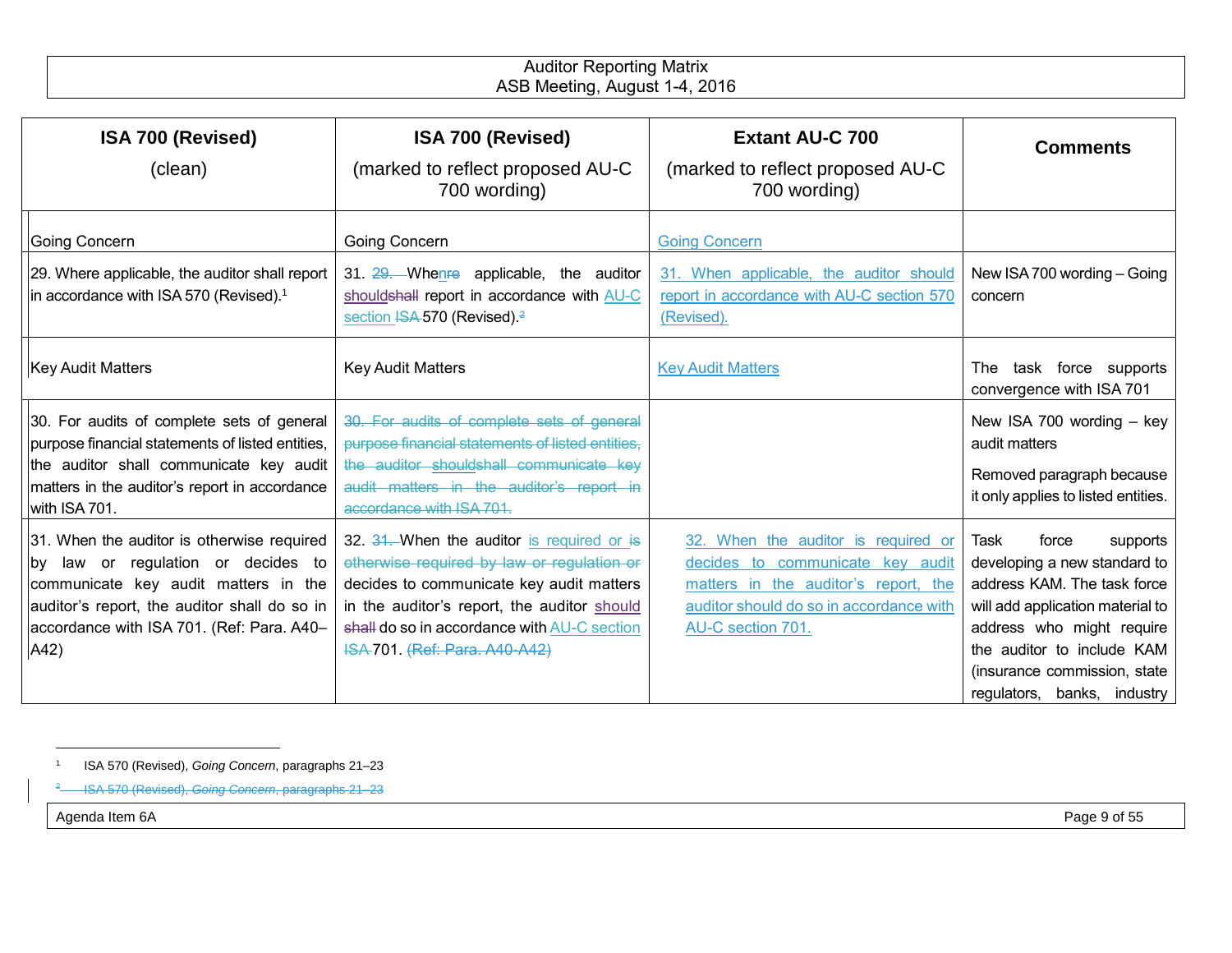| ISA 700 (Revised)<br>(clean)                                                                                                                                                                                                  | ISA 700 (Revised)<br>(marked to reflect proposed AU-C<br>700 wording)                                                                                                                                                                                               | <b>Extant AU-C 700</b><br>(marked to reflect proposed AU-C)<br>700 wording)                                                                                                     | <b>Comments</b>                                                                                                                                                                                                                                        |
|-------------------------------------------------------------------------------------------------------------------------------------------------------------------------------------------------------------------------------|---------------------------------------------------------------------------------------------------------------------------------------------------------------------------------------------------------------------------------------------------------------------|---------------------------------------------------------------------------------------------------------------------------------------------------------------------------------|--------------------------------------------------------------------------------------------------------------------------------------------------------------------------------------------------------------------------------------------------------|
| Going Concern                                                                                                                                                                                                                 | Going Concern                                                                                                                                                                                                                                                       | <b>Going Concern</b>                                                                                                                                                            |                                                                                                                                                                                                                                                        |
| 29. Where applicable, the auditor shall report<br>in accordance with ISA 570 (Revised). <sup>1</sup>                                                                                                                          | 31. 29. Whenre applicable, the auditor<br>shouldshall report in accordance with AU-C<br>section ISA-570 (Revised). <sup>2</sup>                                                                                                                                     | 31. When applicable, the auditor should<br>report in accordance with AU-C section 570<br>(Revised).                                                                             | New ISA 700 wording - Going<br>concern                                                                                                                                                                                                                 |
| <b>Key Audit Matters</b>                                                                                                                                                                                                      | <b>Key Audit Matters</b>                                                                                                                                                                                                                                            | <b>Key Audit Matters</b>                                                                                                                                                        | task force supports<br>The<br>convergence with ISA 701                                                                                                                                                                                                 |
| 30. For audits of complete sets of general<br>purpose financial statements of listed entities,<br>the auditor shall communicate key audit<br>matters in the auditor's report in accordance<br>with ISA 701.                   | 30. For audits of complete sets of general<br>purpose financial statements of listed entities,<br>the auditor shouldshall communicate key<br>audit matters in the auditor's report in<br>accordance with ISA 701                                                    |                                                                                                                                                                                 | New ISA 700 wording - key<br>audit matters<br>Removed paragraph because<br>it only applies to listed entities.                                                                                                                                         |
| 31. When the auditor is otherwise required<br>by law or regulation or decides to<br>communicate key audit matters in the<br>auditor's report, the auditor shall do so in<br>accordance with ISA 701. (Ref: Para. A40-<br>A42) | 32. 31. When the auditor is required or is<br>otherwise required by law or regulation or<br>decides to communicate key audit matters<br>in the auditor's report, the auditor should<br>shall do so in accordance with AU-C section<br>ISA-701. (Ref: Para. A40-A42) | 32. When the auditor is required or<br>decides to communicate key audit<br>matters in the auditor's report, the<br>auditor should do so in accordance with<br>AU-C section 701. | supports<br>Task<br>force<br>developing a new standard to<br>address KAM. The task force<br>will add application material to<br>address who might require<br>the auditor to include KAM<br>(insurance commission, state<br>regulators, banks, industry |

Agenda Item 6A Page 9 of 55

<sup>1</sup> ISA 570 (Revised), *Going Concern*, paragraphs 21–23

<sup>2</sup> ISA 570 (Revised), *Going Concern*, paragraphs 21–23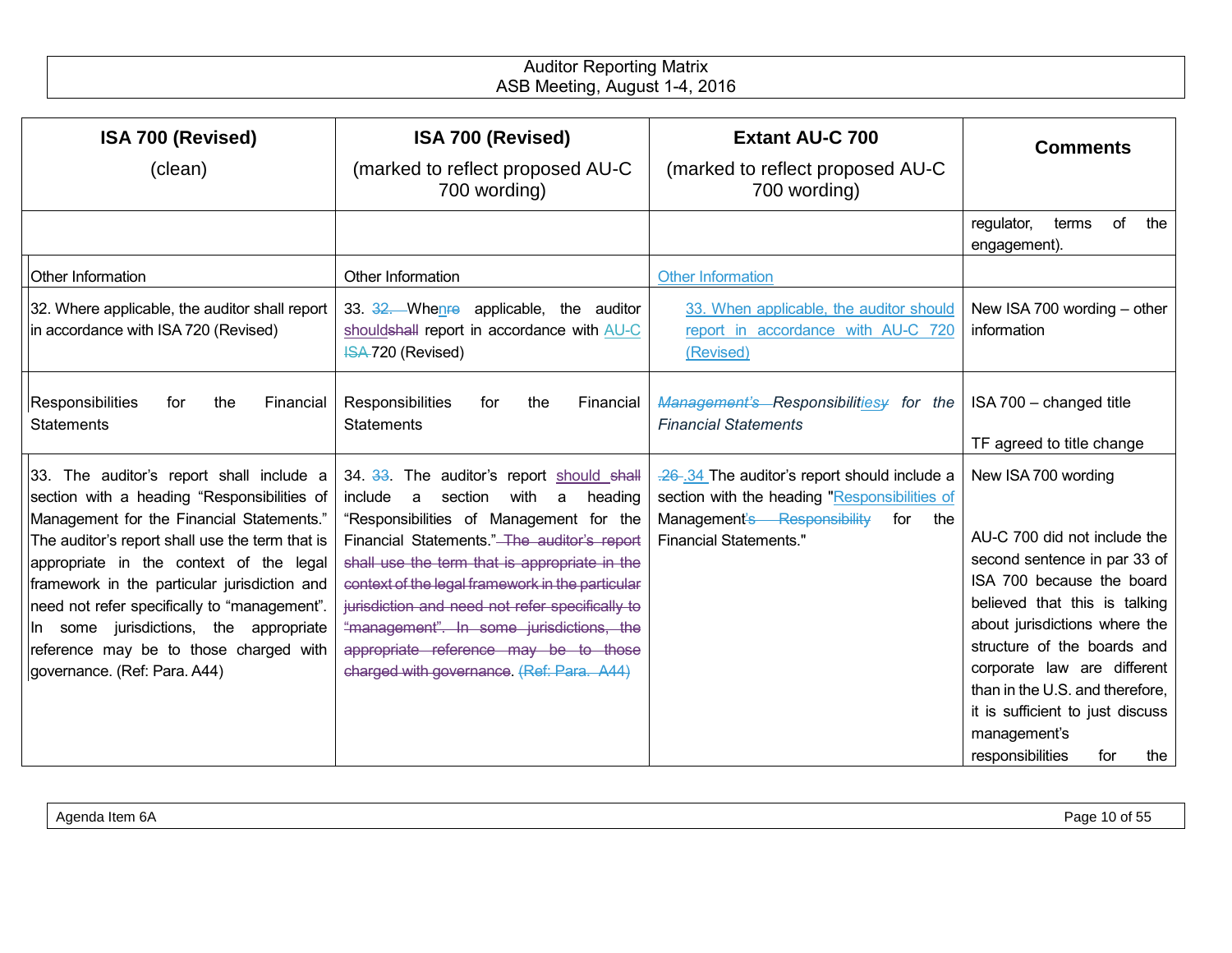| .                                                         |
|-----------------------------------------------------------|
| * Matrix<br><b>AUGITO</b><br>rtir<br>ᅐᠻ<br>שו<br>.<br>. . |
| $\sim$                                                    |
| יאווחוומ<br>ZUID<br>-<br><b>IVIF</b><br>եաս               |
| . .                                                       |

| ISA 700 (Revised)<br>(clean)                                                                                                                                                                                                                                                                                                                                                                                                                                 | ISA 700 (Revised)<br>(marked to reflect proposed AU-C<br>700 wording)                                                                                                                                                                                                                                                                                                                                                                                                            | <b>Extant AU-C 700</b><br>(marked to reflect proposed AU-C<br>700 wording)                                                                                                  | <b>Comments</b>                                                                                                                                                                                                                                                                                                                                                           |
|--------------------------------------------------------------------------------------------------------------------------------------------------------------------------------------------------------------------------------------------------------------------------------------------------------------------------------------------------------------------------------------------------------------------------------------------------------------|----------------------------------------------------------------------------------------------------------------------------------------------------------------------------------------------------------------------------------------------------------------------------------------------------------------------------------------------------------------------------------------------------------------------------------------------------------------------------------|-----------------------------------------------------------------------------------------------------------------------------------------------------------------------------|---------------------------------------------------------------------------------------------------------------------------------------------------------------------------------------------------------------------------------------------------------------------------------------------------------------------------------------------------------------------------|
|                                                                                                                                                                                                                                                                                                                                                                                                                                                              |                                                                                                                                                                                                                                                                                                                                                                                                                                                                                  |                                                                                                                                                                             | of<br>regulator,<br>the<br>terms<br>engagement).                                                                                                                                                                                                                                                                                                                          |
| Other Information                                                                                                                                                                                                                                                                                                                                                                                                                                            | Other Information                                                                                                                                                                                                                                                                                                                                                                                                                                                                | <b>Other Information</b>                                                                                                                                                    |                                                                                                                                                                                                                                                                                                                                                                           |
| 32. Where applicable, the auditor shall report<br>in accordance with ISA 720 (Revised)                                                                                                                                                                                                                                                                                                                                                                       | 33. 32. Whenre<br>applicable, the auditor<br>shouldshall report in accordance with AU-C<br>ISA-720 (Revised)                                                                                                                                                                                                                                                                                                                                                                     | 33. When applicable, the auditor should<br>report in accordance with AU-C 720<br>(Revised)                                                                                  | New ISA 700 wording - other<br>information                                                                                                                                                                                                                                                                                                                                |
| Responsibilities<br>for<br>the<br>Financial<br><b>Statements</b>                                                                                                                                                                                                                                                                                                                                                                                             | Responsibilities<br>the<br>Financial<br>for<br><b>Statements</b>                                                                                                                                                                                                                                                                                                                                                                                                                 | Management's Responsibilitiesy for the<br><b>Financial Statements</b>                                                                                                       | ISA 700 - changed title<br>TF agreed to title change                                                                                                                                                                                                                                                                                                                      |
| 33. The auditor's report shall include a<br>section with a heading "Responsibilities of<br>Management for the Financial Statements."<br>The auditor's report shall use the term that is<br>appropriate in the context of the legal<br>framework in the particular jurisdiction and<br>need not refer specifically to "management".<br>some jurisdictions, the appropriate<br>lln l<br>reference may be to those charged with<br>governance. (Ref: Para. A44) | 34. 33. The auditor's report should shall<br>section<br>with<br>include<br>a<br>a<br>heading<br>"Responsibilities of Management for the<br>Financial Statements."-The auditor's report<br>shall use the term that is appropriate in the<br>context of the legal framework in the particular<br>jurisdiction and need not refer specifically to<br>"management". In some jurisdictions, the<br>appropriate reference may be to those<br>charged with governance. (Ref: Para. A44) | .26.34 The auditor's report should include a<br>section with the heading "Responsibilities of<br>Management's Responsibility<br>for<br>the<br><b>Financial Statements."</b> | New ISA 700 wording<br>AU-C 700 did not include the<br>second sentence in par 33 of<br>ISA 700 because the board<br>believed that this is talking<br>about jurisdictions where the<br>structure of the boards and<br>corporate law are different<br>than in the U.S. and therefore,<br>it is sufficient to just discuss<br>management's<br>responsibilities<br>for<br>the |

<span id="page-9-0"></span>Agenda Item 6A Page 10 of 55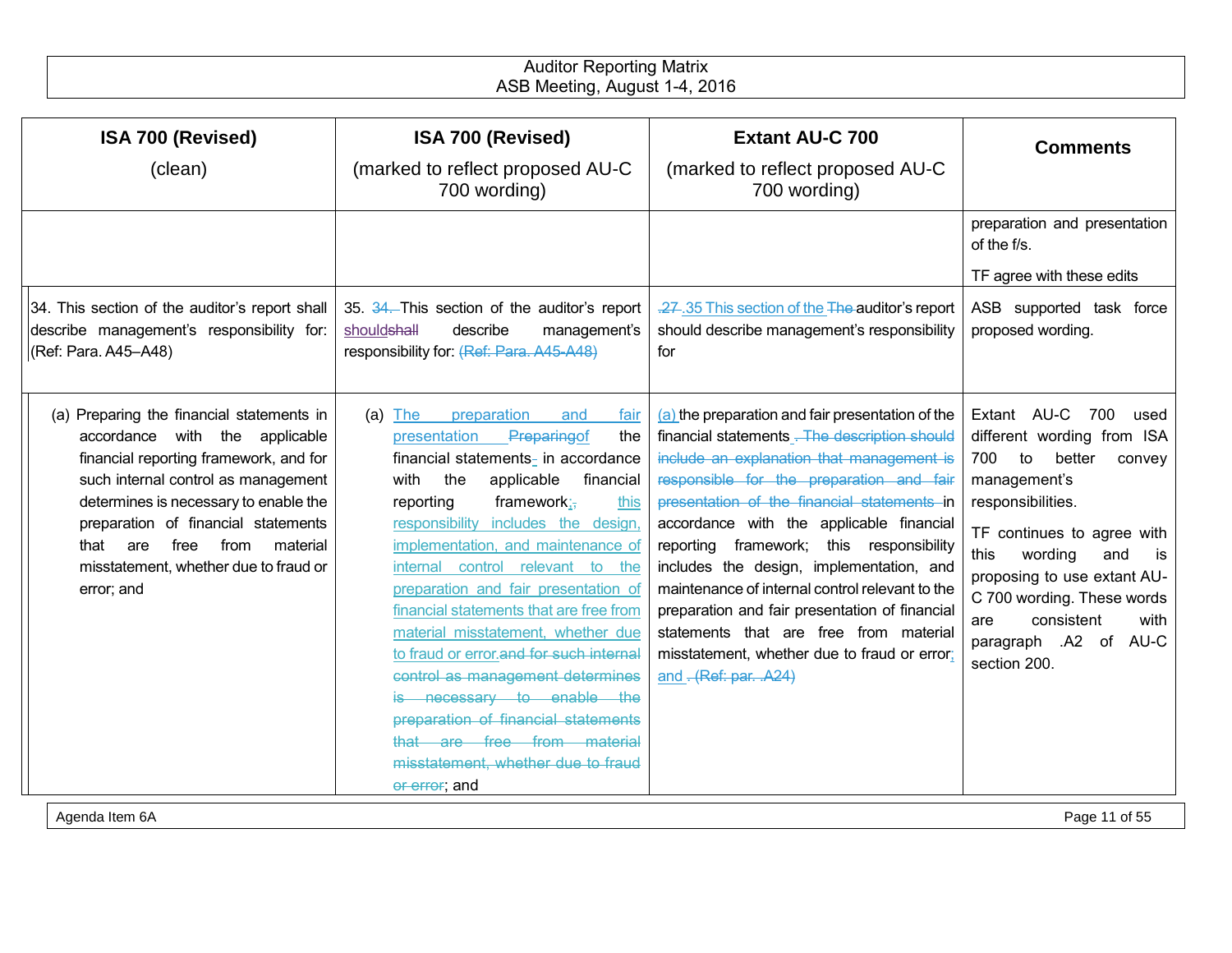| `Matrix<br>portina<br>Augitor                        |
|------------------------------------------------------|
| <b>ASL</b><br>2016<br>Meeting<br>August<br>- 11 - 22 |
|                                                      |

| ISA 700 (Revised)<br>(clean)                                                                                                                                                                                                                                                                                                                   | ISA 700 (Revised)<br>(marked to reflect proposed AU-C<br>700 wording)                                                                                                                                                                                                                                                                                                                                                                                                                                                                                                                                                                                                                       | <b>Extant AU-C 700</b><br>(marked to reflect proposed AU-C<br>700 wording)                                                                                                                                                                                                                                                                                                                                                                                                                                                                                                                                    | <b>Comments</b>                                                                                                                                                                                                                                                                                                                 |
|------------------------------------------------------------------------------------------------------------------------------------------------------------------------------------------------------------------------------------------------------------------------------------------------------------------------------------------------|---------------------------------------------------------------------------------------------------------------------------------------------------------------------------------------------------------------------------------------------------------------------------------------------------------------------------------------------------------------------------------------------------------------------------------------------------------------------------------------------------------------------------------------------------------------------------------------------------------------------------------------------------------------------------------------------|---------------------------------------------------------------------------------------------------------------------------------------------------------------------------------------------------------------------------------------------------------------------------------------------------------------------------------------------------------------------------------------------------------------------------------------------------------------------------------------------------------------------------------------------------------------------------------------------------------------|---------------------------------------------------------------------------------------------------------------------------------------------------------------------------------------------------------------------------------------------------------------------------------------------------------------------------------|
| 34. This section of the auditor's report shall<br>describe management's responsibility for:<br>(Ref: Para. A45-A48)                                                                                                                                                                                                                            | 35. 34. This section of the auditor's report<br>shouldshall<br>describe<br>management's<br>responsibility for: (Ref: Para. A45-A48)                                                                                                                                                                                                                                                                                                                                                                                                                                                                                                                                                         | .27.35 This section of the The auditor's report<br>should describe management's responsibility<br>for                                                                                                                                                                                                                                                                                                                                                                                                                                                                                                         | preparation and presentation<br>of the f/s.<br>TF agree with these edits<br>ASB supported task force<br>proposed wording.                                                                                                                                                                                                       |
| (a) Preparing the financial statements in<br>accordance with the applicable<br>financial reporting framework, and for<br>such internal control as management<br>determines is necessary to enable the<br>preparation of financial statements<br>that<br>free<br>from<br>material<br>are<br>misstatement, whether due to fraud or<br>error; and | preparation<br>$(a)$ The<br>and<br>fair<br>presentation<br>Preparingof<br>the<br>financial statements- in accordance<br>applicable<br>financial<br>with<br>the<br>reporting<br>framework;<br>this<br>responsibility includes the design.<br>implementation, and maintenance of<br>control relevant to<br>internal<br>the<br>preparation and fair presentation of<br>financial statements that are free from<br>material misstatement, whether due<br>to fraud or error.and for such internal<br>control as management determines<br>is necessary to enable the<br>preparation of financial statements<br>that are free from material<br>misstatement, whether due to fraud<br>or error; and | (a) the preparation and fair presentation of the<br>financial statements . The description should<br>include an explanation that management is<br>responsible for the preparation and fair<br>presentation of the financial statements in<br>accordance with the applicable financial<br>reporting<br>framework;<br>this responsibility<br>includes the design, implementation, and<br>maintenance of internal control relevant to the<br>preparation and fair presentation of financial<br>statements that are free from material<br>misstatement, whether due to fraud or error;<br>and . (Ref: par. . A24) | Extant AU-C<br>700<br>used<br>different wording from ISA<br>to<br>700<br>better<br>convey<br>management's<br>responsibilities.<br>TF continues to agree with<br>wording<br>this<br>and<br>is<br>proposing to use extant AU-<br>C 700 wording. These words<br>consistent<br>with<br>are<br>paragraph .A2 of AU-C<br>section 200. |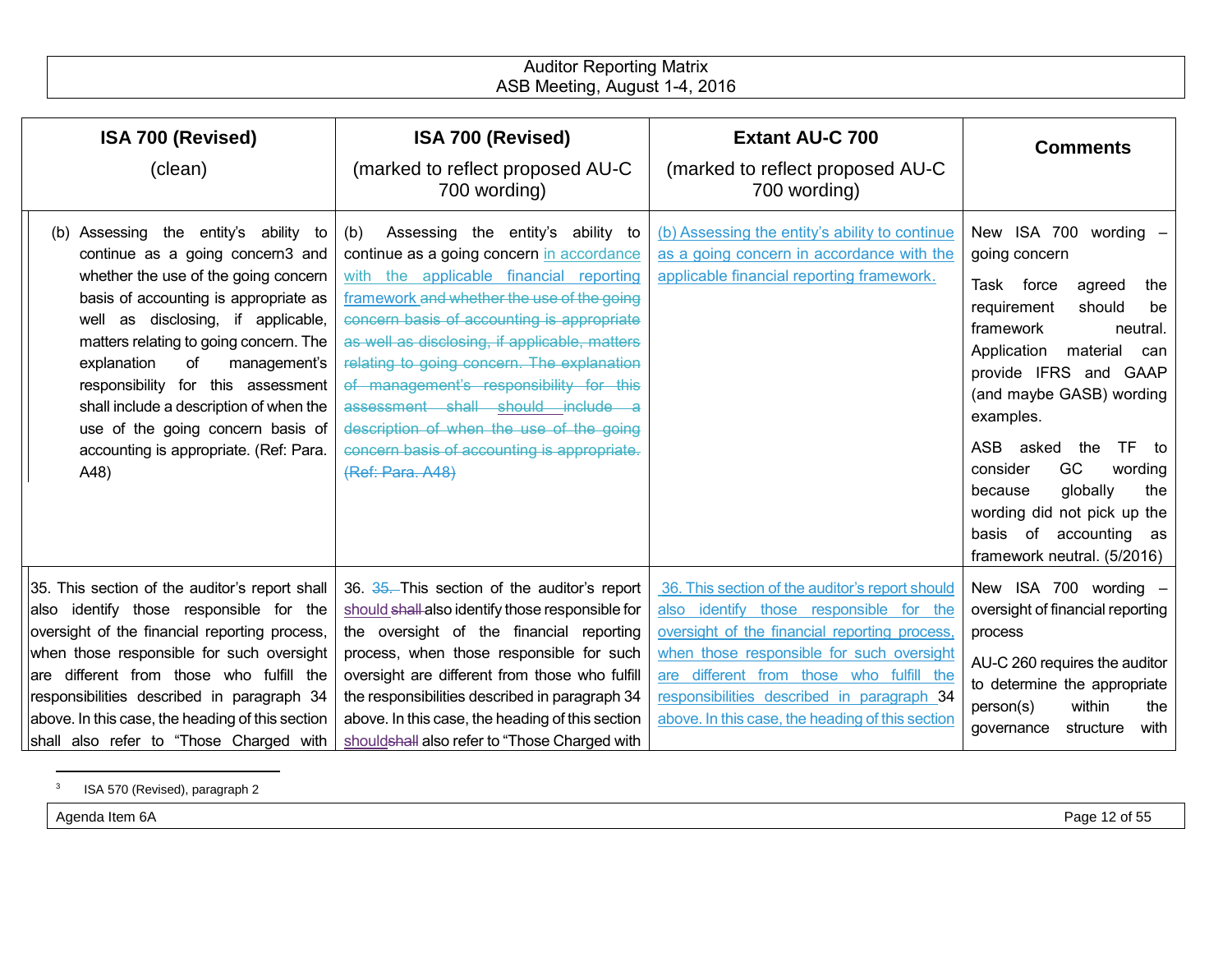| <b>Auditor Reporting Matrix</b><br>ASB Meeting, August 1-4, 2016                                                                                                                                                                                                                                                                                                                                                                                           |                                                                                                                                                                                                                                                                                                                                                                                                                                                                                                                            |                                                                                                                                                                                                                                                                                                                                        |                                                                                                                                                                                                                                                                                                                                                                                                                             |
|------------------------------------------------------------------------------------------------------------------------------------------------------------------------------------------------------------------------------------------------------------------------------------------------------------------------------------------------------------------------------------------------------------------------------------------------------------|----------------------------------------------------------------------------------------------------------------------------------------------------------------------------------------------------------------------------------------------------------------------------------------------------------------------------------------------------------------------------------------------------------------------------------------------------------------------------------------------------------------------------|----------------------------------------------------------------------------------------------------------------------------------------------------------------------------------------------------------------------------------------------------------------------------------------------------------------------------------------|-----------------------------------------------------------------------------------------------------------------------------------------------------------------------------------------------------------------------------------------------------------------------------------------------------------------------------------------------------------------------------------------------------------------------------|
| ISA 700 (Revised)<br>(clean)                                                                                                                                                                                                                                                                                                                                                                                                                               | ISA 700 (Revised)<br>(marked to reflect proposed AU-C<br>700 wording)                                                                                                                                                                                                                                                                                                                                                                                                                                                      | <b>Extant AU-C 700</b><br>(marked to reflect proposed AU-C<br>700 wording)                                                                                                                                                                                                                                                             | <b>Comments</b>                                                                                                                                                                                                                                                                                                                                                                                                             |
| (b) Assessing the entity's ability to<br>continue as a going concern3 and<br>whether the use of the going concern<br>basis of accounting is appropriate as<br>as disclosing, if applicable,<br>well<br>matters relating to going concern. The<br>explanation<br>of<br>management's<br>responsibility for this assessment<br>shall include a description of when the<br>use of the going concern basis of<br>accounting is appropriate. (Ref: Para.<br>A48) | Assessing the entity's ability to<br>(b)<br>continue as a going concern in accordance<br>with the applicable financial reporting<br>framework and whether the use of the going<br>concern basis of accounting is appropriate<br>as well as disclosing, if applicable, matters<br>relating to going concern. The explanation<br>of management's responsibility for this<br>assessment shall should include a<br>description of when the use of the going<br>concern basis of accounting is appropriate.<br>(Ref: Para. A48) | (b) Assessing the entity's ability to continue<br>as a going concern in accordance with the<br>applicable financial reporting framework.                                                                                                                                                                                               | New ISA 700 wording -<br>going concern<br>Task force<br>agreed<br>the<br>should<br>be<br>requirement<br>neutral.<br>framework<br>material<br>Application<br>can<br>provide IFRS and GAAP<br>(and maybe GASB) wording<br>examples.<br><b>TF</b><br>ASB asked<br>the<br>to<br>GC<br>wording<br>consider<br>globally<br>the<br>because<br>wording did not pick up the<br>basis of accounting as<br>framework neutral. (5/2016) |
| 35. This section of the auditor's report shall<br>also identify those responsible for the<br>oversight of the financial reporting process,<br>when those responsible for such oversight<br>are different from those who fulfill the<br>responsibilities described in paragraph 34<br>above. In this case, the heading of this section<br>shall also refer to "Those Charged with                                                                           | 36. 35. This section of the auditor's report<br>should shall also identify those responsible for<br>the oversight of the financial reporting<br>process, when those responsible for such<br>oversight are different from those who fulfill<br>the responsibilities described in paragraph 34<br>above. In this case, the heading of this section<br>shouldshall also refer to "Those Charged with                                                                                                                          | 36. This section of the auditor's report should<br>also identify those responsible for the<br>oversight of the financial reporting process,<br>when those responsible for such oversight<br>are different from those who fulfill the<br>responsibilities described in paragraph 34<br>above. In this case, the heading of this section | New ISA 700 wording -<br>oversight of financial reporting<br>process<br>AU-C 260 requires the auditor<br>to determine the appropriate<br>within<br>the<br>person(s)<br>with<br>governance<br>structure                                                                                                                                                                                                                      |

3 ISA 570 (Revised), paragraph 2

Agenda Item 6A Page 12 of 55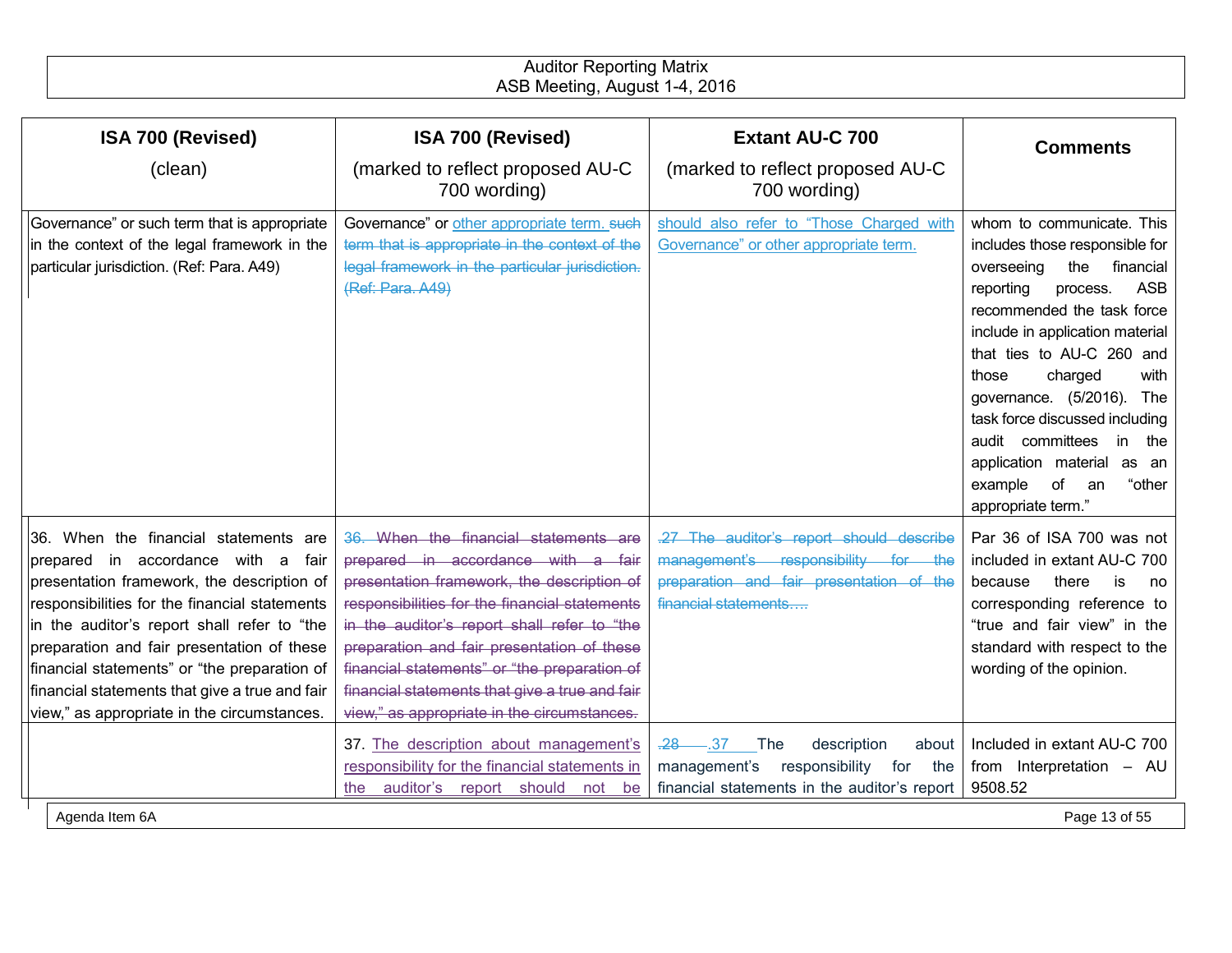| ISA 700 (Revised)                                                                                                                                                                                                                                                                                                                                                                                                            | ISA 700 (Revised)                                                                                                                                                                                                                                                                                                                                                                                                        | <b>Extant AU-C 700</b>                                                                                                                              | <b>Comments</b>                                                                                                                                                                                                                                                                                                                                                                                                                                              |
|------------------------------------------------------------------------------------------------------------------------------------------------------------------------------------------------------------------------------------------------------------------------------------------------------------------------------------------------------------------------------------------------------------------------------|--------------------------------------------------------------------------------------------------------------------------------------------------------------------------------------------------------------------------------------------------------------------------------------------------------------------------------------------------------------------------------------------------------------------------|-----------------------------------------------------------------------------------------------------------------------------------------------------|--------------------------------------------------------------------------------------------------------------------------------------------------------------------------------------------------------------------------------------------------------------------------------------------------------------------------------------------------------------------------------------------------------------------------------------------------------------|
| (clean)                                                                                                                                                                                                                                                                                                                                                                                                                      | (marked to reflect proposed AU-C<br>700 wording)                                                                                                                                                                                                                                                                                                                                                                         | (marked to reflect proposed AU-C<br>700 wording)                                                                                                    |                                                                                                                                                                                                                                                                                                                                                                                                                                                              |
| Governance" or such term that is appropriate<br>in the context of the legal framework in the<br>particular jurisdiction. (Ref: Para. A49)                                                                                                                                                                                                                                                                                    | Governance" or other appropriate term. such<br>term that is appropriate in the context of the<br>legal framework in the particular jurisdiction.<br>(Ref: Para, A49)                                                                                                                                                                                                                                                     | should also refer to "Those Charged with<br>Governance" or other appropriate term.                                                                  | whom to communicate. This<br>includes those responsible for<br>financial<br>overseeing<br>the<br><b>ASB</b><br>reporting<br>process.<br>recommended the task force<br>include in application material<br>that ties to AU-C 260 and<br>those<br>charged<br>with<br>The<br>governance. (5/2016).<br>task force discussed including<br>audit<br>committees<br>the<br>in<br>application material<br>as an<br>example<br>of<br>an<br>"other<br>appropriate term." |
| 136. When the financial statements are<br>prepared in accordance with a<br>fair<br>presentation framework, the description of<br>responsibilities for the financial statements<br>in the auditor's report shall refer to "the<br>preparation and fair presentation of these<br>financial statements" or "the preparation of<br>financial statements that give a true and fair<br>view," as appropriate in the circumstances. | 36. When the financial statements are<br>prepared in accordance with a fair<br>presentation framework, the description of<br>responsibilities for the financial statements<br>in the auditor's report shall refer to "the<br>preparation and fair presentation of these<br>financial statements" or "the preparation of<br>financial statements that give a true and fair<br>view," as appropriate in the circumstances. | .27 The auditor's report should describe<br>management's responsibility for the<br>preparation and fair presentation of the<br>financial statements | Par 36 of ISA 700 was not<br>included in extant AU-C 700<br>there<br>is<br>because<br>no<br>corresponding reference to<br>"true and fair view" in the<br>standard with respect to the<br>wording of the opinion.                                                                                                                                                                                                                                             |
| Agenda Item 6A                                                                                                                                                                                                                                                                                                                                                                                                               | 37. The description about management's<br>responsibility for the financial statements in<br>auditor's<br>report<br>should<br>not<br>be<br>the                                                                                                                                                                                                                                                                            | $-28 - 37$<br>The<br>description<br>about<br>management's<br>responsibility<br>for<br>the<br>financial statements in the auditor's report           | Included in extant AU-C 700<br>from Interpretation - AU<br>9508.52<br>Page 13 of 55                                                                                                                                                                                                                                                                                                                                                                          |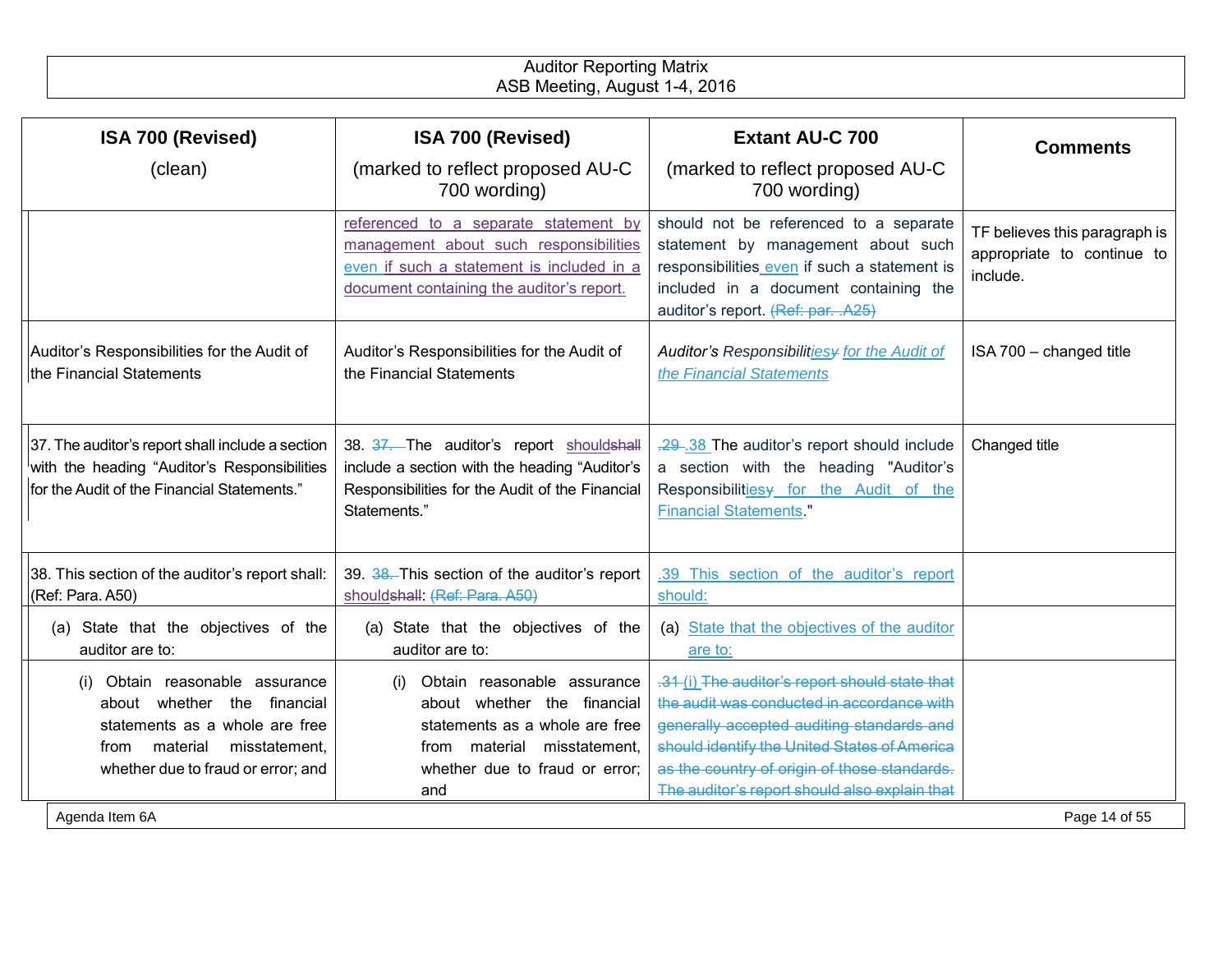| ISA 700 (Revised)<br>(clean)                                                                                                                                                      | ISA 700 (Revised)<br>(marked to reflect proposed AU-C<br>700 wording)                                                                                                             | <b>Extant AU-C 700</b><br>(marked to reflect proposed AU-C<br>700 wording)                                                                                                                                                                                                                 | <b>Comments</b>                                                         |
|-----------------------------------------------------------------------------------------------------------------------------------------------------------------------------------|-----------------------------------------------------------------------------------------------------------------------------------------------------------------------------------|--------------------------------------------------------------------------------------------------------------------------------------------------------------------------------------------------------------------------------------------------------------------------------------------|-------------------------------------------------------------------------|
|                                                                                                                                                                                   | referenced to a separate statement by<br>management about such responsibilities<br>even if such a statement is included in a<br>document containing the auditor's report.         | should not be referenced to a separate<br>statement by management about such<br>responsibilities even if such a statement is<br>included in a document containing the<br>auditor's report. (Ref: par. .A25)                                                                                | TF believes this paragraph is<br>appropriate to continue to<br>include. |
| Auditor's Responsibilities for the Audit of<br>the Financial Statements                                                                                                           | Auditor's Responsibilities for the Audit of<br>the Financial Statements                                                                                                           | <b>Auditor's Responsibilitiesy for the Audit of</b><br>the Financial Statements                                                                                                                                                                                                            | ISA 700 - changed title                                                 |
| 37. The auditor's report shall include a section<br>with the heading "Auditor's Responsibilities<br>for the Audit of the Financial Statements."                                   | 38. 37. The auditor's report shouldshall<br>include a section with the heading "Auditor's<br>Responsibilities for the Audit of the Financial<br>Statements."                      | .29.38 The auditor's report should include<br>a section with the heading "Auditor's<br>Responsibilitiesy for the Audit of the<br><b>Financial Statements."</b>                                                                                                                             | Changed title                                                           |
| 38. This section of the auditor's report shall:<br>(Ref: Para. A50)                                                                                                               | 39. 38. This section of the auditor's report<br>shouldshall: (Ref: Para. A50)                                                                                                     | .39 This section of the auditor's report<br>should:                                                                                                                                                                                                                                        |                                                                         |
| (a) State that the objectives of the<br>auditor are to:                                                                                                                           | (a) State that the objectives of the<br>auditor are to:                                                                                                                           | (a) State that the objectives of the auditor<br>are to:                                                                                                                                                                                                                                    |                                                                         |
| (i) Obtain reasonable assurance<br>financial<br>about whether<br>the<br>statements as a whole are free<br>material<br>misstatement.<br>from<br>whether due to fraud or error; and | Obtain reasonable assurance<br>(i)<br>about whether the financial<br>statements as a whole are free<br>material<br>misstatement,<br>from<br>whether due to fraud or error;<br>and | .31 (i) The auditor's report should state that<br>the audit was conducted in accordance with<br>generally accepted auditing standards and<br>should identify the United States of America<br>as the country of origin of those standards.<br>The auditor's report should also explain that |                                                                         |
| Agenda Item 6A                                                                                                                                                                    |                                                                                                                                                                                   |                                                                                                                                                                                                                                                                                            | Page 14 of 55                                                           |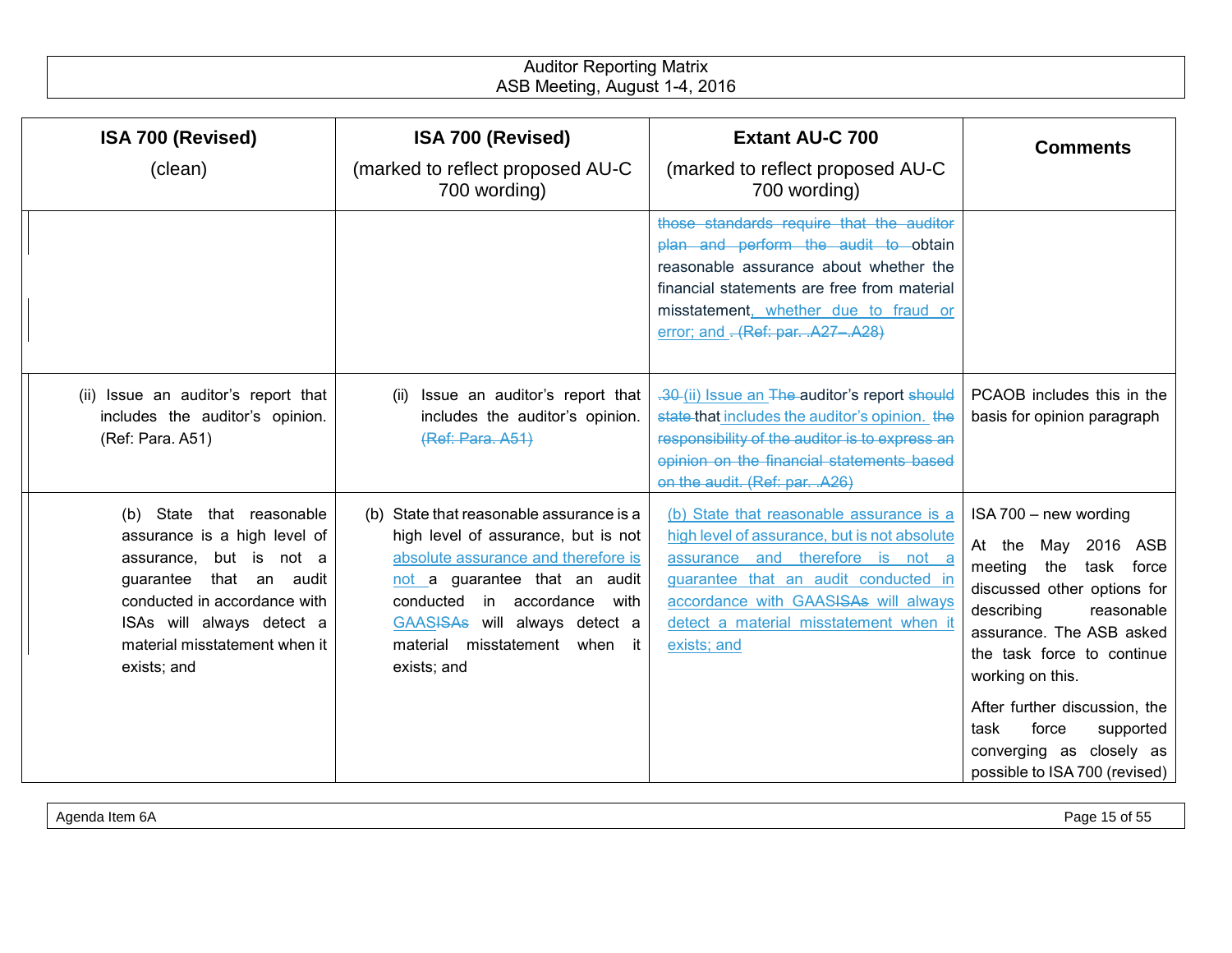| ISA 700 (Revised)<br>(clean)                                                                                                                                                                                                             | ISA 700 (Revised)<br>(marked to reflect proposed AU-C                                                                                                                                                                                                                                   | <b>Extant AU-C 700</b><br>(marked to reflect proposed AU-C                                                                                                                                                                                                            | <b>Comments</b>                                                                                                                                                                                                                                                                                                                                         |
|------------------------------------------------------------------------------------------------------------------------------------------------------------------------------------------------------------------------------------------|-----------------------------------------------------------------------------------------------------------------------------------------------------------------------------------------------------------------------------------------------------------------------------------------|-----------------------------------------------------------------------------------------------------------------------------------------------------------------------------------------------------------------------------------------------------------------------|---------------------------------------------------------------------------------------------------------------------------------------------------------------------------------------------------------------------------------------------------------------------------------------------------------------------------------------------------------|
|                                                                                                                                                                                                                                          | 700 wording)                                                                                                                                                                                                                                                                            | 700 wording)                                                                                                                                                                                                                                                          |                                                                                                                                                                                                                                                                                                                                                         |
|                                                                                                                                                                                                                                          |                                                                                                                                                                                                                                                                                         | those standards require that the auditor<br>plan and perform the audit to obtain<br>reasonable assurance about whether the<br>financial statements are free from material<br>misstatement, whether due to fraud or<br>error; and . (Ref: par. . A27-. A28)            |                                                                                                                                                                                                                                                                                                                                                         |
| (ii) Issue an auditor's report that<br>includes the auditor's opinion.<br>(Ref: Para. A51)                                                                                                                                               | Issue an auditor's report that<br>includes the auditor's opinion.<br>(Ref: Para. A51)                                                                                                                                                                                                   | .30-(ii) Issue an The auditor's report should<br>state that includes the auditor's opinion. the<br>responsibility of the auditor is to express an<br>opinion on the financial statements based<br>on the audit. (Ref: par. .A26)                                      | PCAOB includes this in the<br>basis for opinion paragraph                                                                                                                                                                                                                                                                                               |
| State<br>that reasonable<br>(b)<br>assurance is a high level of<br>but is not a<br>assurance.<br>that an audit<br>guarantee<br>conducted in accordance with<br>ISAs will always detect a<br>material misstatement when it<br>exists; and | (b) State that reasonable assurance is a<br>high level of assurance, but is not<br>absolute assurance and therefore is<br>not a guarantee that an audit<br>conducted<br>in<br>accordance<br>with<br>GAASISAs will always detect a<br>misstatement<br>material<br>when it<br>exists; and | (b) State that reasonable assurance is a<br>high level of assurance, but is not absolute<br>assurance and therefore is not a<br>guarantee that an audit conducted in<br>accordance with GAASISAs will always<br>detect a material misstatement when it<br>exists; and | ISA 700 - new wording<br>At the<br>May 2016 ASB<br>meeting<br>the<br>task<br>force<br>discussed other options for<br>describing<br>reasonable<br>assurance. The ASB asked<br>the task force to continue<br>working on this.<br>After further discussion, the<br>force<br>task<br>supported<br>converging as closely as<br>possible to ISA 700 (revised) |

Agenda Item 6A Page 15 of 55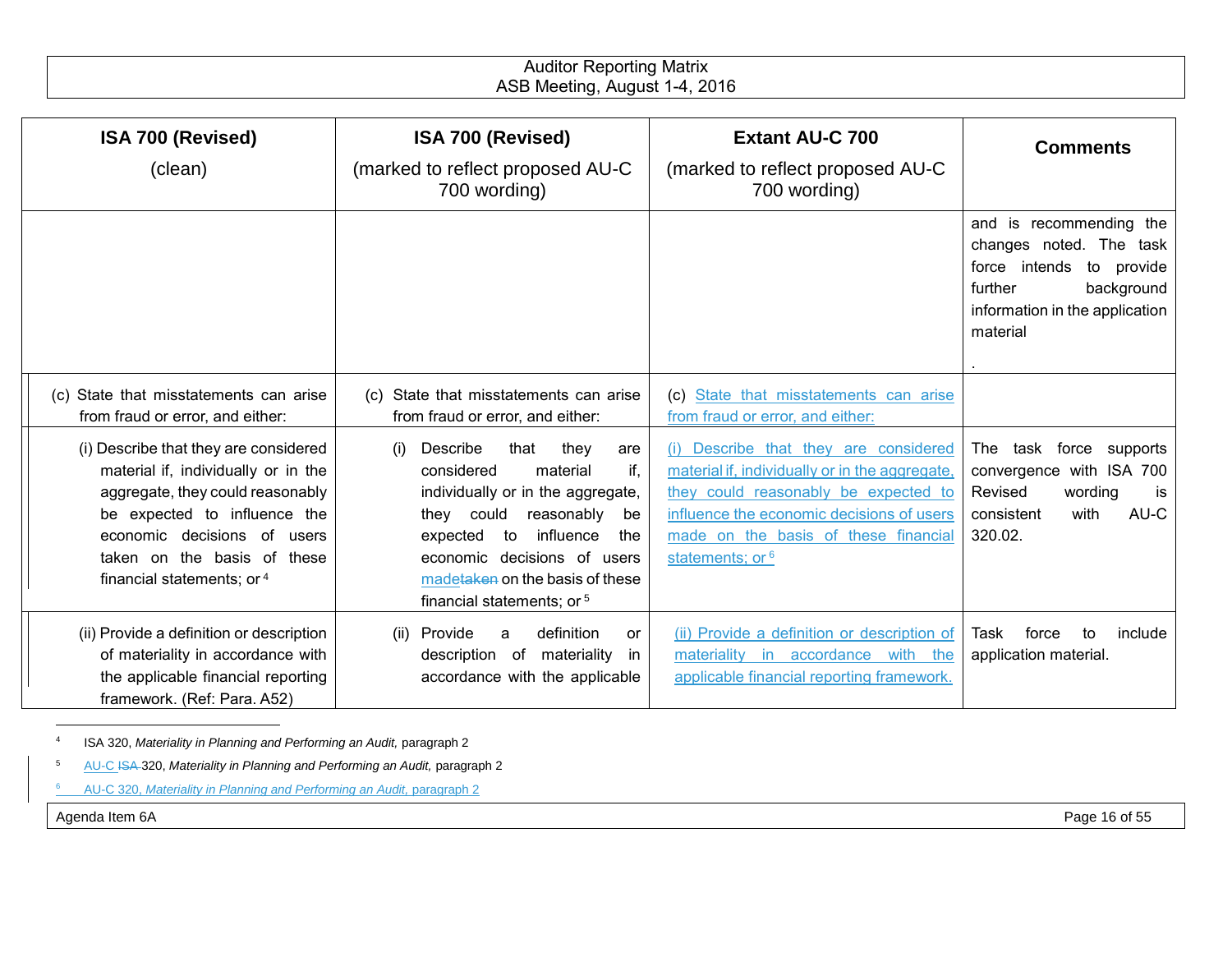| r Reporting Matrix_<br>Auditor |
|--------------------------------|
|                                |
| ASB Meeting,<br>2016<br>1-4    |
| August                         |

| ISA 700 (Revised)                                                                                                                                                                                                                               | ISA 700 (Revised)                                                                                                                                                                                                                                                                               | <b>Extant AU-C 700</b>                                                                                                                                                                                                                              | <b>Comments</b>                                                                                                                                          |
|-------------------------------------------------------------------------------------------------------------------------------------------------------------------------------------------------------------------------------------------------|-------------------------------------------------------------------------------------------------------------------------------------------------------------------------------------------------------------------------------------------------------------------------------------------------|-----------------------------------------------------------------------------------------------------------------------------------------------------------------------------------------------------------------------------------------------------|----------------------------------------------------------------------------------------------------------------------------------------------------------|
| (clean)                                                                                                                                                                                                                                         | (marked to reflect proposed AU-C<br>700 wording)                                                                                                                                                                                                                                                | (marked to reflect proposed AU-C<br>700 wording)                                                                                                                                                                                                    |                                                                                                                                                          |
|                                                                                                                                                                                                                                                 |                                                                                                                                                                                                                                                                                                 |                                                                                                                                                                                                                                                     | and is recommending the<br>changes noted. The task<br>force intends<br>to provide<br>background<br>further<br>information in the application<br>material |
| (c) State that misstatements can arise<br>from fraud or error, and either:                                                                                                                                                                      | (c) State that misstatements can arise<br>from fraud or error, and either:                                                                                                                                                                                                                      | (c) State that misstatements can arise<br>from fraud or error, and either:                                                                                                                                                                          |                                                                                                                                                          |
| (i) Describe that they are considered<br>material if, individually or in the<br>aggregate, they could reasonably<br>be expected to influence the<br>economic decisions of<br>users<br>taken on the basis of these<br>financial statements; or 4 | Describe<br>that<br>they<br>(i)<br>are<br>if.<br>considered<br>material<br>individually or in the aggregate,<br>reasonably<br>they could<br>be<br>influence<br>expected<br>to<br>the<br>economic decisions of users<br>madetaken on the basis of these<br>financial statements; or <sup>5</sup> | (i) Describe that they are considered<br>material if, individually or in the aggregate,<br>they could reasonably be expected to<br>influence the economic decisions of users<br>made on the basis of these financial<br>statements; or <sup>6</sup> | task force<br>supports<br>The<br>convergence with ISA 700<br>Revised<br>wording<br>is<br>AU-C<br>consistent<br>with<br>320.02.                           |
| (ii) Provide a definition or description<br>of materiality in accordance with<br>the applicable financial reporting<br>framework. (Ref: Para. A52)                                                                                              | Provide<br>definition<br>(ii)<br>a<br><b>or</b><br>description of<br>materiality<br>in<br>accordance with the applicable                                                                                                                                                                        | (ii) Provide a definition or description of<br>materiality in accordance with<br>the<br>applicable financial reporting framework.                                                                                                                   | include<br>Task<br>force<br>to<br>application material.                                                                                                  |

4 ISA 320, *Materiality in Planning and Performing an Audit,* paragraph 2

<sup>5</sup> AU-C ISA 320, *Materiality in Planning and Performing an Audit,* paragraph 2

<sup>6</sup> AU-C 320, *Materiality in Planning and Performing an Audit,* paragraph 2

Agenda Item 6A Page 16 of 55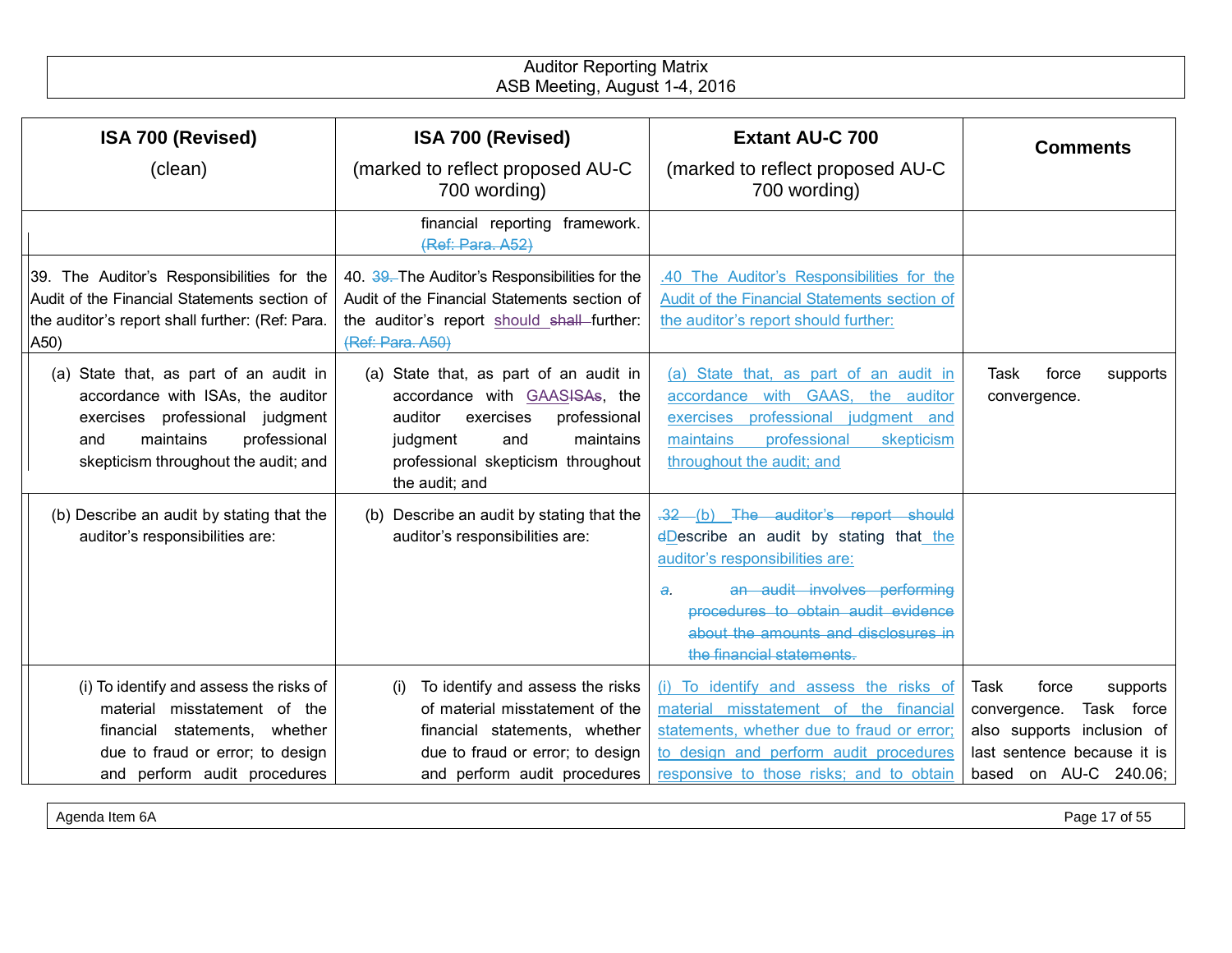|      | <b>Auditor Reporting Matrix</b><br>ASB Meeting, August 1-4, 2016                                                                                                                           |                                                                                                                                                                                                         |                                                                                                                                                                                                                                                                    |                                                                                                                                               |
|------|--------------------------------------------------------------------------------------------------------------------------------------------------------------------------------------------|---------------------------------------------------------------------------------------------------------------------------------------------------------------------------------------------------------|--------------------------------------------------------------------------------------------------------------------------------------------------------------------------------------------------------------------------------------------------------------------|-----------------------------------------------------------------------------------------------------------------------------------------------|
|      | ISA 700 (Revised)<br>(clean)                                                                                                                                                               | ISA 700 (Revised)<br>(marked to reflect proposed AU-C<br>700 wording)                                                                                                                                   | <b>Extant AU-C 700</b><br>(marked to reflect proposed AU-C<br>700 wording)                                                                                                                                                                                         | <b>Comments</b>                                                                                                                               |
|      |                                                                                                                                                                                            | financial reporting framework.<br>(Ref: Para. A52)                                                                                                                                                      |                                                                                                                                                                                                                                                                    |                                                                                                                                               |
| A50) | 39. The Auditor's Responsibilities for the<br>Audit of the Financial Statements section of<br>the auditor's report shall further: (Ref: Para.                                              | 40. 39. The Auditor's Responsibilities for the<br>Audit of the Financial Statements section of<br>the auditor's report should shall further:<br>(Ref: Para. A50)                                        | .40 The Auditor's Responsibilities for the<br>Audit of the Financial Statements section of<br>the auditor's report should further:                                                                                                                                 |                                                                                                                                               |
|      | (a) State that, as part of an audit in<br>accordance with ISAs, the auditor<br>exercises professional judgment<br>maintains<br>professional<br>and<br>skepticism throughout the audit; and | (a) State that, as part of an audit in<br>accordance with GAASISAs, the<br>auditor<br>exercises<br>professional<br>maintains<br>and<br>judgment<br>professional skepticism throughout<br>the audit; and | (a) State that, as part of an audit in<br>accordance with GAAS, the auditor<br>exercises professional judgment<br>and<br>professional<br>maintains<br>skepticism<br>throughout the audit; and                                                                      | Task<br>force<br>supports<br>convergence.                                                                                                     |
|      | (b) Describe an audit by stating that the<br>auditor's responsibilities are:                                                                                                               | (b) Describe an audit by stating that the<br>auditor's responsibilities are:                                                                                                                            | .32 (b) The auditor's report should<br>dDescribe an audit by stating that the<br>auditor's responsibilities are:<br>an audit involves performing<br>a.<br>procedures to obtain audit evidence<br>about the amounts and disclosures in<br>the financial statements. |                                                                                                                                               |
|      | (i) To identify and assess the risks of<br>material misstatement of the<br>financial statements, whether<br>due to fraud or error; to design<br>and perform audit procedures               | To identify and assess the risks<br>(i)<br>of material misstatement of the<br>financial statements, whether<br>due to fraud or error; to design<br>and perform audit procedures                         | (i) To identify and assess the risks of<br>material misstatement of the financial<br>statements, whether due to fraud or error;<br>to design and perform audit procedures<br>responsive to those risks; and to obtain                                              | Task<br>force<br>supports<br>Task force<br>convergence.<br>also supports inclusion of<br>last sentence because it is<br>based on AU-C 240.06; |

Agenda Item 6A Page 17 of 55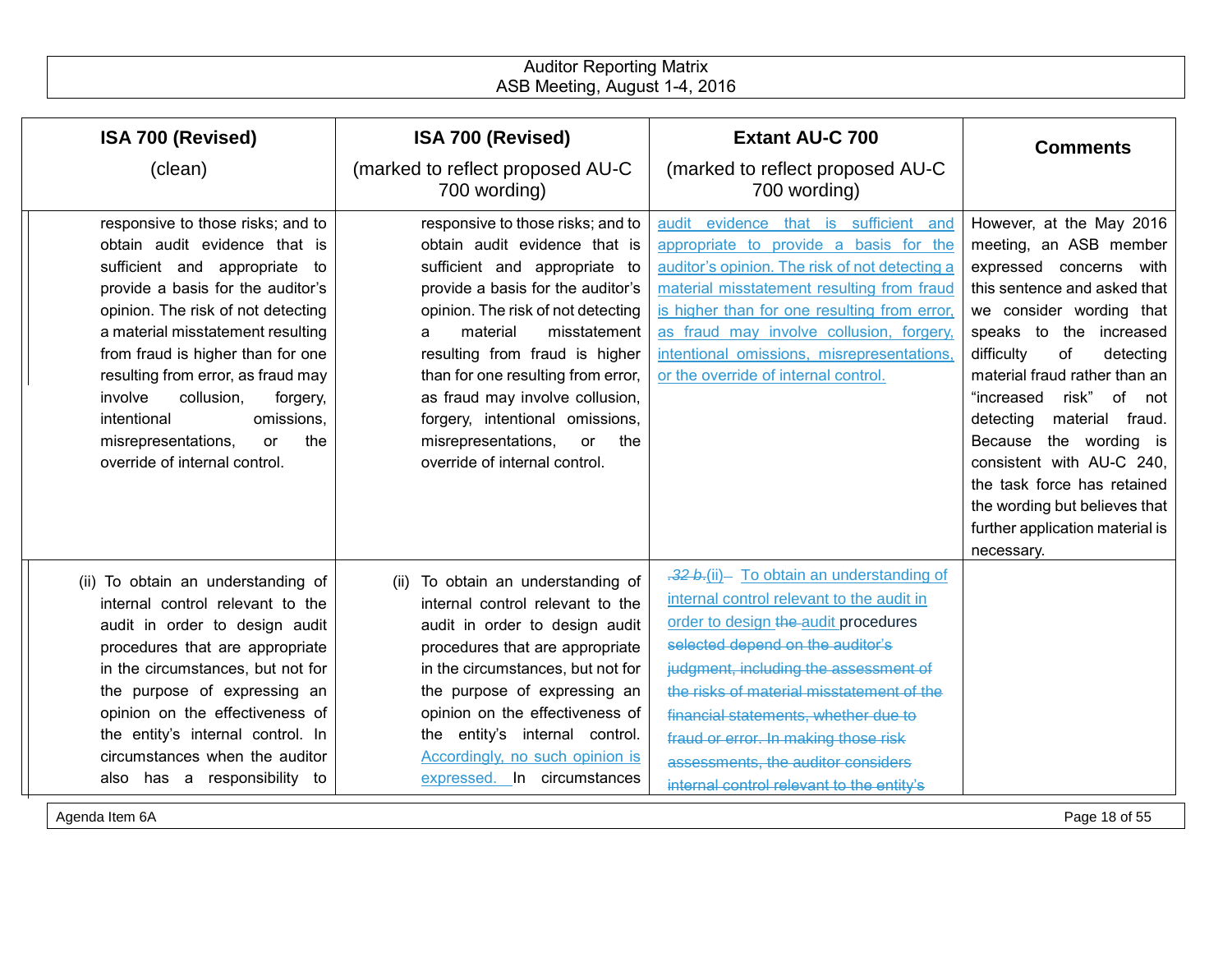| ISA 700 (Revised)<br>(clean)                                                                                                                                                                                                                                                                                                                                                                                                                    | ISA 700 (Revised)<br>(marked to reflect proposed AU-C<br>700 wording)                                                                                                                                                                                                                                                                                                                                                                     | <b>Extant AU-C 700</b><br>(marked to reflect proposed AU-C<br>700 wording)                                                                                                                                                                                                                                                                                                                                                  | <b>Comments</b>                                                                                                                                                                                                                                                                                                                                                                                                                                                                          |
|-------------------------------------------------------------------------------------------------------------------------------------------------------------------------------------------------------------------------------------------------------------------------------------------------------------------------------------------------------------------------------------------------------------------------------------------------|-------------------------------------------------------------------------------------------------------------------------------------------------------------------------------------------------------------------------------------------------------------------------------------------------------------------------------------------------------------------------------------------------------------------------------------------|-----------------------------------------------------------------------------------------------------------------------------------------------------------------------------------------------------------------------------------------------------------------------------------------------------------------------------------------------------------------------------------------------------------------------------|------------------------------------------------------------------------------------------------------------------------------------------------------------------------------------------------------------------------------------------------------------------------------------------------------------------------------------------------------------------------------------------------------------------------------------------------------------------------------------------|
| responsive to those risks; and to<br>obtain audit evidence that is<br>sufficient and appropriate<br>to<br>provide a basis for the auditor's<br>opinion. The risk of not detecting<br>a material misstatement resulting<br>from fraud is higher than for one<br>resulting from error, as fraud may<br>involve<br>collusion,<br>forgery,<br>intentional<br>omissions.<br>the<br>misrepresentations,<br><b>or</b><br>override of internal control. | responsive to those risks; and to<br>obtain audit evidence that is<br>sufficient and appropriate to<br>provide a basis for the auditor's<br>opinion. The risk of not detecting<br>misstatement<br>material<br>a<br>resulting from fraud is higher<br>than for one resulting from error,<br>as fraud may involve collusion,<br>forgery, intentional omissions,<br>misrepresentations,<br>the<br><b>or</b><br>override of internal control. | audit evidence that is sufficient<br>and<br>appropriate to provide a basis for the<br>auditor's opinion. The risk of not detecting a<br>material misstatement resulting from fraud<br>is higher than for one resulting from error,<br>as fraud may involve collusion, forgery,<br>intentional omissions, misrepresentations,<br>or the override of internal control.                                                        | However, at the May 2016<br>meeting, an ASB member<br>expressed concerns<br>with<br>this sentence and asked that<br>we consider wording that<br>speaks to the increased<br>difficulty<br>of<br>detecting<br>material fraud rather than an<br>"increased<br>risk"<br>of<br>not<br>detecting<br>material fraud.<br>the wording is<br>Because<br>consistent with AU-C 240,<br>the task force has retained<br>the wording but believes that<br>further application material is<br>necessary. |
| (ii) To obtain an understanding of<br>internal control relevant to the<br>audit in order to design audit<br>procedures that are appropriate<br>in the circumstances, but not for<br>the purpose of expressing an<br>opinion on the effectiveness of<br>the entity's internal control. In<br>circumstances when the auditor<br>also has a responsibility to                                                                                      | To obtain an understanding of<br>(ii)<br>internal control relevant to the<br>audit in order to design audit<br>procedures that are appropriate<br>in the circumstances, but not for<br>the purpose of expressing an<br>opinion on the effectiveness of<br>the entity's internal control.<br>Accordingly, no such opinion is<br>In circumstances<br>expressed.                                                                             | -32 b.(ii)- To obtain an understanding of<br>internal control relevant to the audit in<br>order to design the audit procedures<br>selected depend on the auditor's<br>judgment, including the assessment of<br>the risks of material misstatement of the<br>financial statements, whether due to<br>fraud or error. In making those risk<br>assessments, the auditor considers<br>internal control relevant to the entity's |                                                                                                                                                                                                                                                                                                                                                                                                                                                                                          |

Agenda Item 6A Page 18 of 55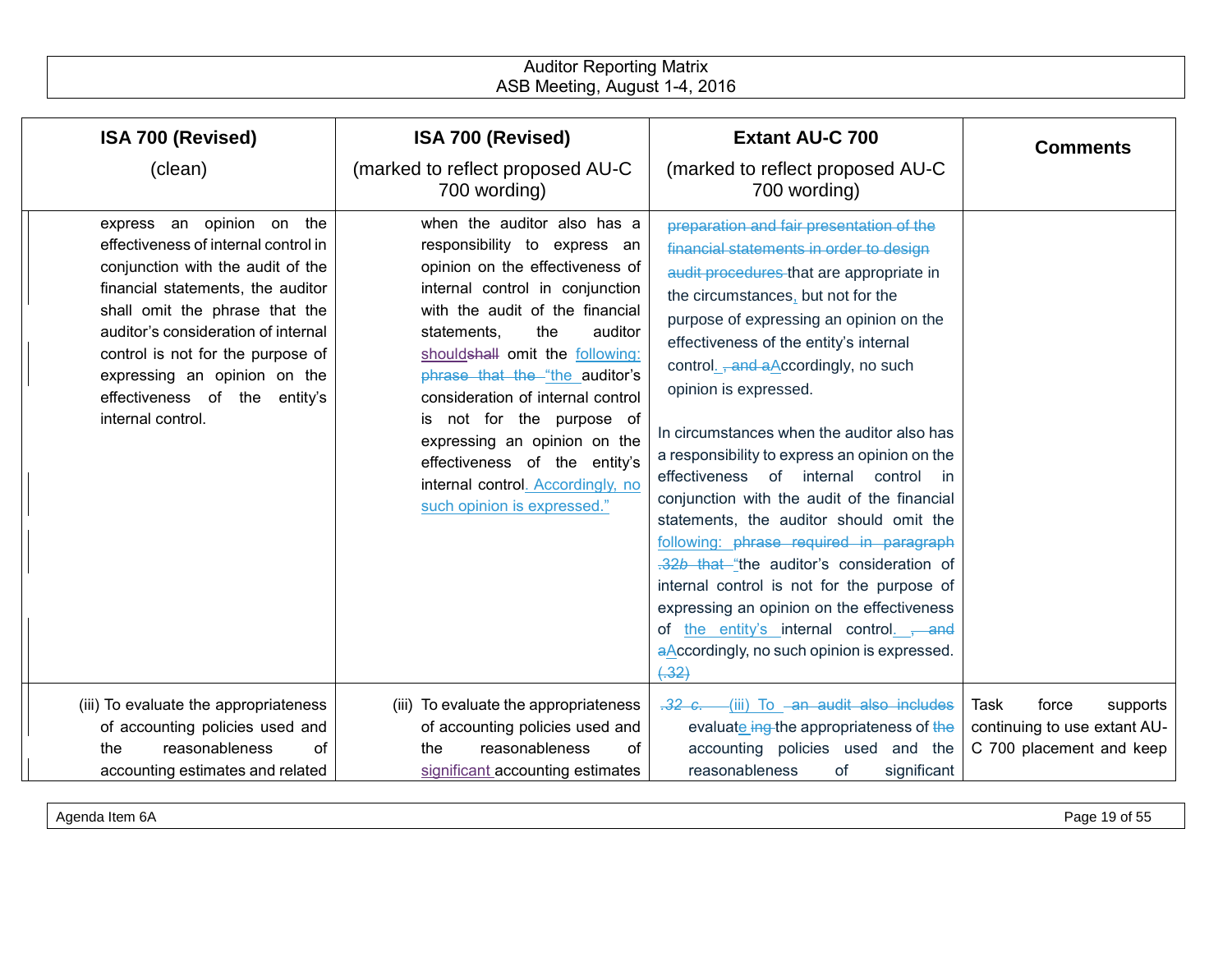| ISA 700 (Revised)<br>(clean)                                                                                                                                                                                                                                                                                                                    | ISA 700 (Revised)<br>(marked to reflect proposed AU-C<br>700 wording)                                                                                                                                                                                                                                                                                                                                                                                                             | <b>Extant AU-C 700</b><br>(marked to reflect proposed AU-C<br>700 wording)                                                                                                                                                                                                                                                                                                                                                                                                                                                                                                                                                                                                                                                                                                                                                                                                   | <b>Comments</b>                                                                       |
|-------------------------------------------------------------------------------------------------------------------------------------------------------------------------------------------------------------------------------------------------------------------------------------------------------------------------------------------------|-----------------------------------------------------------------------------------------------------------------------------------------------------------------------------------------------------------------------------------------------------------------------------------------------------------------------------------------------------------------------------------------------------------------------------------------------------------------------------------|------------------------------------------------------------------------------------------------------------------------------------------------------------------------------------------------------------------------------------------------------------------------------------------------------------------------------------------------------------------------------------------------------------------------------------------------------------------------------------------------------------------------------------------------------------------------------------------------------------------------------------------------------------------------------------------------------------------------------------------------------------------------------------------------------------------------------------------------------------------------------|---------------------------------------------------------------------------------------|
| express an opinion on the<br>effectiveness of internal control in<br>conjunction with the audit of the<br>financial statements, the auditor<br>shall omit the phrase that the<br>auditor's consideration of internal<br>control is not for the purpose of<br>expressing an opinion on the<br>effectiveness of the entity's<br>internal control. | when the auditor also has a<br>responsibility to express an<br>opinion on the effectiveness of<br>internal control in conjunction<br>with the audit of the financial<br>the<br>auditor<br>statements,<br>shouldshall omit the following:<br>phrase that the "the auditor's<br>consideration of internal control<br>is not for the purpose of<br>expressing an opinion on the<br>effectiveness of the entity's<br>internal control. Accordingly, no<br>such opinion is expressed." | preparation and fair presentation of the<br>financial statements in order to design<br>audit procedures that are appropriate in<br>the circumstances, but not for the<br>purpose of expressing an opinion on the<br>effectiveness of the entity's internal<br>control. <del>, and a</del> Accordingly, no such<br>opinion is expressed.<br>In circumstances when the auditor also has<br>a responsibility to express an opinion on the<br>effectiveness of internal control in<br>conjunction with the audit of the financial<br>statements, the auditor should omit the<br>following: phrase required in paragraph<br>.32b that "the auditor's consideration of<br>internal control is not for the purpose of<br>expressing an opinion on the effectiveness<br>of the entity's internal control. <del>, and</del><br>aAccordingly, no such opinion is expressed.<br>$(+32)$ |                                                                                       |
| (iii) To evaluate the appropriateness<br>of accounting policies used and<br>reasonableness<br>the<br>of<br>accounting estimates and related                                                                                                                                                                                                     | (iii) To evaluate the appropriateness<br>of accounting policies used and<br>reasonableness<br>the<br><b>of</b><br>significant accounting estimates                                                                                                                                                                                                                                                                                                                                | .32 c. (iii) To -an audit also includes<br>evaluate ing the appropriateness of the<br>accounting policies used and the<br>reasonableness<br>of<br>significant                                                                                                                                                                                                                                                                                                                                                                                                                                                                                                                                                                                                                                                                                                                | Task<br>force<br>supports<br>continuing to use extant AU-<br>C 700 placement and keep |

Agenda Item 6A Page 19 of 55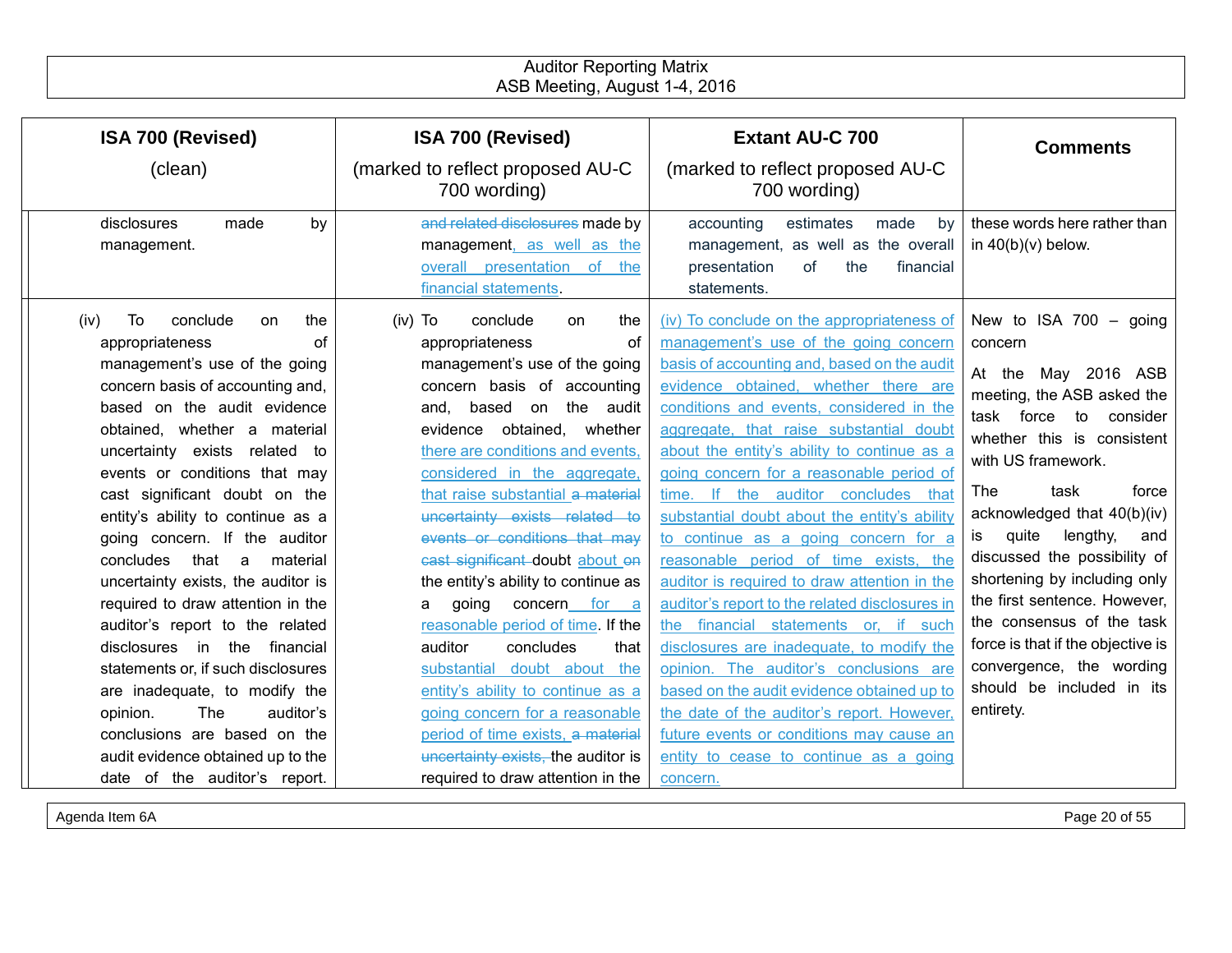| ISA 700 (Revised)                                                                                   | ISA 700 (Revised)                                                                                                        | <b>Extant AU-C 700</b>                                                                                                                      | <b>Comments</b>                                                                                |
|-----------------------------------------------------------------------------------------------------|--------------------------------------------------------------------------------------------------------------------------|---------------------------------------------------------------------------------------------------------------------------------------------|------------------------------------------------------------------------------------------------|
| (clean)                                                                                             | (marked to reflect proposed AU-C<br>700 wording)                                                                         | (marked to reflect proposed AU-C<br>700 wording)                                                                                            |                                                                                                |
| disclosures<br>by<br>made<br>management.                                                            | and related disclosures made by<br>management, as well as the<br>overall presentation of<br>the<br>financial statements. | accounting<br>estimates<br>made<br>by<br>management, as well as the overall<br><b>of</b><br>presentation<br>the<br>financial<br>statements. | these words here rather than<br>in $40(b)(v)$ below.                                           |
| To<br>conclude<br>the<br>(iv)<br>on<br>of<br>appropriateness                                        | $(iv)$ To<br>conclude<br>the<br><b>on</b><br>of<br>appropriateness                                                       | (iv) To conclude on the appropriateness of<br>management's use of the going concern                                                         | New to ISA $700 -$ going<br>concern                                                            |
| management's use of the going<br>concern basis of accounting and,<br>based on the audit evidence    | management's use of the going<br>concern basis of accounting<br>based on the audit<br>and.                               | basis of accounting and, based on the audit<br>evidence obtained, whether there are<br>conditions and events, considered in the             | May 2016 ASB<br>At the<br>meeting, the ASB asked the                                           |
| obtained, whether a material<br>uncertainty exists related to<br>events or conditions that may      | obtained,<br>whether<br>evidence<br>there are conditions and events,<br>considered in the aggregate,                     | aggregate, that raise substantial doubt<br>about the entity's ability to continue as a<br>going concern for a reasonable period of          | task force to<br>consider<br>whether this is consistent<br>with US framework.                  |
| cast significant doubt on the<br>entity's ability to continue as a                                  | that raise substantial a material<br>uncertainty exists related to                                                       | If the auditor<br>concludes<br>that<br>time.<br>substantial doubt about the entity's ability                                                | The<br>task<br>force<br>acknowledged that 40(b)(iv)                                            |
| going concern. If the auditor<br>concludes<br>that a material<br>uncertainty exists, the auditor is | events or conditions that may<br>cast significant doubt about on<br>the entity's ability to continue as                  | to continue as a going concern for a<br>reasonable period of time exists, the<br>auditor is required to draw attention in the               | quite<br>lengthy,<br>and<br>İS<br>discussed the possibility of<br>shortening by including only |
| required to draw attention in the<br>auditor's report to the related                                | concern for a<br>going<br>a<br>reasonable period of time. If the                                                         | auditor's report to the related disclosures in<br>the financial statements or, if such                                                      | the first sentence. However,<br>the consensus of the task                                      |
| disclosures in the financial<br>statements or, if such disclosures                                  | auditor<br>concludes<br>that<br>substantial doubt about the                                                              | disclosures are inadequate, to modify the<br>opinion. The auditor's conclusions are<br>based on the audit evidence obtained up to           | force is that if the objective is<br>convergence, the wording<br>should be included in its     |
| are inadequate, to modify the<br>auditor's<br>The<br>opinion.<br>conclusions are based on the       | entity's ability to continue as a<br>going concern for a reasonable<br>period of time exists, a material                 | the date of the auditor's report. However,<br>future events or conditions may cause an                                                      | entirety.                                                                                      |
| audit evidence obtained up to the<br>date of the auditor's report.                                  | uncertainty exists, the auditor is<br>required to draw attention in the                                                  | entity to cease to continue as a going<br>concern.                                                                                          |                                                                                                |

Agenda Item 6A Page 20 of 55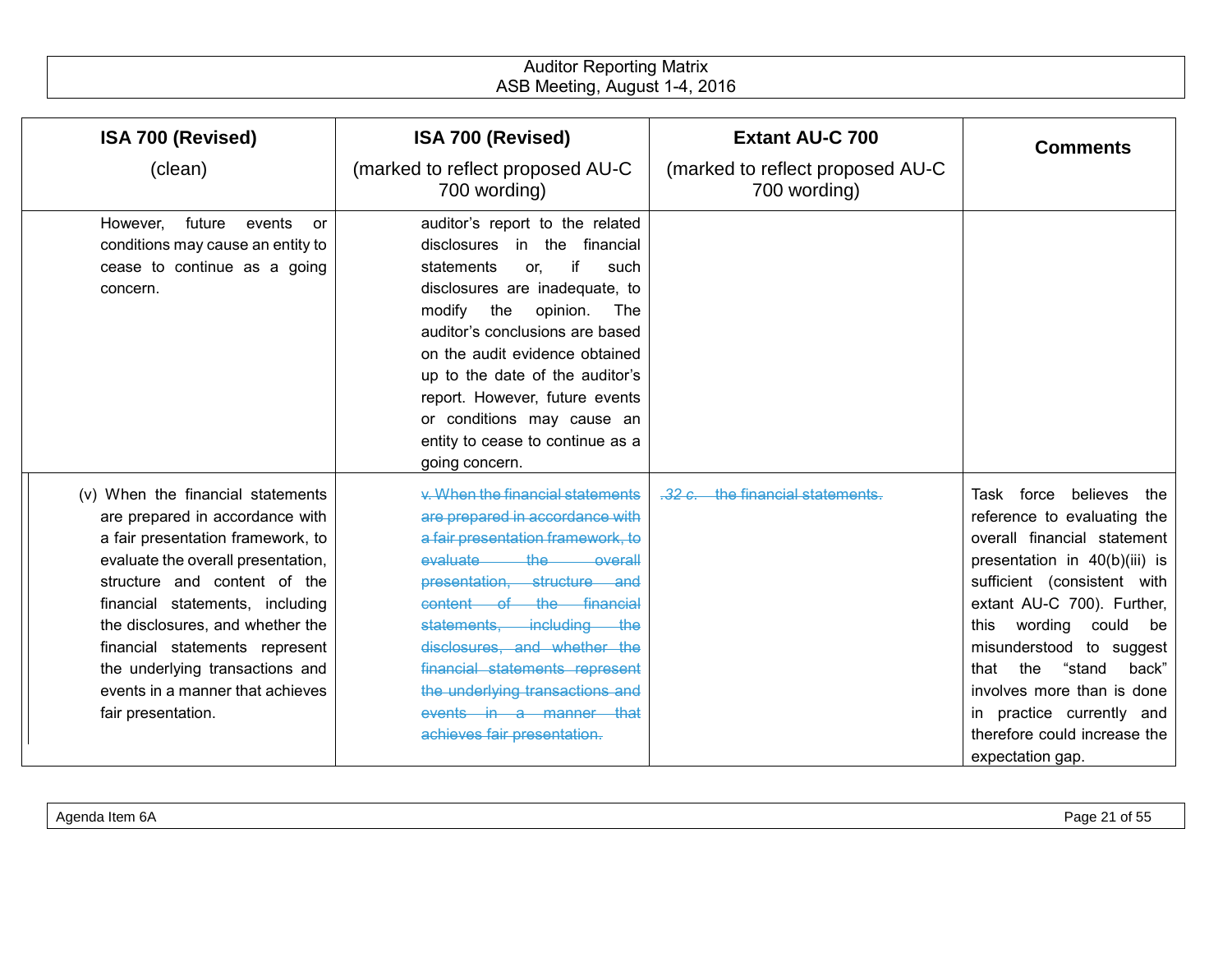| ISA 700 (Revised)                                                                                                                                                                                                                                                                                                                                                                     | ISA 700 (Revised)                                                                                                                                                                                                                                                                                                                                                                                                                  | <b>Extant AU-C 700</b>                           | <b>Comments</b>                                                                                                                                                                                                                                                                                                                                                                                 |
|---------------------------------------------------------------------------------------------------------------------------------------------------------------------------------------------------------------------------------------------------------------------------------------------------------------------------------------------------------------------------------------|------------------------------------------------------------------------------------------------------------------------------------------------------------------------------------------------------------------------------------------------------------------------------------------------------------------------------------------------------------------------------------------------------------------------------------|--------------------------------------------------|-------------------------------------------------------------------------------------------------------------------------------------------------------------------------------------------------------------------------------------------------------------------------------------------------------------------------------------------------------------------------------------------------|
| (clean)                                                                                                                                                                                                                                                                                                                                                                               | (marked to reflect proposed AU-C<br>700 wording)                                                                                                                                                                                                                                                                                                                                                                                   | (marked to reflect proposed AU-C<br>700 wording) |                                                                                                                                                                                                                                                                                                                                                                                                 |
| However,<br>future<br>events<br><b>or</b><br>conditions may cause an entity to<br>cease to continue as a going<br>concern.                                                                                                                                                                                                                                                            | auditor's report to the related<br>disclosures in the financial<br>if<br>statements<br>or,<br>such<br>disclosures are inadequate, to<br>modify<br>the<br>opinion.<br>The<br>auditor's conclusions are based<br>on the audit evidence obtained<br>up to the date of the auditor's<br>report. However, future events<br>or conditions may cause an<br>entity to cease to continue as a<br>going concern.                             |                                                  |                                                                                                                                                                                                                                                                                                                                                                                                 |
| (v) When the financial statements<br>are prepared in accordance with<br>a fair presentation framework, to<br>evaluate the overall presentation,<br>structure and content of the<br>financial statements, including<br>the disclosures, and whether the<br>financial statements represent<br>the underlying transactions and<br>events in a manner that achieves<br>fair presentation. | y When the financial statements<br>are prepared in accordance with<br>a fair presentation framework, to<br>evaluate <u>evaluate</u><br>the overall<br>presentation,<br>structure and<br>the financial<br>$-$ of<br>content-<br>including<br>statements.<br>$\pm$ he<br>disclosures, and whether the<br>financial statements represent<br>the underlying transactions and<br>events in a manner that<br>achieves fair presentation. | the financial statements.<br>$-32c$              | Task force believes the<br>reference to evaluating the<br>overall financial statement<br>presentation in 40(b)(iii) is<br>sufficient (consistent with<br>extant AU-C 700). Further,<br>wording could<br>this<br>be<br>misunderstood to suggest<br>"stand<br>the<br>back"<br>that<br>involves more than is done<br>in practice currently and<br>therefore could increase the<br>expectation gap. |

Agenda Item 6A Page 21 of 55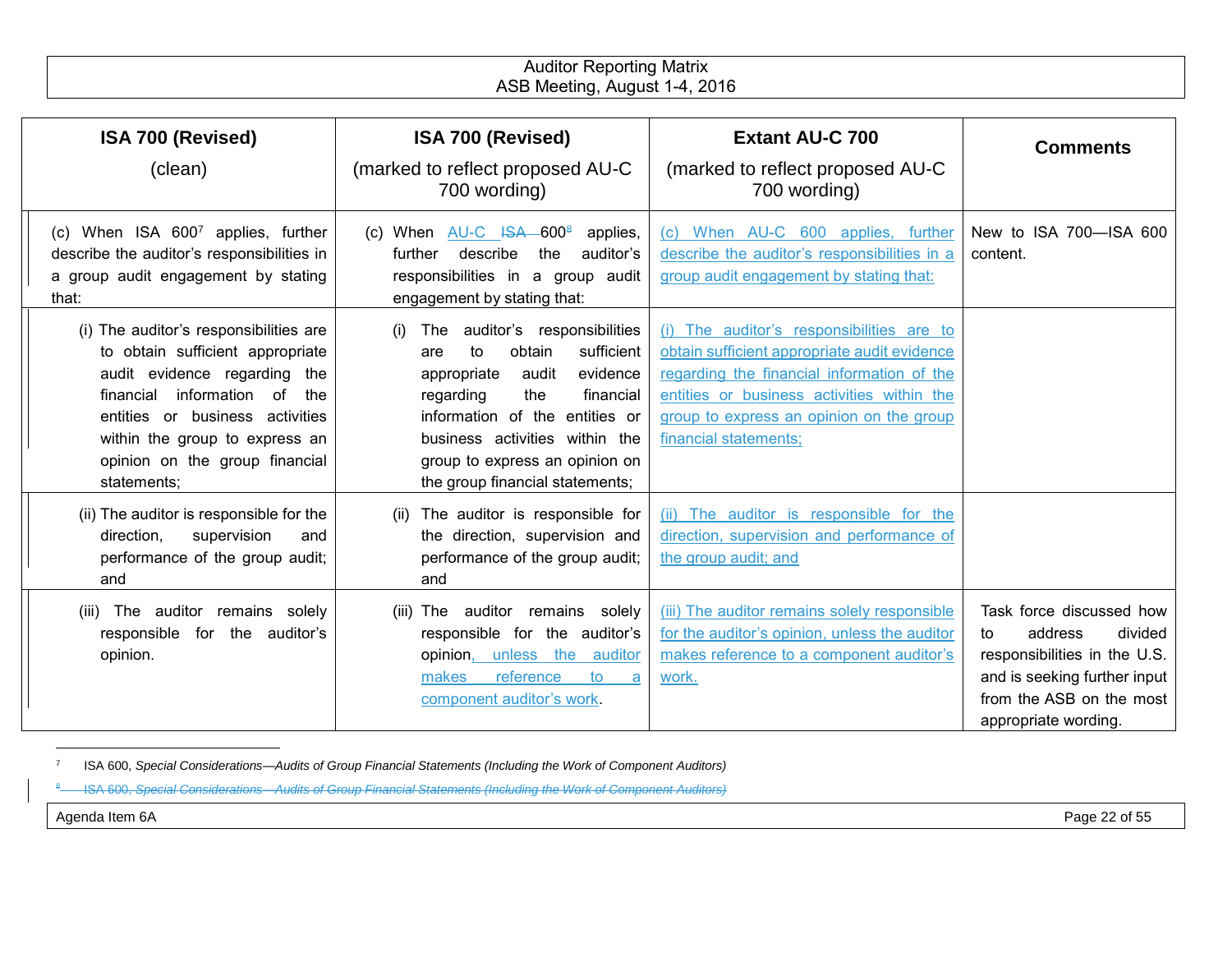| ISA 700 (Revised)<br>(clean)                                                                                                                                                                                                                                              | ISA 700 (Revised)<br>(marked to reflect proposed AU-C)<br>700 wording)                                                                                                                                                                                                                      | <b>Extant AU-C 700</b><br>(marked to reflect proposed AU-C)<br>700 wording)                                                                                                                                                                                | <b>Comments</b>                                                                                                                                                          |
|---------------------------------------------------------------------------------------------------------------------------------------------------------------------------------------------------------------------------------------------------------------------------|---------------------------------------------------------------------------------------------------------------------------------------------------------------------------------------------------------------------------------------------------------------------------------------------|------------------------------------------------------------------------------------------------------------------------------------------------------------------------------------------------------------------------------------------------------------|--------------------------------------------------------------------------------------------------------------------------------------------------------------------------|
| When ISA 6007 applies, further<br>(c)<br>describe the auditor's responsibilities in<br>a group audit engagement by stating<br>that:                                                                                                                                       | When AU-C ISA 600 <sup>8</sup><br>applies,<br>(c)<br>describe<br>the<br>auditor's<br>further<br>responsibilities in a group audit<br>engagement by stating that:                                                                                                                            | (c) When AU-C 600 applies, further<br>describe the auditor's responsibilities in a<br>group audit engagement by stating that:                                                                                                                              | New to ISA 700-ISA 600<br>content.                                                                                                                                       |
| (i) The auditor's responsibilities are<br>to obtain sufficient appropriate<br>audit evidence regarding the<br>information<br>financial<br>of<br>the<br>entities or business activities<br>within the group to express an<br>opinion on the group financial<br>statements: | auditor's responsibilities<br>The<br>(i)<br>sufficient<br>obtain<br>to<br>are<br>evidence<br>appropriate<br>audit<br>regarding<br>the<br>financial<br>information of the entities or<br>business activities within the<br>group to express an opinion on<br>the group financial statements; | (i) The auditor's responsibilities are to<br>obtain sufficient appropriate audit evidence<br>regarding the financial information of the<br>entities or business activities within the<br>group to express an opinion on the group<br>financial statements; |                                                                                                                                                                          |
| (ii) The auditor is responsible for the<br>direction,<br>supervision<br>and<br>performance of the group audit;<br>and                                                                                                                                                     | The auditor is responsible for<br>(ii)<br>the direction, supervision and<br>performance of the group audit;<br>and                                                                                                                                                                          | (ii) The auditor is responsible for the<br>direction, supervision and performance of<br>the group audit; and                                                                                                                                               |                                                                                                                                                                          |
| auditor<br>remains solely<br>The<br>(iii)<br>responsible<br>for the auditor's<br>opinion.                                                                                                                                                                                 | auditor<br>remains<br>$(iii)$ The<br>solely<br>responsible for the auditor's<br>opinion, unless the<br>auditor<br>makes<br>reference<br>to<br>a<br>component auditor's work.                                                                                                                | (iii) The auditor remains solely responsible<br>for the auditor's opinion, unless the auditor<br>makes reference to a component auditor's<br>work.                                                                                                         | Task force discussed how<br>divided<br>address<br>to<br>responsibilities in the U.S.<br>and is seeking further input<br>from the ASB on the most<br>appropriate wording. |

7 ISA 600, *Special Considerations—Audits of Group Financial Statements (Including the Work of Component Auditors)*

8 ISA 600, *Special Considerations—Audits of Group Financial Statements (Including the Work of Component Auditors)*

Agenda Item 6A Page 22 of 55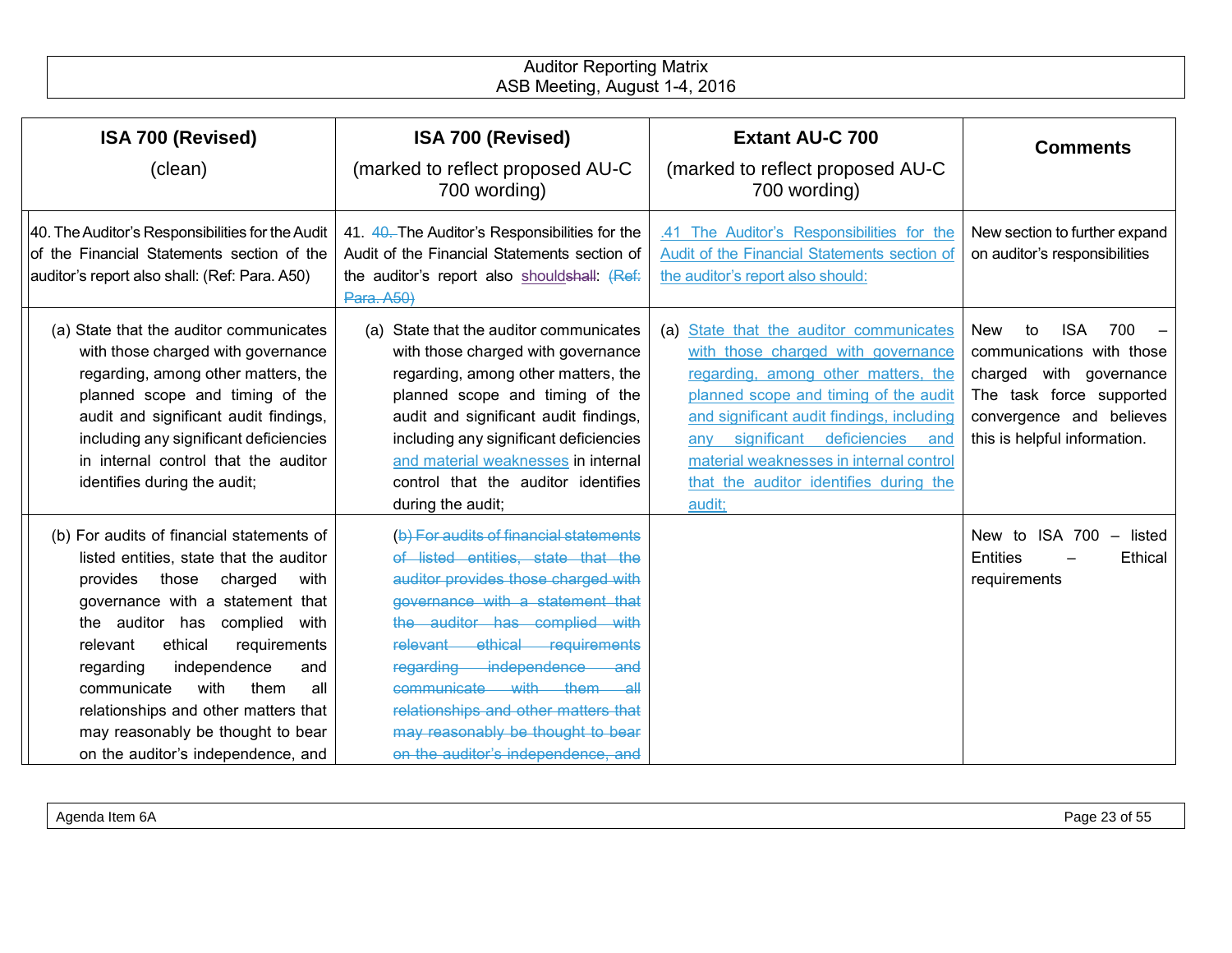<span id="page-22-0"></span>

| ISA 700 (Revised)<br>(clean)                                                                                                                                                                                                                                                                                                                                                                                                             | ISA 700 (Revised)<br>(marked to reflect proposed AU-C<br>700 wording)                                                                                                                                                                                                                                                                                                                                                     | <b>Extant AU-C 700</b><br>(marked to reflect proposed AU-C<br>700 wording)                                                                                                                                                                                                                                                                                | <b>Comments</b>                                                                                                                                                                       |
|------------------------------------------------------------------------------------------------------------------------------------------------------------------------------------------------------------------------------------------------------------------------------------------------------------------------------------------------------------------------------------------------------------------------------------------|---------------------------------------------------------------------------------------------------------------------------------------------------------------------------------------------------------------------------------------------------------------------------------------------------------------------------------------------------------------------------------------------------------------------------|-----------------------------------------------------------------------------------------------------------------------------------------------------------------------------------------------------------------------------------------------------------------------------------------------------------------------------------------------------------|---------------------------------------------------------------------------------------------------------------------------------------------------------------------------------------|
| 40. The Auditor's Responsibilities for the Audit<br>of the Financial Statements section of the<br>auditor's report also shall: (Ref: Para. A50)                                                                                                                                                                                                                                                                                          | 41. 40. The Auditor's Responsibilities for the<br>Audit of the Financial Statements section of<br>the auditor's report also shouldshall: (Ref:<br>Para. A50)                                                                                                                                                                                                                                                              | .41 The Auditor's Responsibilities for the<br>Audit of the Financial Statements section of<br>the auditor's report also should:                                                                                                                                                                                                                           | New section to further expand<br>on auditor's responsibilities                                                                                                                        |
| (a) State that the auditor communicates<br>with those charged with governance<br>regarding, among other matters, the<br>planned scope and timing of the<br>audit and significant audit findings,<br>including any significant deficiencies<br>in internal control that the auditor<br>identifies during the audit;                                                                                                                       | State that the auditor communicates<br>(a)<br>with those charged with governance<br>regarding, among other matters, the<br>planned scope and timing of the<br>audit and significant audit findings,<br>including any significant deficiencies<br>and material weaknesses in internal<br>control that the auditor identifies<br>during the audit;                                                                          | State that the auditor communicates<br>(a)<br>with those charged with governance<br>regarding, among other matters, the<br>planned scope and timing of the audit<br>and significant audit findings, including<br>deficiencies<br>significant<br>anv<br>and<br>material weaknesses in internal control<br>that the auditor identifies during the<br>audit; | <b>ISA</b><br>700<br><b>New</b><br>to<br>communications with those<br>charged with governance<br>The task force supported<br>convergence and believes<br>this is helpful information. |
| (b) For audits of financial statements of<br>listed entities, state that the auditor<br>provides<br>those<br>charged<br>with<br>governance with a statement that<br>the auditor has complied<br>with<br>ethical<br>requirements<br>relevant<br>regarding<br>independence<br>and<br>with<br>communicate<br>them<br>all<br>relationships and other matters that<br>may reasonably be thought to bear<br>on the auditor's independence, and | (b) For audits of financial statements<br>of listed entities, state that the<br>auditor provides those charged with<br>governance with a statement that<br>the auditor has complied with<br>ethical<br>-requirements<br>relevant —<br>independence<br>regarding<br>and<br>communicate with them<br>—а#<br>relationships and other matters that<br>may reasonably be thought to bear<br>on the auditor's independence, and |                                                                                                                                                                                                                                                                                                                                                           | ISA 700 - listed<br>New<br>to<br><b>Entities</b><br><b>Ethical</b><br>requirements                                                                                                    |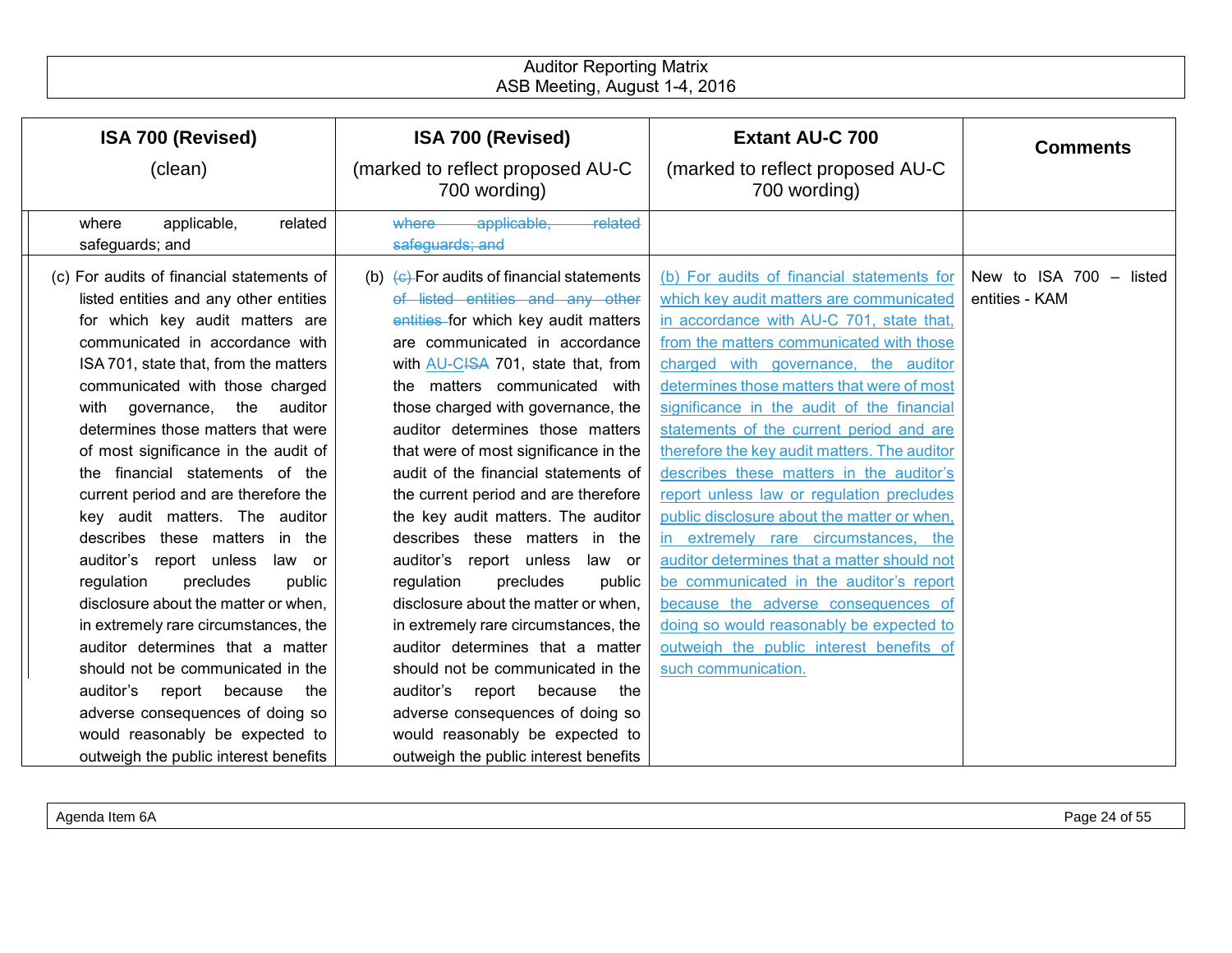|                                                    | <b>Auditor Reporting Matrix</b><br>ASB Meeting, August 1-4, 2016     |                                                  |                           |
|----------------------------------------------------|----------------------------------------------------------------------|--------------------------------------------------|---------------------------|
| ISA 700 (Revised)                                  | ISA 700 (Revised)                                                    | <b>Extant AU-C 700</b>                           | <b>Comments</b>           |
| (clean)                                            | (marked to reflect proposed AU-C<br>700 wording)                     | (marked to reflect proposed AU-C<br>700 wording) |                           |
| applicable,<br>related<br>where<br>safeguards; and | applicable,<br>related<br>where<br>safeguards; and                   |                                                  |                           |
| (c) For audits of financial statements of          | (b) $\left\langle e\right\rangle$ For audits of financial statements | (b) For audits of financial statements for       | New to ISA $700 -$ listed |
| listed entities and any other entities             | of listed entities and any other                                     | which key audit matters are communicated         | entities - KAM            |
| for which key audit matters are                    | entities for which key audit matters                                 | in accordance with AU-C 701, state that,         |                           |
| communicated in accordance with                    | are communicated in accordance                                       | from the matters communicated with those         |                           |
| ISA 701, state that, from the matters              | with AU-CISA 701, state that, from                                   | charged with governance, the auditor             |                           |
| communicated with those charged                    | the matters communicated with                                        | determines those matters that were of most       |                           |
| the<br>with<br>governance,<br>auditor              | those charged with governance, the                                   | significance in the audit of the financial       |                           |
| determines those matters that were                 | auditor determines those matters                                     | statements of the current period and are         |                           |
| of most significance in the audit of               | that were of most significance in the                                | therefore the key audit matters. The auditor     |                           |
| the financial statements of the                    | audit of the financial statements of                                 | describes these matters in the auditor's         |                           |
| current period and are therefore the               | the current period and are therefore                                 | report unless law or regulation precludes        |                           |
| key audit matters. The auditor                     | the key audit matters. The auditor                                   | public disclosure about the matter or when,      |                           |
| describes these matters<br>in the                  | describes these matters in the                                       | in extremely rare circumstances, the             |                           |
| auditor's report unless<br>law or                  | auditor's report unless law or                                       | auditor determines that a matter should not      |                           |
| precludes<br>regulation<br>public                  | precludes<br>regulation<br>public                                    | be communicated in the auditor's report          |                           |
| disclosure about the matter or when,               | disclosure about the matter or when,                                 | because the adverse consequences of              |                           |
| in extremely rare circumstances, the               | in extremely rare circumstances, the                                 | doing so would reasonably be expected to         |                           |
| auditor determines that a matter                   | auditor determines that a matter                                     | outweigh the public interest benefits of         |                           |
| should not be communicated in the                  | should not be communicated in the                                    | such communication.                              |                           |
| auditor's<br>report<br>because<br>the              | report because<br>auditor's<br>the                                   |                                                  |                           |
| adverse consequences of doing so                   | adverse consequences of doing so                                     |                                                  |                           |
| would reasonably be expected to                    | would reasonably be expected to                                      |                                                  |                           |
| outweigh the public interest benefits              | outweigh the public interest benefits                                |                                                  |                           |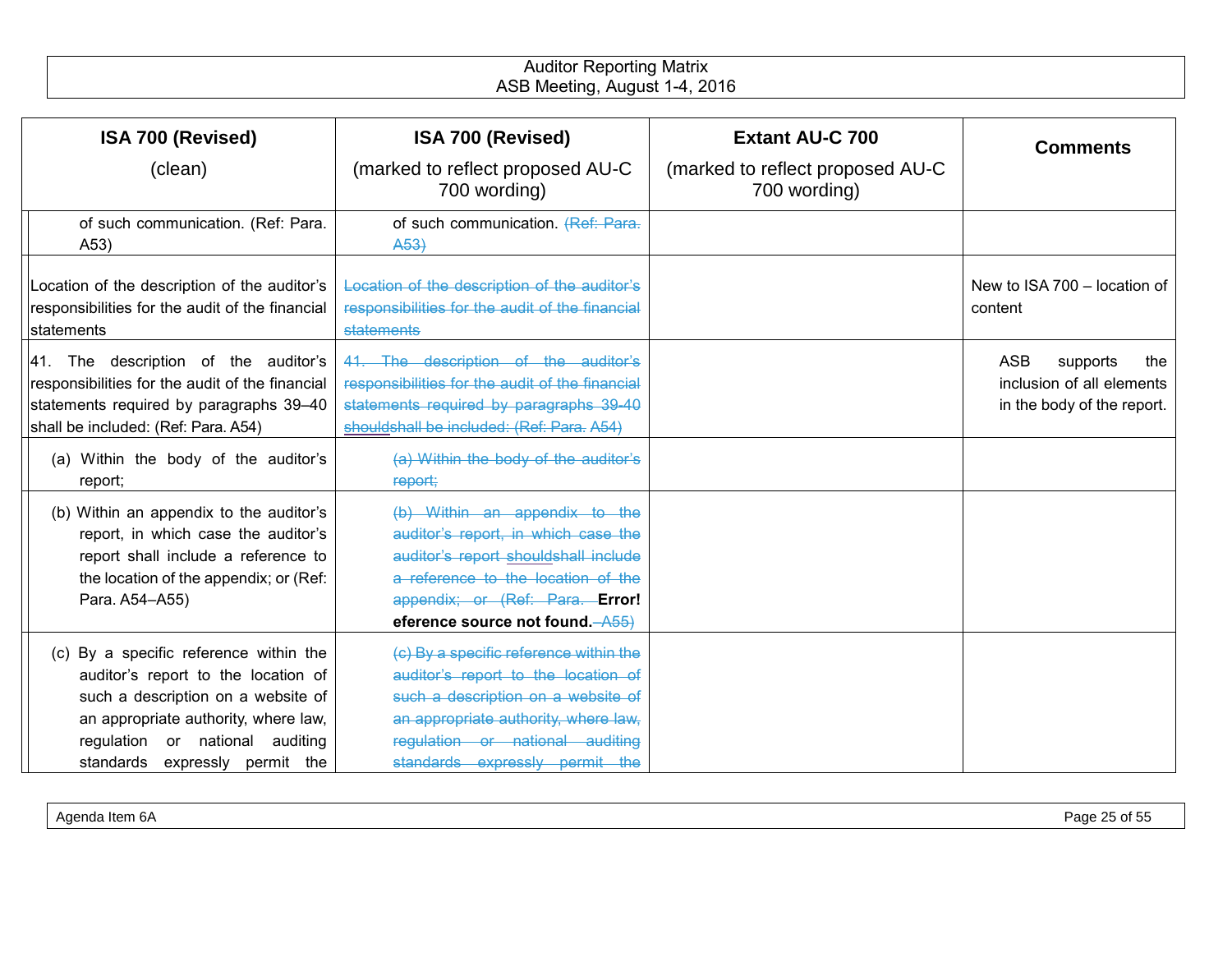| ISA 700 (Revised)                                                                                                                                                                                                                | ISA 700 (Revised)                                                                                                                                                                                                                | <b>Extant AU-C 700</b>                           | <b>Comments</b>                                                                          |
|----------------------------------------------------------------------------------------------------------------------------------------------------------------------------------------------------------------------------------|----------------------------------------------------------------------------------------------------------------------------------------------------------------------------------------------------------------------------------|--------------------------------------------------|------------------------------------------------------------------------------------------|
| (clean)                                                                                                                                                                                                                          | (marked to reflect proposed AU-C<br>700 wording)                                                                                                                                                                                 | (marked to reflect proposed AU-C<br>700 wording) |                                                                                          |
| of such communication. (Ref: Para.<br>A53)                                                                                                                                                                                       | of such communication. (Ref: Para.<br>A53                                                                                                                                                                                        |                                                  |                                                                                          |
| Location of the description of the auditor's<br>responsibilities for the audit of the financial<br>statements                                                                                                                    | Location of the description of the auditor's<br>responsibilities for the audit of the financial<br>statements                                                                                                                    |                                                  | New to ISA 700 - location of<br>content                                                  |
| 41. The description of the auditor's<br>responsibilities for the audit of the financial<br>statements required by paragraphs 39-40<br>shall be included: (Ref: Para. A54)                                                        | 41. The description of the auditor's<br>responsibilities for the audit of the financial<br>statements required by paragraphs 39-40<br>shouldshall be included: (Ref: Para. A54)                                                  |                                                  | <b>ASB</b><br>supports<br>the<br>inclusion of all elements<br>in the body of the report. |
| (a) Within the body of the auditor's<br>report;                                                                                                                                                                                  | (a) Within the body of the auditor's<br>report;                                                                                                                                                                                  |                                                  |                                                                                          |
| (b) Within an appendix to the auditor's<br>report, in which case the auditor's<br>report shall include a reference to<br>the location of the appendix; or (Ref:<br>Para. A54-A55)                                                | (b) Within an appendix to the<br>auditor's report, in which case the<br>auditor's report shouldshall include<br>a reference to the location of the<br>appendix; or (Ref: Para. Error!<br>eference source not found.-455)         |                                                  |                                                                                          |
| (c) By a specific reference within the<br>auditor's report to the location of<br>such a description on a website of<br>an appropriate authority, where law,<br>regulation or national auditing<br>standards expressly permit the | (c) By a specific reference within the<br>auditor's report to the location of<br>such a description on a website of<br>an appropriate authority, where law,<br>regulation or national auditing<br>standards expressly permit the |                                                  |                                                                                          |

Agenda Item 6A Page 25 of 55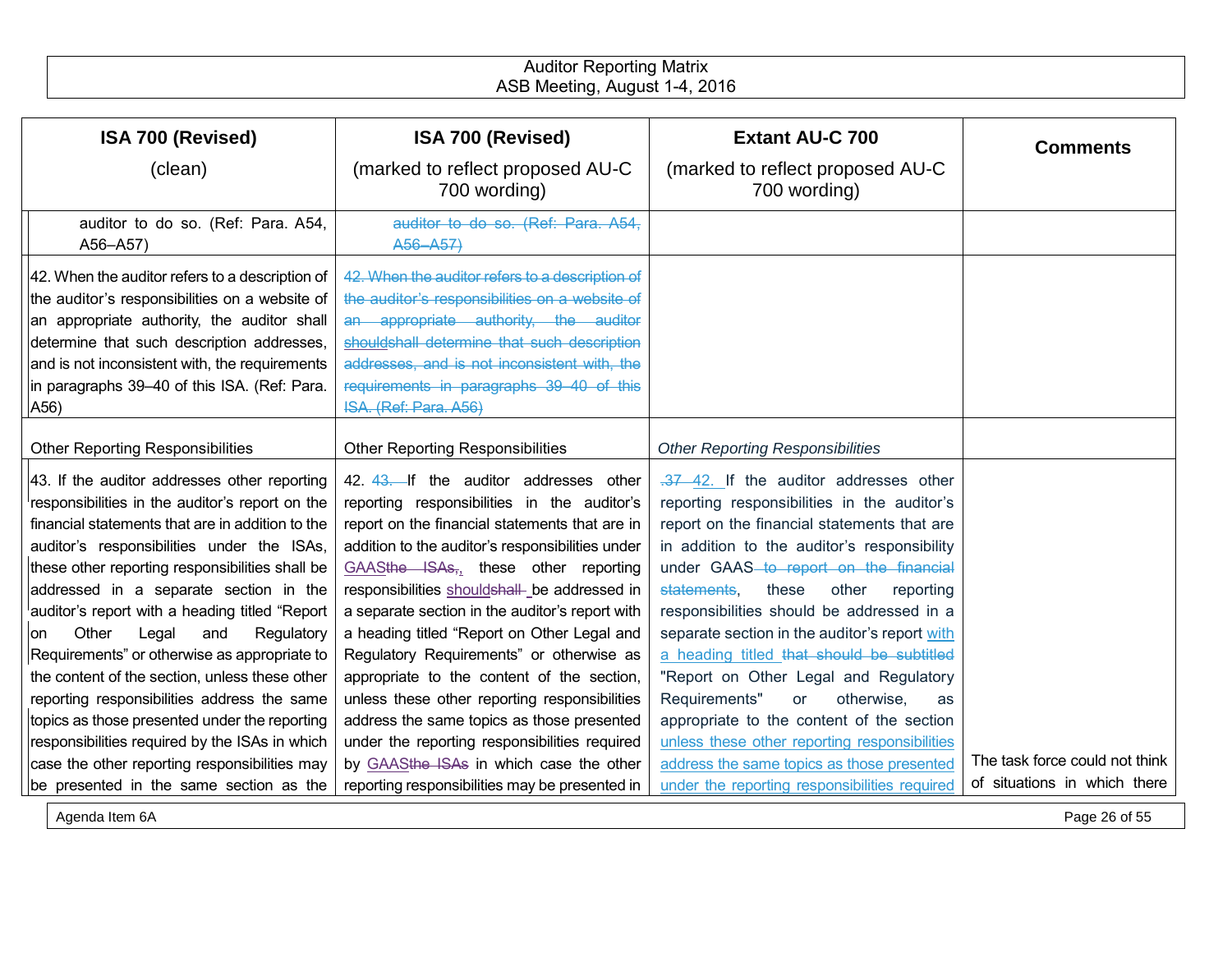| ISA 700 (Revised)                                                                                                                                                                                                                                                                                                                                                                                                                                                                                                                                                                                                                                 | ISA 700 (Revised)                                                                                                                                                                                                                                                                                                                                                                                                                                                                                                                                                                                                              | <b>Extant AU-C 700</b>                                                                                                                                                                                                                                                                                                                                                                                                                                                                                                                                                                                  | <b>Comments</b>                                                |
|---------------------------------------------------------------------------------------------------------------------------------------------------------------------------------------------------------------------------------------------------------------------------------------------------------------------------------------------------------------------------------------------------------------------------------------------------------------------------------------------------------------------------------------------------------------------------------------------------------------------------------------------------|--------------------------------------------------------------------------------------------------------------------------------------------------------------------------------------------------------------------------------------------------------------------------------------------------------------------------------------------------------------------------------------------------------------------------------------------------------------------------------------------------------------------------------------------------------------------------------------------------------------------------------|---------------------------------------------------------------------------------------------------------------------------------------------------------------------------------------------------------------------------------------------------------------------------------------------------------------------------------------------------------------------------------------------------------------------------------------------------------------------------------------------------------------------------------------------------------------------------------------------------------|----------------------------------------------------------------|
| (clean)                                                                                                                                                                                                                                                                                                                                                                                                                                                                                                                                                                                                                                           | (marked to reflect proposed AU-C)<br>700 wording)                                                                                                                                                                                                                                                                                                                                                                                                                                                                                                                                                                              | (marked to reflect proposed AU-C)<br>700 wording)                                                                                                                                                                                                                                                                                                                                                                                                                                                                                                                                                       |                                                                |
| auditor to do so. (Ref: Para. A54,<br>A56-A57)                                                                                                                                                                                                                                                                                                                                                                                                                                                                                                                                                                                                    | auditor to do so. (Ref: Para. A54.<br>A56-A57)                                                                                                                                                                                                                                                                                                                                                                                                                                                                                                                                                                                 |                                                                                                                                                                                                                                                                                                                                                                                                                                                                                                                                                                                                         |                                                                |
| 42. When the auditor refers to a description of<br>the auditor's responsibilities on a website of<br>an appropriate authority, the auditor shall<br>determine that such description addresses,<br>and is not inconsistent with, the requirements<br>in paragraphs 39–40 of this ISA. (Ref: Para.<br>A56)                                                                                                                                                                                                                                                                                                                                          | 42. When the auditor refers to a description of<br>the auditor's responsibilities on a website of<br>an appropriate authority, the auditor<br>shouldshall determine that such description<br>addresses, and is not inconsistent with, the<br>requirements in paragraphs 39 40 of this<br>ISA. (Ref: Para. A56)                                                                                                                                                                                                                                                                                                                 |                                                                                                                                                                                                                                                                                                                                                                                                                                                                                                                                                                                                         |                                                                |
| <b>Other Reporting Responsibilities</b>                                                                                                                                                                                                                                                                                                                                                                                                                                                                                                                                                                                                           | <b>Other Reporting Responsibilities</b>                                                                                                                                                                                                                                                                                                                                                                                                                                                                                                                                                                                        | <b>Other Reporting Responsibilities</b>                                                                                                                                                                                                                                                                                                                                                                                                                                                                                                                                                                 |                                                                |
| 43. If the auditor addresses other reporting<br>responsibilities in the auditor's report on the<br>financial statements that are in addition to the<br>auditor's responsibilities under the ISAs,<br>these other reporting responsibilities shall be<br>addressed in a separate section in the<br>auditor's report with a heading titled "Report<br>Other<br>Regulatory<br>Legal<br>and<br>on<br>Requirements" or otherwise as appropriate to<br>the content of the section, unless these other<br>reporting responsibilities address the same<br>topics as those presented under the reporting<br>responsibilities required by the ISAs in which | 42. 43. If the auditor addresses other<br>reporting responsibilities in the auditor's<br>report on the financial statements that are in<br>addition to the auditor's responsibilities under<br>GAASthe ISAs, these other reporting<br>responsibilities shouldshall be addressed in<br>a separate section in the auditor's report with<br>a heading titled "Report on Other Legal and<br>Regulatory Requirements" or otherwise as<br>appropriate to the content of the section,<br>unless these other reporting responsibilities<br>address the same topics as those presented<br>under the reporting responsibilities required | .37 42. If the auditor addresses other<br>reporting responsibilities in the auditor's<br>report on the financial statements that are<br>in addition to the auditor's responsibility<br>under GAAS to report on the financial<br>other<br>statements.<br>these<br>reporting<br>responsibilities should be addressed in a<br>separate section in the auditor's report with<br>a heading titled that should be subtitled<br>"Report on Other Legal and Regulatory<br>Requirements"<br>otherwise,<br>or<br>as<br>appropriate to the content of the section<br>unless these other reporting responsibilities |                                                                |
| case the other reporting responsibilities may<br>be presented in the same section as the                                                                                                                                                                                                                                                                                                                                                                                                                                                                                                                                                          | by GAASthe ISAs in which case the other<br>reporting responsibilities may be presented in                                                                                                                                                                                                                                                                                                                                                                                                                                                                                                                                      | address the same topics as those presented<br>under the reporting responsibilities required                                                                                                                                                                                                                                                                                                                                                                                                                                                                                                             | The task force could not think<br>of situations in which there |

Agenda Item 6A Page 26 of 55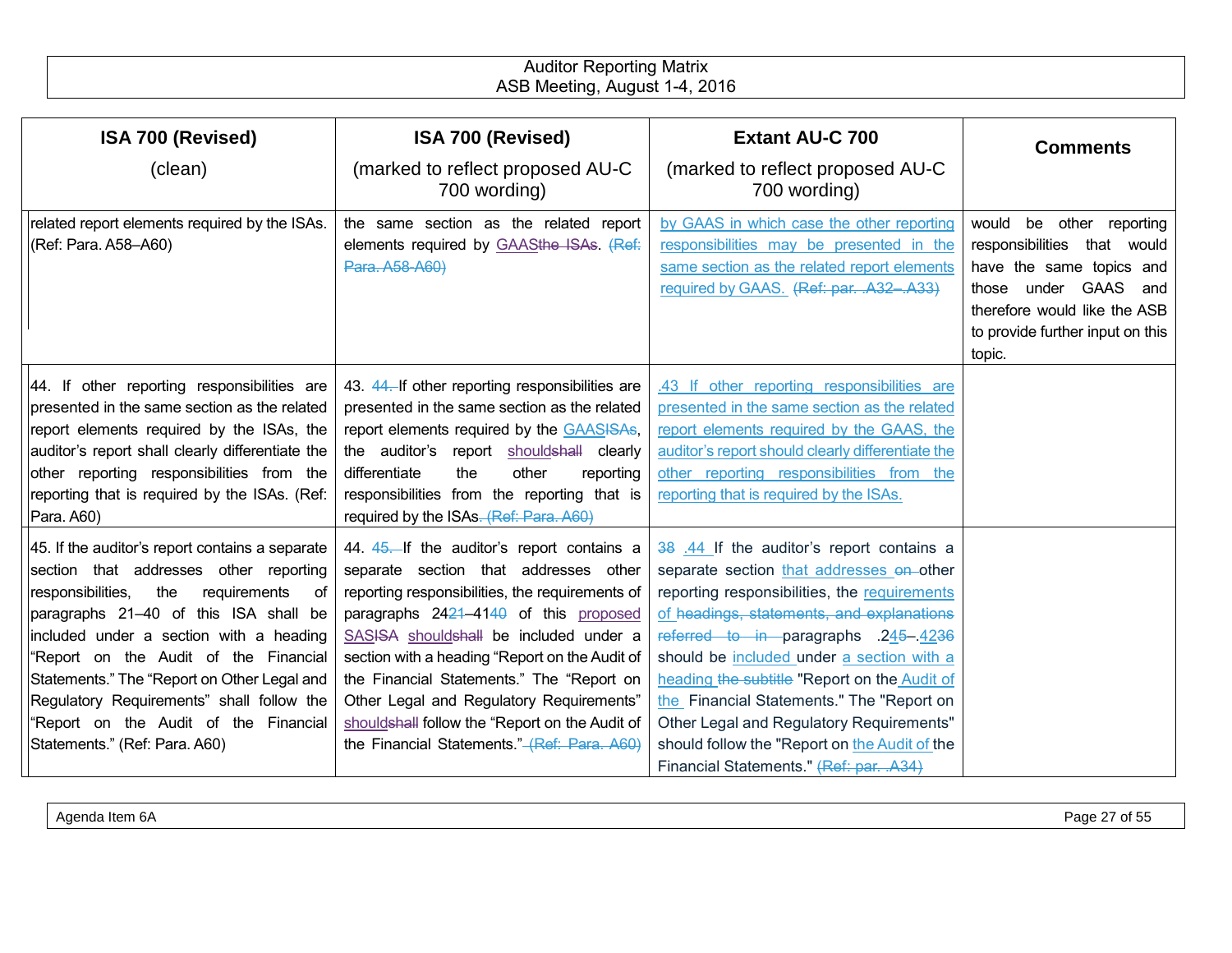| ISA 700 (Revised)                                                                                                                                                                                                                                                                                                                                                                                                                              | ISA 700 (Revised)                                                                                                                                                                                                                                                                                                                                                                                                                                                     | <b>Extant AU-C 700</b>                                                                                                                                                                                                                                                                                                                                                                                                                                                                                        | <b>Comments</b>                                                                                                                                                                                 |
|------------------------------------------------------------------------------------------------------------------------------------------------------------------------------------------------------------------------------------------------------------------------------------------------------------------------------------------------------------------------------------------------------------------------------------------------|-----------------------------------------------------------------------------------------------------------------------------------------------------------------------------------------------------------------------------------------------------------------------------------------------------------------------------------------------------------------------------------------------------------------------------------------------------------------------|---------------------------------------------------------------------------------------------------------------------------------------------------------------------------------------------------------------------------------------------------------------------------------------------------------------------------------------------------------------------------------------------------------------------------------------------------------------------------------------------------------------|-------------------------------------------------------------------------------------------------------------------------------------------------------------------------------------------------|
| (clean)                                                                                                                                                                                                                                                                                                                                                                                                                                        | (marked to reflect proposed AU-C<br>700 wording)                                                                                                                                                                                                                                                                                                                                                                                                                      | (marked to reflect proposed AU-C<br>700 wording)                                                                                                                                                                                                                                                                                                                                                                                                                                                              |                                                                                                                                                                                                 |
| related report elements required by the ISAs.<br>(Ref: Para. A58-A60)                                                                                                                                                                                                                                                                                                                                                                          | the same section as the related report<br>elements required by GAASthe ISAs. (Ref:<br>Para, A58-A60)                                                                                                                                                                                                                                                                                                                                                                  | by GAAS in which case the other reporting<br>responsibilities may be presented in the<br>same section as the related report elements<br>required by GAAS. (Ref: par. .A32-.A33)                                                                                                                                                                                                                                                                                                                               | be other reporting<br>would<br>responsibilities that would<br>have the same topics and<br>those under GAAS<br>and<br>therefore would like the ASB<br>to provide further input on this<br>topic. |
| 44. If other reporting responsibilities are<br>presented in the same section as the related<br>report elements required by the ISAs, the<br>auditor's report shall clearly differentiate the<br>other reporting responsibilities from the<br>reporting that is required by the ISAs. (Ref:<br>Para. A60)                                                                                                                                       | 43. 44. If other reporting responsibilities are<br>presented in the same section as the related<br>report elements required by the GAASISAs,<br>the auditor's report shouldshall clearly<br>other<br>differentiate<br>the<br>reporting<br>responsibilities from the reporting that is<br>required by the ISAs. (Ref: Para. A60)                                                                                                                                       | .43 If other reporting responsibilities are<br>presented in the same section as the related<br>report elements required by the GAAS, the<br>auditor's report should clearly differentiate the<br>other reporting responsibilities from the<br>reporting that is required by the ISAs.                                                                                                                                                                                                                         |                                                                                                                                                                                                 |
| 45. If the auditor's report contains a separate<br>section that addresses other reporting<br>the<br>responsibilities,<br>requirements<br>of<br>paragraphs 21–40 of this ISA shall be<br>included under a section with a heading<br>"Report on the Audit of the Financial<br>Statements." The "Report on Other Legal and<br>Regulatory Requirements" shall follow the<br>"Report on the Audit of the Financial<br>Statements." (Ref: Para. A60) | 44. 45. If the auditor's report contains a<br>separate section that addresses other<br>reporting responsibilities, the requirements of<br>paragraphs 2421-4140 of this proposed<br>SASISA shouldshall be included under a<br>section with a heading "Report on the Audit of<br>the Financial Statements." The "Report on<br>Other Legal and Regulatory Requirements"<br>shouldshall follow the "Report on the Audit of<br>the Financial Statements."-(Ref: Para. A60) | 38 .44 If the auditor's report contains a<br>separate section that addresses on other<br>reporting responsibilities, the requirements<br>of headings, statements, and explanations<br>referred to in paragraphs .245-.4236<br>should be included under a section with a<br>heading the subtitle "Report on the Audit of<br>the Financial Statements." The "Report on<br>Other Legal and Regulatory Requirements"<br>should follow the "Report on the Audit of the<br>Financial Statements." (Ref: par. . A34) |                                                                                                                                                                                                 |

Agenda Item 6A Page 27 of 55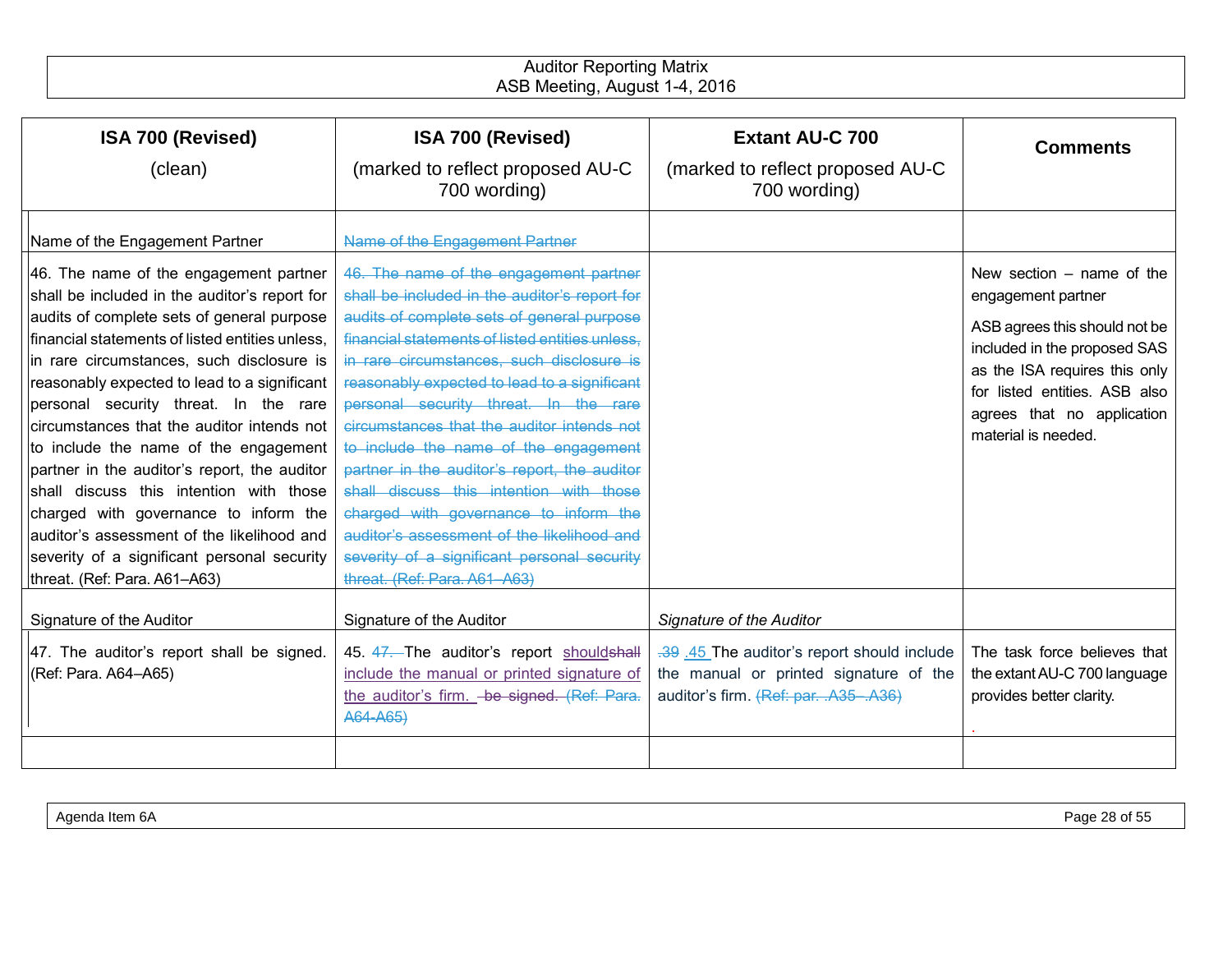| <b>Auditor Reporting Matrix</b><br>ASB Meeting, August 1-4, 2016                                                                                                                                                                                                                                                                                                                                                                                                                                                                                                                                                                                                                       |                                                                                                                                                                                                                                                                                                                                                                                                                                                                                                                                                                                                                                                                                        |                                                                                                                                |                                                                                                                                                                                                                                           |
|----------------------------------------------------------------------------------------------------------------------------------------------------------------------------------------------------------------------------------------------------------------------------------------------------------------------------------------------------------------------------------------------------------------------------------------------------------------------------------------------------------------------------------------------------------------------------------------------------------------------------------------------------------------------------------------|----------------------------------------------------------------------------------------------------------------------------------------------------------------------------------------------------------------------------------------------------------------------------------------------------------------------------------------------------------------------------------------------------------------------------------------------------------------------------------------------------------------------------------------------------------------------------------------------------------------------------------------------------------------------------------------|--------------------------------------------------------------------------------------------------------------------------------|-------------------------------------------------------------------------------------------------------------------------------------------------------------------------------------------------------------------------------------------|
| ISA 700 (Revised)                                                                                                                                                                                                                                                                                                                                                                                                                                                                                                                                                                                                                                                                      | ISA 700 (Revised)                                                                                                                                                                                                                                                                                                                                                                                                                                                                                                                                                                                                                                                                      | <b>Extant AU-C 700</b>                                                                                                         | <b>Comments</b>                                                                                                                                                                                                                           |
| (clean)                                                                                                                                                                                                                                                                                                                                                                                                                                                                                                                                                                                                                                                                                | (marked to reflect proposed AU-C<br>700 wording)                                                                                                                                                                                                                                                                                                                                                                                                                                                                                                                                                                                                                                       | (marked to reflect proposed AU-C<br>700 wording)                                                                               |                                                                                                                                                                                                                                           |
| Name of the Engagement Partner                                                                                                                                                                                                                                                                                                                                                                                                                                                                                                                                                                                                                                                         | Name of the Engagement Partner                                                                                                                                                                                                                                                                                                                                                                                                                                                                                                                                                                                                                                                         |                                                                                                                                |                                                                                                                                                                                                                                           |
| 46. The name of the engagement partner<br>shall be included in the auditor's report for<br>audits of complete sets of general purpose<br>financial statements of listed entities unless,<br>in rare circumstances, such disclosure is<br>reasonably expected to lead to a significant<br>personal security threat. In the rare<br>circumstances that the auditor intends not<br>to include the name of the engagement<br>partner in the auditor's report, the auditor<br>shall discuss this intention with those<br>charged with governance to inform the<br>auditor's assessment of the likelihood and<br>severity of a significant personal security<br>threat. (Ref: Para. A61-A63) | 46. The name of the engagement partner<br>shall be included in the auditor's report for<br>audits of complete sets of general purpose<br>financial statements of listed entities unless.<br>in rare circumstances, such disclosure is<br>reasonably expected to lead to a significant<br>personal security threat. In the rare<br>circumstances that the auditor intends not<br>to include the name of the engagement<br>partner in the auditor's report, the auditor<br>shall discuss this intention with those<br>charged with governance to inform the<br>auditor's assessment of the likelihood and<br>severity of a significant personal security<br>threat. (Ref: Para. A61-A63) |                                                                                                                                | New section $-$ name of the<br>engagement partner<br>ASB agrees this should not be<br>included in the proposed SAS<br>as the ISA requires this only<br>for listed entities. ASB also<br>agrees that no application<br>material is needed. |
| Signature of the Auditor                                                                                                                                                                                                                                                                                                                                                                                                                                                                                                                                                                                                                                                               | Signature of the Auditor                                                                                                                                                                                                                                                                                                                                                                                                                                                                                                                                                                                                                                                               | Signature of the Auditor                                                                                                       |                                                                                                                                                                                                                                           |
| 47. The auditor's report shall be signed.<br>(Ref: Para. A64-A65)                                                                                                                                                                                                                                                                                                                                                                                                                                                                                                                                                                                                                      | 45. 47. The auditor's report shouldshall<br>include the manual or printed signature of<br>the auditor's firm. - be signed. (Ref: Para.<br>A64-A65)                                                                                                                                                                                                                                                                                                                                                                                                                                                                                                                                     | .39 .45 The auditor's report should include<br>the manual or printed signature of the<br>auditor's firm. (Ref: par. .A35-.A36) | The task force believes that<br>the extant AU-C 700 language<br>provides better clarity.                                                                                                                                                  |
|                                                                                                                                                                                                                                                                                                                                                                                                                                                                                                                                                                                                                                                                                        |                                                                                                                                                                                                                                                                                                                                                                                                                                                                                                                                                                                                                                                                                        |                                                                                                                                |                                                                                                                                                                                                                                           |

Agenda Item 6A Page 28 of 55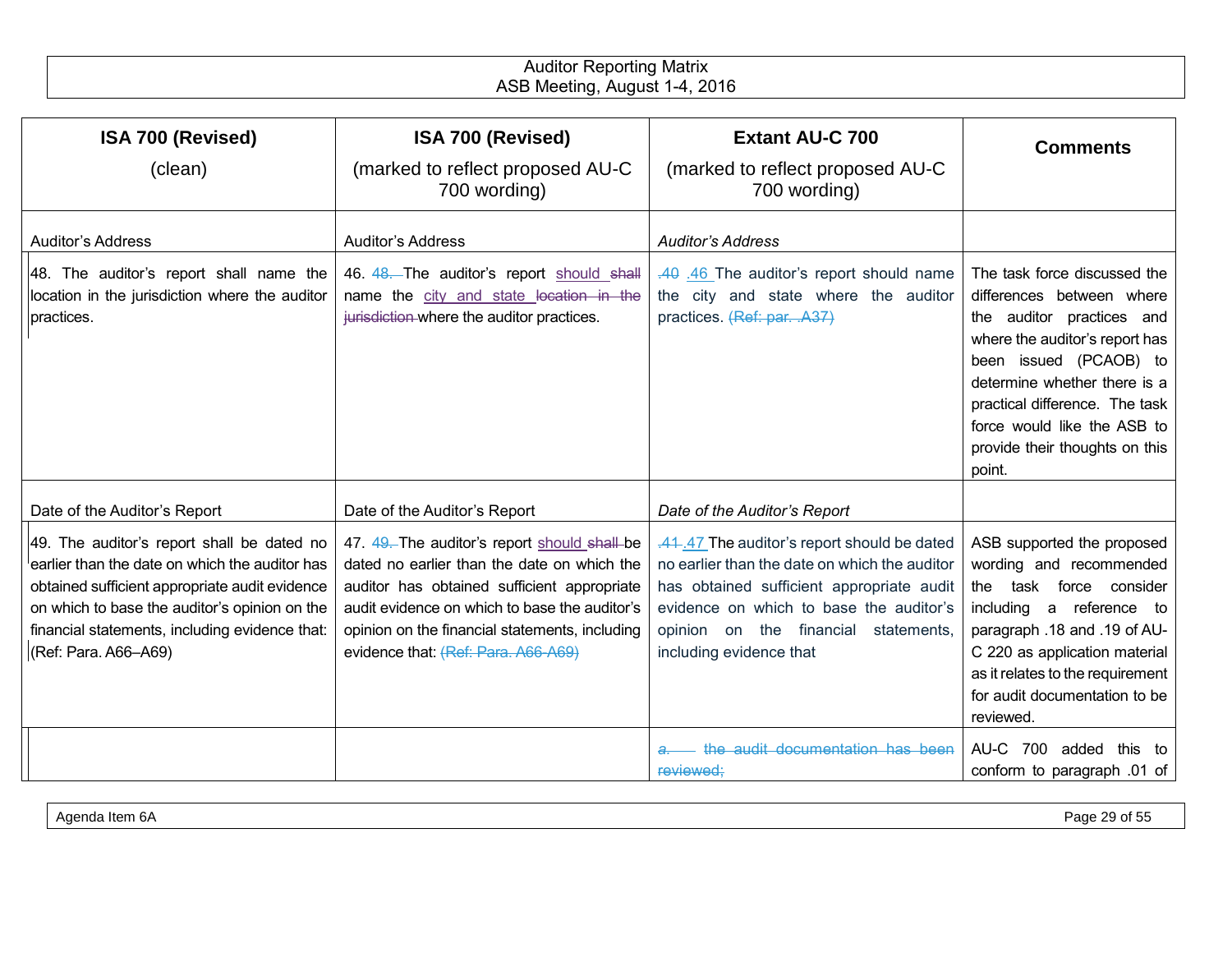|                                                                                                                                                                                                                                                                           | <b>Auditor Reporting Matrix</b>                                                                                                                                                                                                                                                      |                                                                                                                                                                                                                                                         |                                                                                                                                                                                                                                                                                                 |
|---------------------------------------------------------------------------------------------------------------------------------------------------------------------------------------------------------------------------------------------------------------------------|--------------------------------------------------------------------------------------------------------------------------------------------------------------------------------------------------------------------------------------------------------------------------------------|---------------------------------------------------------------------------------------------------------------------------------------------------------------------------------------------------------------------------------------------------------|-------------------------------------------------------------------------------------------------------------------------------------------------------------------------------------------------------------------------------------------------------------------------------------------------|
|                                                                                                                                                                                                                                                                           | ASB Meeting, August 1-4, 2016                                                                                                                                                                                                                                                        |                                                                                                                                                                                                                                                         |                                                                                                                                                                                                                                                                                                 |
| ISA 700 (Revised)                                                                                                                                                                                                                                                         | ISA 700 (Revised)                                                                                                                                                                                                                                                                    | <b>Extant AU-C 700</b>                                                                                                                                                                                                                                  | <b>Comments</b>                                                                                                                                                                                                                                                                                 |
| (clean)                                                                                                                                                                                                                                                                   | (marked to reflect proposed AU-C<br>700 wording)                                                                                                                                                                                                                                     | (marked to reflect proposed AU-C<br>700 wording)                                                                                                                                                                                                        |                                                                                                                                                                                                                                                                                                 |
| Auditor's Address                                                                                                                                                                                                                                                         | <b>Auditor's Address</b>                                                                                                                                                                                                                                                             | <b>Auditor's Address</b>                                                                                                                                                                                                                                |                                                                                                                                                                                                                                                                                                 |
| 48. The auditor's report shall name the<br>location in the jurisdiction where the auditor<br>practices.                                                                                                                                                                   | 46. 48. The auditor's report should shall<br>name the city and state location in the<br>jurisdiction where the auditor practices.                                                                                                                                                    | .40 .46 The auditor's report should name<br>the city and state where the auditor<br>practices. (Ref: par. .A37)                                                                                                                                         | The task force discussed the<br>differences between where<br>the auditor practices and<br>where the auditor's report has<br>been issued (PCAOB) to<br>determine whether there is a<br>practical difference. The task<br>force would like the ASB to<br>provide their thoughts on this<br>point. |
| Date of the Auditor's Report                                                                                                                                                                                                                                              | Date of the Auditor's Report                                                                                                                                                                                                                                                         | Date of the Auditor's Report                                                                                                                                                                                                                            |                                                                                                                                                                                                                                                                                                 |
| 49. The auditor's report shall be dated no<br>earlier than the date on which the auditor has<br>obtained sufficient appropriate audit evidence<br>on which to base the auditor's opinion on the<br>financial statements, including evidence that:<br>(Ref: Para. A66-A69) | 47. 49. The auditor's report should shall be<br>dated no earlier than the date on which the<br>auditor has obtained sufficient appropriate<br>audit evidence on which to base the auditor's<br>opinion on the financial statements, including<br>evidence that: (Ref: Para. A66-A69) | .41.47 The auditor's report should be dated<br>no earlier than the date on which the auditor<br>has obtained sufficient appropriate audit<br>evidence on which to base the auditor's<br>opinion on the financial statements,<br>including evidence that | ASB supported the proposed<br>wording and recommended<br>task force consider<br>the<br>including a reference to<br>paragraph .18 and .19 of AU-<br>C 220 as application material<br>as it relates to the requirement<br>for audit documentation to be<br>reviewed.                              |
|                                                                                                                                                                                                                                                                           |                                                                                                                                                                                                                                                                                      | the audit documentation has been<br>reviewed;                                                                                                                                                                                                           | AU-C<br>700<br>added<br>this to<br>conform to paragraph .01 of                                                                                                                                                                                                                                  |

Agenda Item 6A Page 29 of 55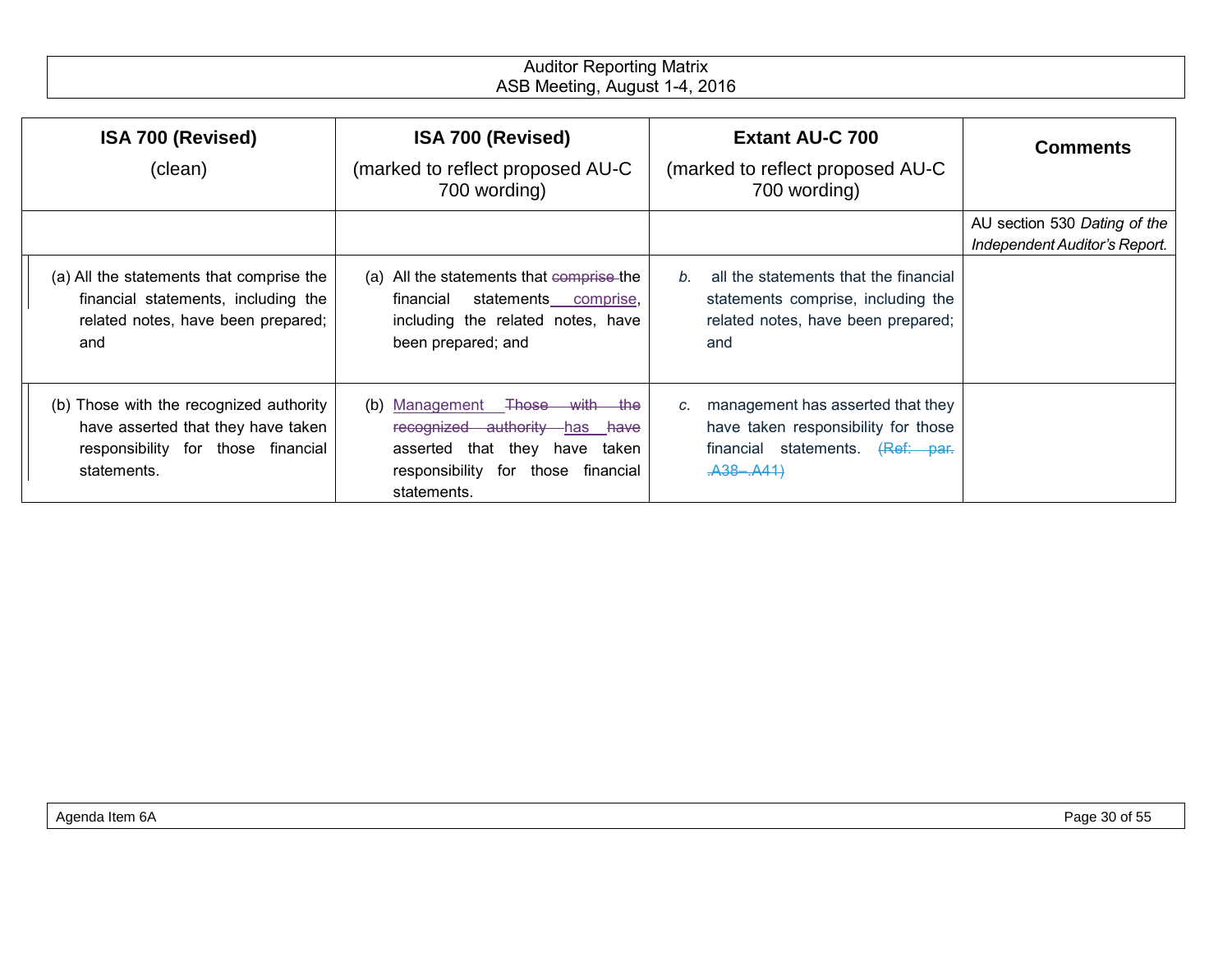| Matrix<br>้วrtinc<br>Auditor |
|------------------------------|
| _____<br>ີ                   |
| 004.<br>אוורי                |
|                              |

| ISA 700 (Revised)<br>(clean)                                                                                                       | ISA 700 (Revised)<br>(marked to reflect proposed AU-C)<br>700 wording)                                                                                     | <b>Extant AU-C 700</b><br>(marked to reflect proposed AU-C<br>700 wording)                                                             | <b>Comments</b>                                               |
|------------------------------------------------------------------------------------------------------------------------------------|------------------------------------------------------------------------------------------------------------------------------------------------------------|----------------------------------------------------------------------------------------------------------------------------------------|---------------------------------------------------------------|
|                                                                                                                                    |                                                                                                                                                            |                                                                                                                                        | AU section 530 Dating of the<br>Independent Auditor's Report. |
| (a) All the statements that comprise the<br>financial statements, including the<br>related notes, have been prepared;<br>and       | (a) All the statements that comprise the<br>statements comprise,<br>financial<br>including the related notes, have<br>been prepared; and                   | all the statements that the financial<br>$b_{-}$<br>statements comprise, including the<br>related notes, have been prepared;<br>and    |                                                               |
| (b) Those with the recognized authority<br>have asserted that they have taken<br>responsibility for those financial<br>statements. | (b) Management Those with the<br>recognized authority has have<br>asserted that they have<br>taken<br>financial<br>responsibility for those<br>statements. | management has asserted that they<br>C.<br>have taken responsibility for those<br>financial statements. (Ref: par.<br>$-0.438 - 0.441$ |                                                               |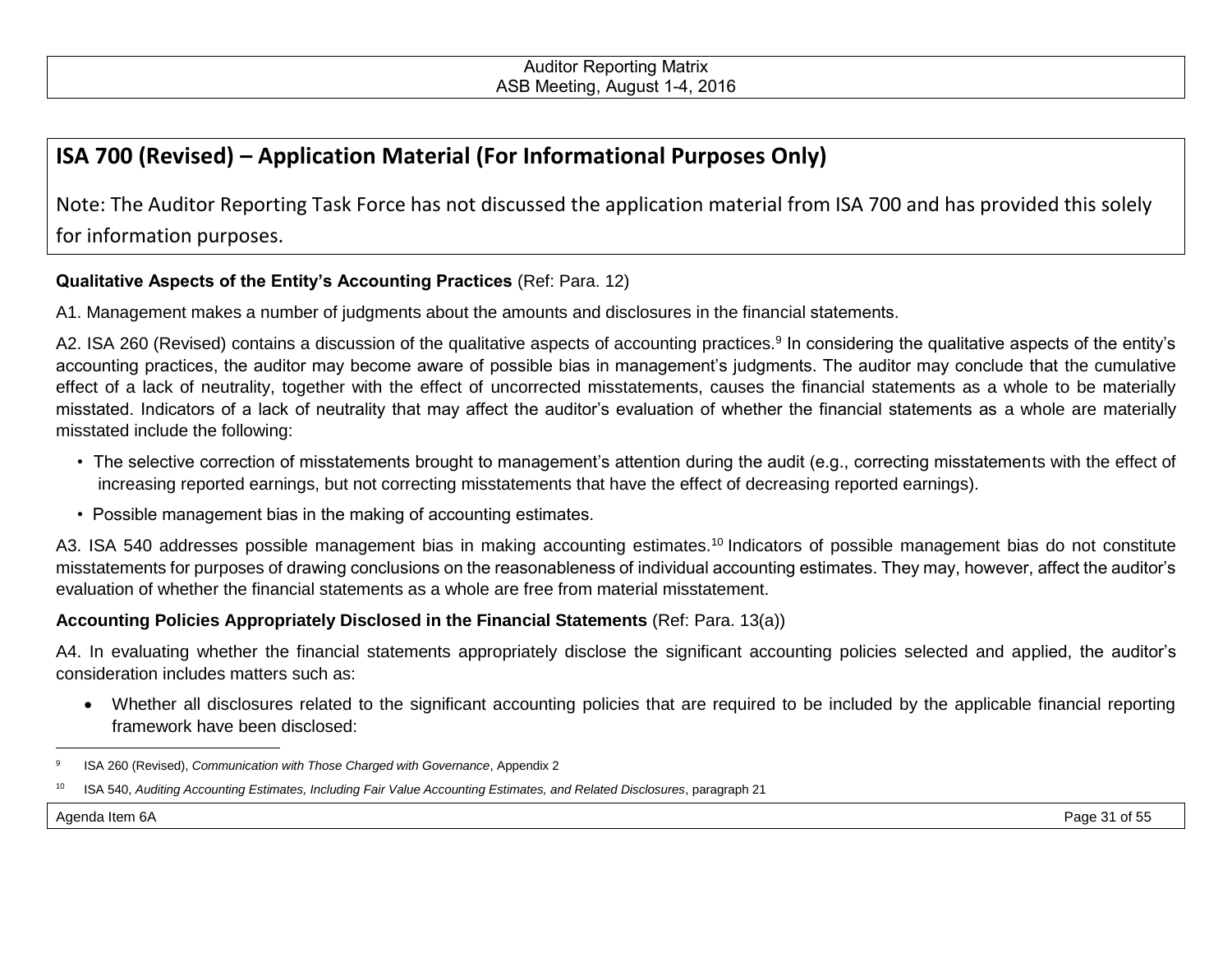# **ISA 700 (Revised) – Application Material (For Informational Purposes Only)**

Note: The Auditor Reporting Task Force has not discussed the application material from ISA 700 and has provided this solely for information purposes.

## **Qualitative Aspects of the Entity's Accounting Practices** (Ref: Para. 12)

A1. Management makes a number of judgments about the amounts and disclosures in the financial statements.

A2. ISA 260 (Revised) contains a discussion of the qualitative aspects of accounting practices.<sup>9</sup> In considering the qualitative aspects of the entity's accounting practices, the auditor may become aware of possible bias in management's judgments. The auditor may conclude that the cumulative effect of a lack of neutrality, together with the effect of uncorrected misstatements, causes the financial statements as a whole to be materially misstated. Indicators of a lack of neutrality that may affect the auditor's evaluation of whether the financial statements as a whole are materially misstated include the following:

- The selective correction of misstatements brought to management's attention during the audit (e.g., correcting misstatements with the effect of increasing reported earnings, but not correcting misstatements that have the effect of decreasing reported earnings).
- Possible management bias in the making of accounting estimates.

A3. ISA 540 addresses possible management bias in making accounting estimates.<sup>10</sup> Indicators of possible management bias do not constitute misstatements for purposes of drawing conclusions on the reasonableness of individual accounting estimates. They may, however, affect the auditor's evaluation of whether the financial statements as a whole are free from material misstatement.

## **Accounting Policies Appropriately Disclosed in the Financial Statements** (Ref: Para. 13(a))

A4. In evaluating whether the financial statements appropriately disclose the significant accounting policies selected and applied, the auditor's consideration includes matters such as:

 Whether all disclosures related to the significant accounting policies that are required to be included by the applicable financial reporting framework have been disclosed:

Agenda Item 6A Page 31 of 55

<sup>9</sup> ISA 260 (Revised), *Communication with Those Charged with Governance*, Appendix 2

<sup>10</sup> ISA 540, *Auditing Accounting Estimates, Including Fair Value Accounting Estimates, and Related Disclosures*, paragraph 21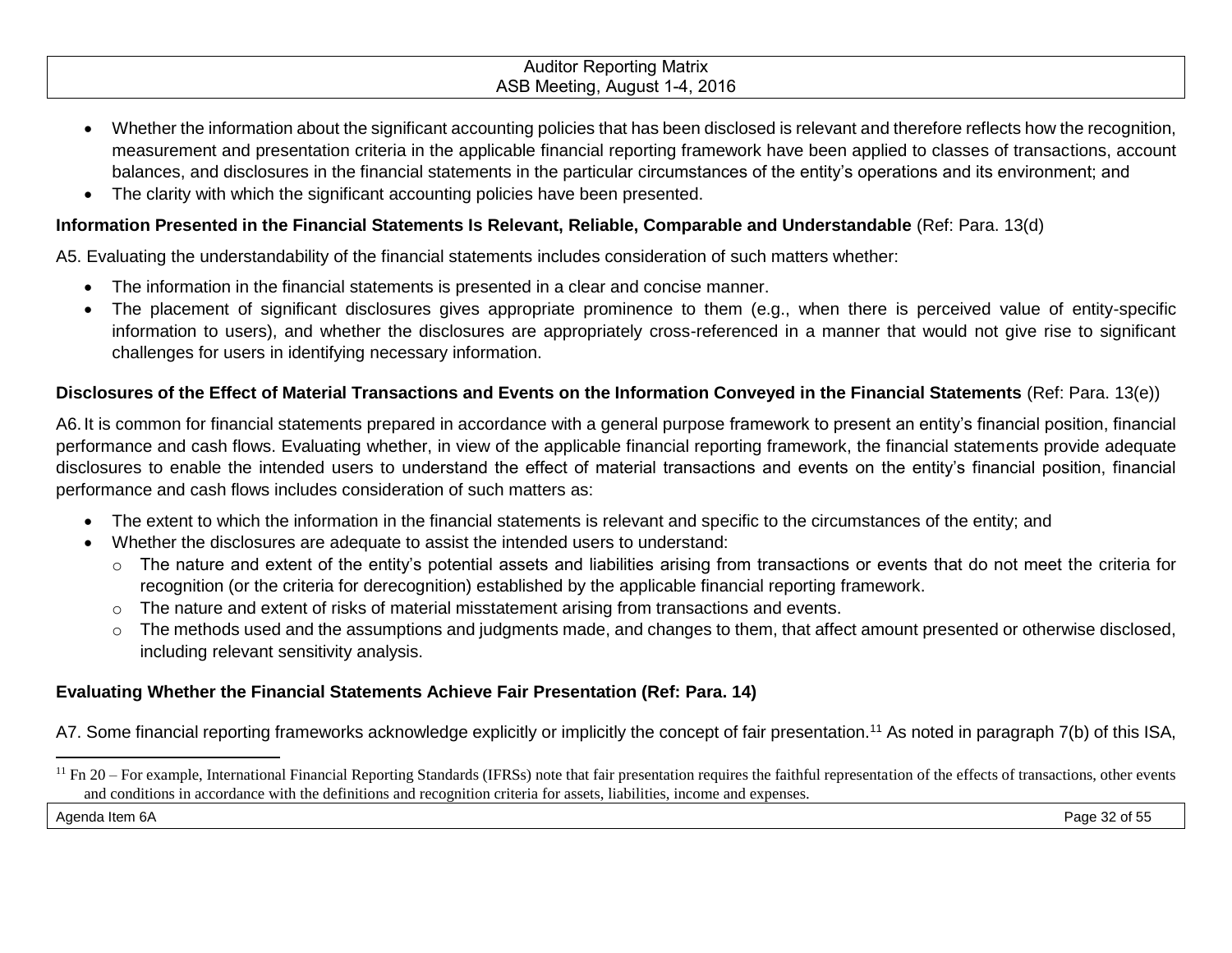- Whether the information about the significant accounting policies that has been disclosed is relevant and therefore reflects how the recognition, measurement and presentation criteria in the applicable financial reporting framework have been applied to classes of transactions, account balances, and disclosures in the financial statements in the particular circumstances of the entity's operations and its environment; and
- The clarity with which the significant accounting policies have been presented.

## **Information Presented in the Financial Statements Is Relevant, Reliable, Comparable and Understandable** (Ref: Para. 13(d)

A5. Evaluating the understandability of the financial statements includes consideration of such matters whether:

- The information in the financial statements is presented in a clear and concise manner.
- The placement of significant disclosures gives appropriate prominence to them (e.g., when there is perceived value of entity-specific information to users), and whether the disclosures are appropriately cross-referenced in a manner that would not give rise to significant challenges for users in identifying necessary information.

## **Disclosures of the Effect of Material Transactions and Events on the Information Conveyed in the Financial Statements** (Ref: Para. 13(e))

A6.It is common for financial statements prepared in accordance with a general purpose framework to present an entity's financial position, financial performance and cash flows. Evaluating whether, in view of the applicable financial reporting framework, the financial statements provide adequate disclosures to enable the intended users to understand the effect of material transactions and events on the entity's financial position, financial performance and cash flows includes consideration of such matters as:

- The extent to which the information in the financial statements is relevant and specific to the circumstances of the entity; and
- Whether the disclosures are adequate to assist the intended users to understand:
	- $\circ$  The nature and extent of the entity's potential assets and liabilities arising from transactions or events that do not meet the criteria for recognition (or the criteria for derecognition) established by the applicable financial reporting framework.
	- $\circ$  The nature and extent of risks of material misstatement arising from transactions and events.
	- $\circ$  The methods used and the assumptions and judgments made, and changes to them, that affect amount presented or otherwise disclosed, including relevant sensitivity analysis.

## **Evaluating Whether the Financial Statements Achieve Fair Presentation (Ref: Para. 14)**

A7. Some financial reporting frameworks acknowledge explicitly or implicitly the concept of fair presentation.<sup>11</sup> As noted in paragraph 7(b) of this ISA,

Agenda Item 6A Page 32 of 55

 $\overline{\phantom{a}}$  $11$  Fn 20 – For example, International Financial Reporting Standards (IFRSs) note that fair presentation requires the faithful representation of the effects of transactions, other events and conditions in accordance with the definitions and recognition criteria for assets, liabilities, income and expenses.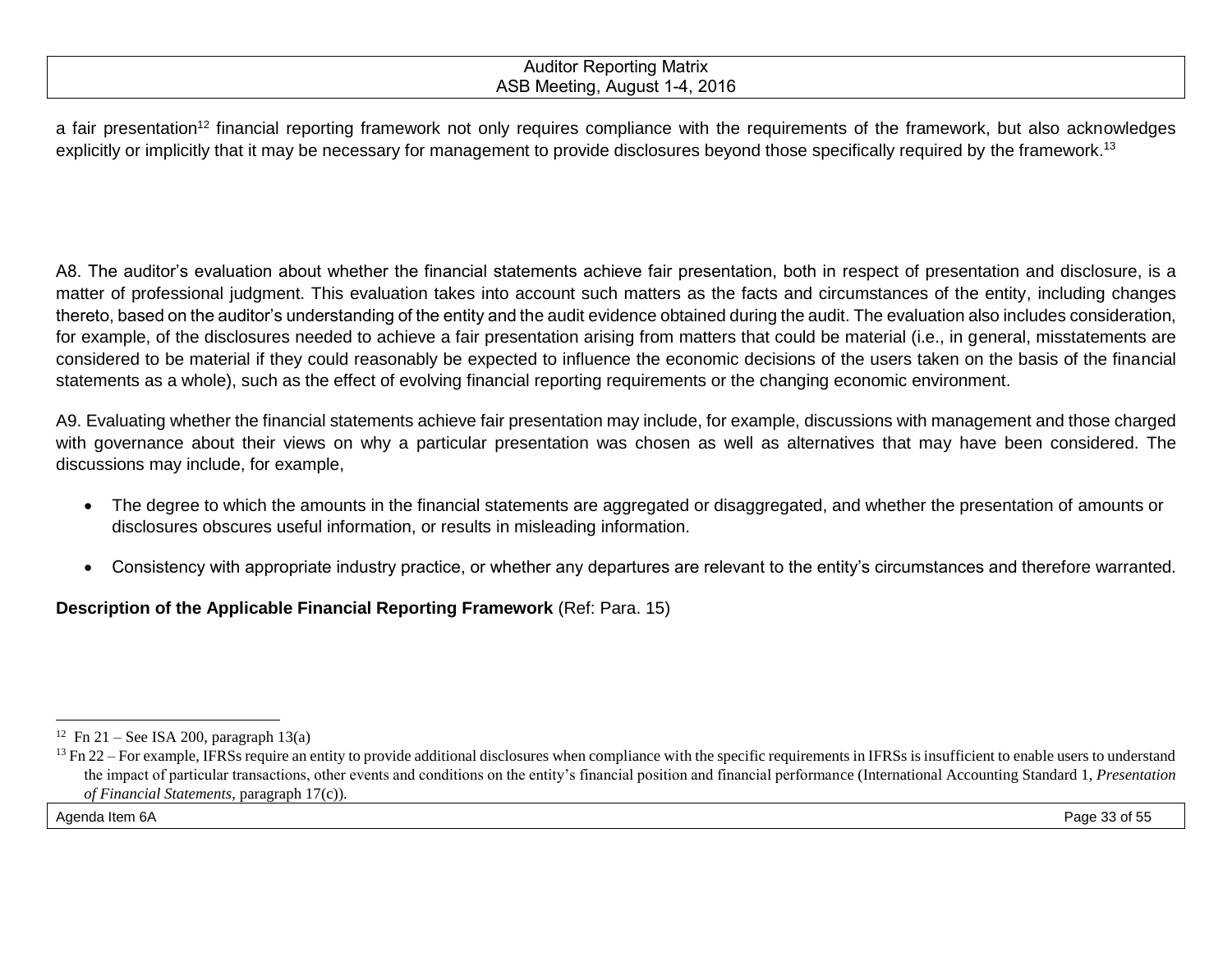a fair presentation<sup>12</sup> financial reporting framework not only requires compliance with the requirements of the framework, but also acknowledges explicitly or implicitly that it may be necessary for management to provide disclosures beyond those specifically required by the framework.<sup>13</sup>

A8. The auditor's evaluation about whether the financial statements achieve fair presentation, both in respect of presentation and disclosure, is a matter of professional judgment. This evaluation takes into account such matters as the facts and circumstances of the entity, including changes thereto, based on the auditor's understanding of the entity and the audit evidence obtained during the audit. The evaluation also includes consideration, for example, of the disclosures needed to achieve a fair presentation arising from matters that could be material (i.e., in general, misstatements are considered to be material if they could reasonably be expected to influence the economic decisions of the users taken on the basis of the financial statements as a whole), such as the effect of evolving financial reporting requirements or the changing economic environment.

A9. Evaluating whether the financial statements achieve fair presentation may include, for example, discussions with management and those charged with governance about their views on why a particular presentation was chosen as well as alternatives that may have been considered. The discussions may include, for example,

- The degree to which the amounts in the financial statements are aggregated or disaggregated, and whether the presentation of amounts or disclosures obscures useful information, or results in misleading information.
- Consistency with appropriate industry practice, or whether any departures are relevant to the entity's circumstances and therefore warranted.

**Description of the Applicable Financial Reporting Framework** (Ref: Para. 15)

Agenda Item 6A Page 33 of 55

 $\overline{\phantom{a}}$  $12$  Fn 21 – See ISA 200, paragraph 13(a)

<sup>&</sup>lt;sup>13</sup> Fn 22 – For example, IFRSs require an entity to provide additional disclosures when compliance with the specific requirements in IFRSs is insufficient to enable users to understand the impact of particular transactions, other events and conditions on the entity's financial position and financial performance (International Accounting Standard 1, *Presentation of Financial Statements*, paragraph 17(c)).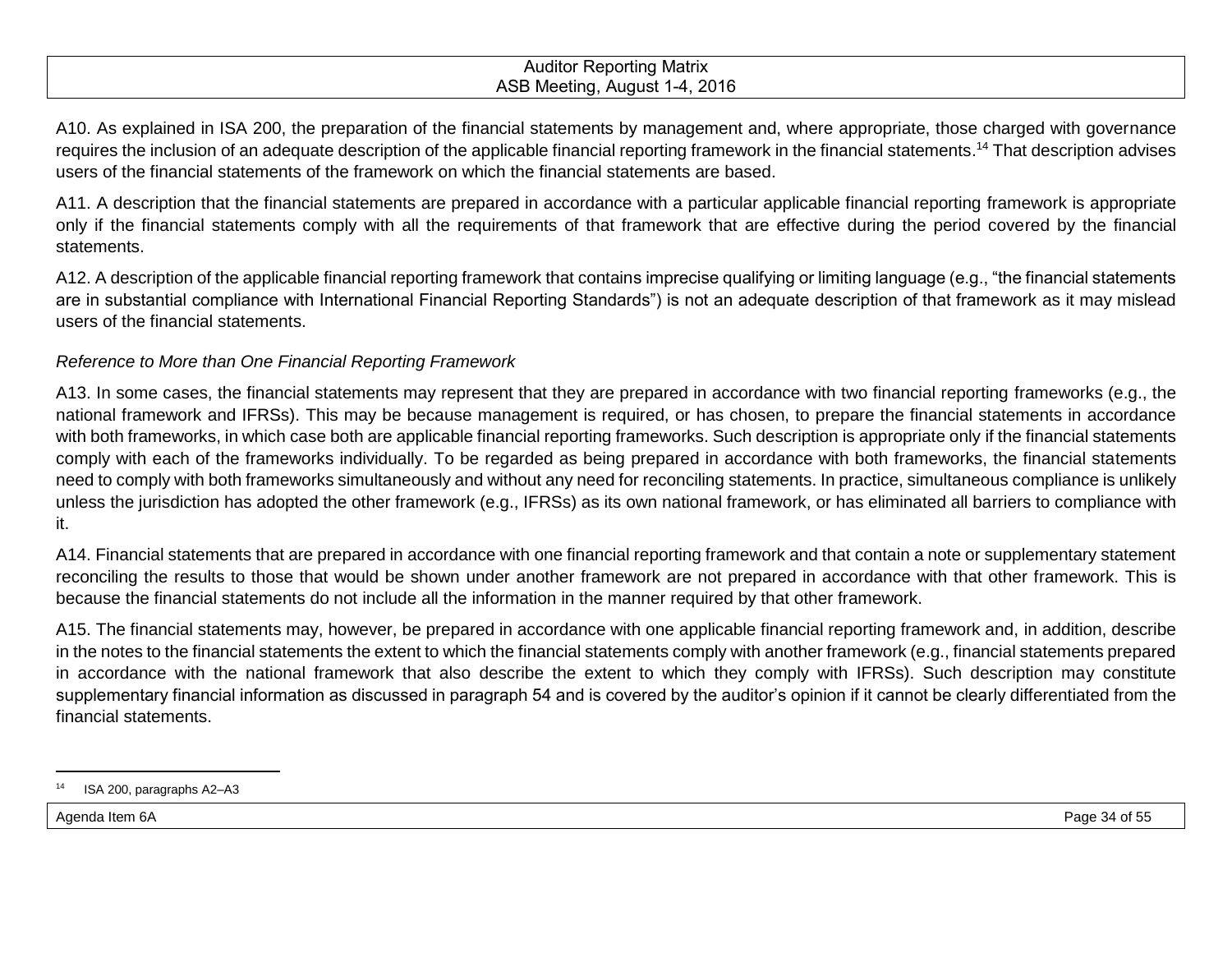A10. As explained in ISA 200, the preparation of the financial statements by management and, where appropriate, those charged with governance requires the inclusion of an adequate description of the applicable financial reporting framework in the financial statements.<sup>14</sup> That description advises users of the financial statements of the framework on which the financial statements are based.

A11. A description that the financial statements are prepared in accordance with a particular applicable financial reporting framework is appropriate only if the financial statements comply with all the requirements of that framework that are effective during the period covered by the financial statements.

A12. A description of the applicable financial reporting framework that contains imprecise qualifying or limiting language (e.g., "the financial statements are in substantial compliance with International Financial Reporting Standards") is not an adequate description of that framework as it may mislead users of the financial statements.

## *Reference to More than One Financial Reporting Framework*

A13. In some cases, the financial statements may represent that they are prepared in accordance with two financial reporting frameworks (e.g., the national framework and IFRSs). This may be because management is required, or has chosen, to prepare the financial statements in accordance with both frameworks, in which case both are applicable financial reporting frameworks. Such description is appropriate only if the financial statements comply with each of the frameworks individually. To be regarded as being prepared in accordance with both frameworks, the financial statements need to comply with both frameworks simultaneously and without any need for reconciling statements. In practice, simultaneous compliance is unlikely unless the jurisdiction has adopted the other framework (e.g., IFRSs) as its own national framework, or has eliminated all barriers to compliance with it.

A14. Financial statements that are prepared in accordance with one financial reporting framework and that contain a note or supplementary statement reconciling the results to those that would be shown under another framework are not prepared in accordance with that other framework. This is because the financial statements do not include all the information in the manner required by that other framework.

A15. The financial statements may, however, be prepared in accordance with one applicable financial reporting framework and, in addition, describe in the notes to the financial statements the extent to which the financial statements comply with another framework (e.g., financial statements prepared in accordance with the national framework that also describe the extent to which they comply with IFRSs). Such description may constitute supplementary financial information as discussed in paragraph 54 and is covered by the auditor's opinion if it cannot be clearly differentiated from the financial statements.

<sup>14</sup> ISA 200, paragraphs A2–A3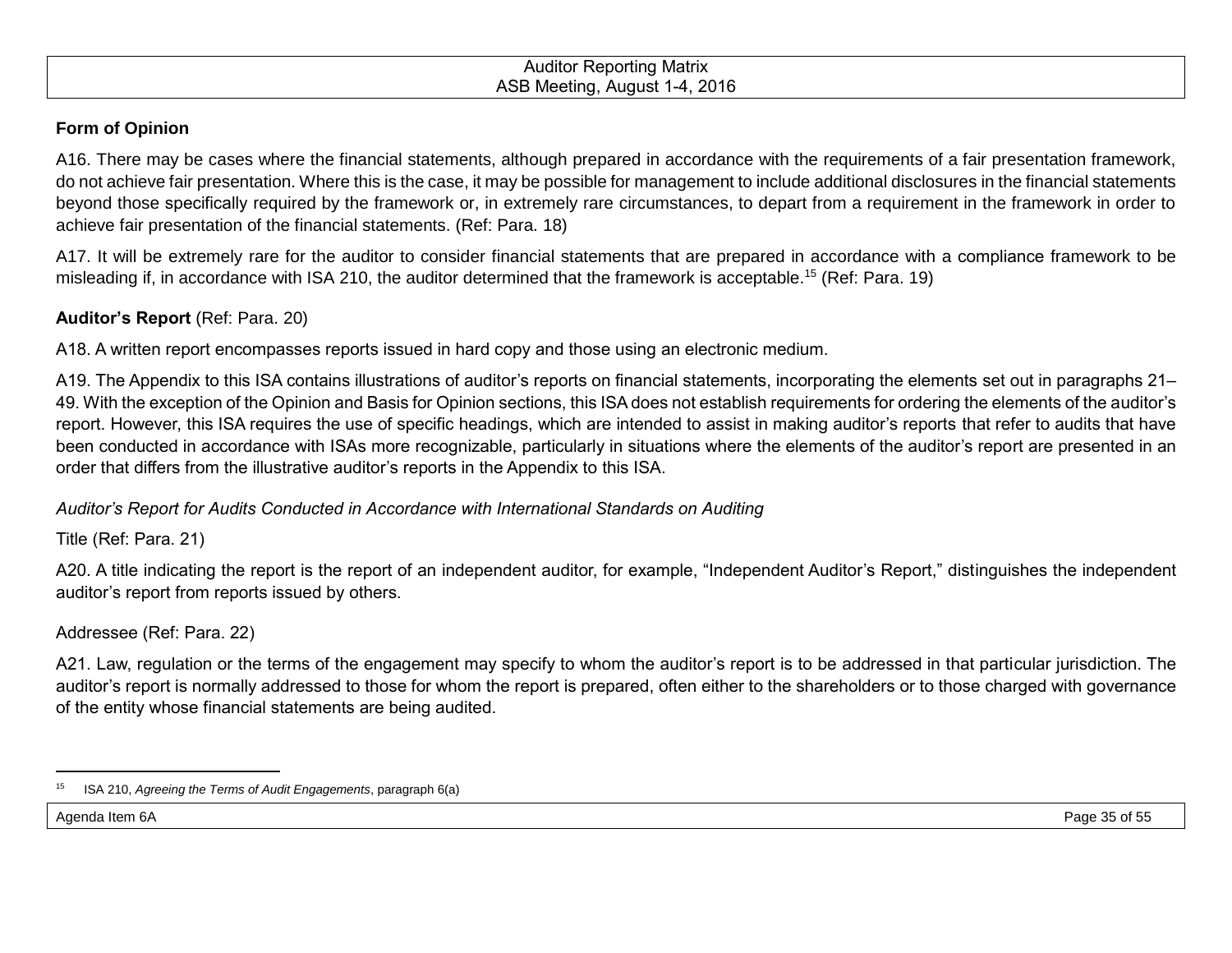## **Form of Opinion**

A16. There may be cases where the financial statements, although prepared in accordance with the requirements of a fair presentation framework, do not achieve fair presentation. Where this is the case, it may be possible for management to include additional disclosures in the financial statements beyond those specifically required by the framework or, in extremely rare circumstances, to depart from a requirement in the framework in order to achieve fair presentation of the financial statements. (Ref: Para. 18)

A17. It will be extremely rare for the auditor to consider financial statements that are prepared in accordance with a compliance framework to be misleading if, in accordance with ISA 210, the auditor determined that the framework is acceptable.<sup>15</sup> (Ref: Para. 19)

## **Auditor's Report** (Ref: Para. 20)

A18. A written report encompasses reports issued in hard copy and those using an electronic medium.

A19. The Appendix to this ISA contains illustrations of auditor's reports on financial statements, incorporating the elements set out in paragraphs 21– 49. With the exception of the Opinion and Basis for Opinion sections, this ISA does not establish requirements for ordering the elements of the auditor's report. However, this ISA requires the use of specific headings, which are intended to assist in making auditor's reports that refer to audits that have been conducted in accordance with ISAs more recognizable, particularly in situations where the elements of the auditor's report are presented in an order that differs from the illustrative auditor's reports in the Appendix to this ISA.

## *Auditor's Report for Audits Conducted in Accordance with International Standards on Auditing*

Title (Ref: Para. 21)

A20. A title indicating the report is the report of an independent auditor, for example, "Independent Auditor's Report," distinguishes the independent auditor's report from reports issued by others.

Addressee (Ref: Para. 22)

A21. Law, regulation or the terms of the engagement may specify to whom the auditor's report is to be addressed in that particular jurisdiction. The auditor's report is normally addressed to those for whom the report is prepared, often either to the shareholders or to those charged with governance of the entity whose financial statements are being audited.

Agenda Item 6A Page 35 of 55

<sup>15</sup> ISA 210, *Agreeing the Terms of Audit Engagements*, paragraph 6(a)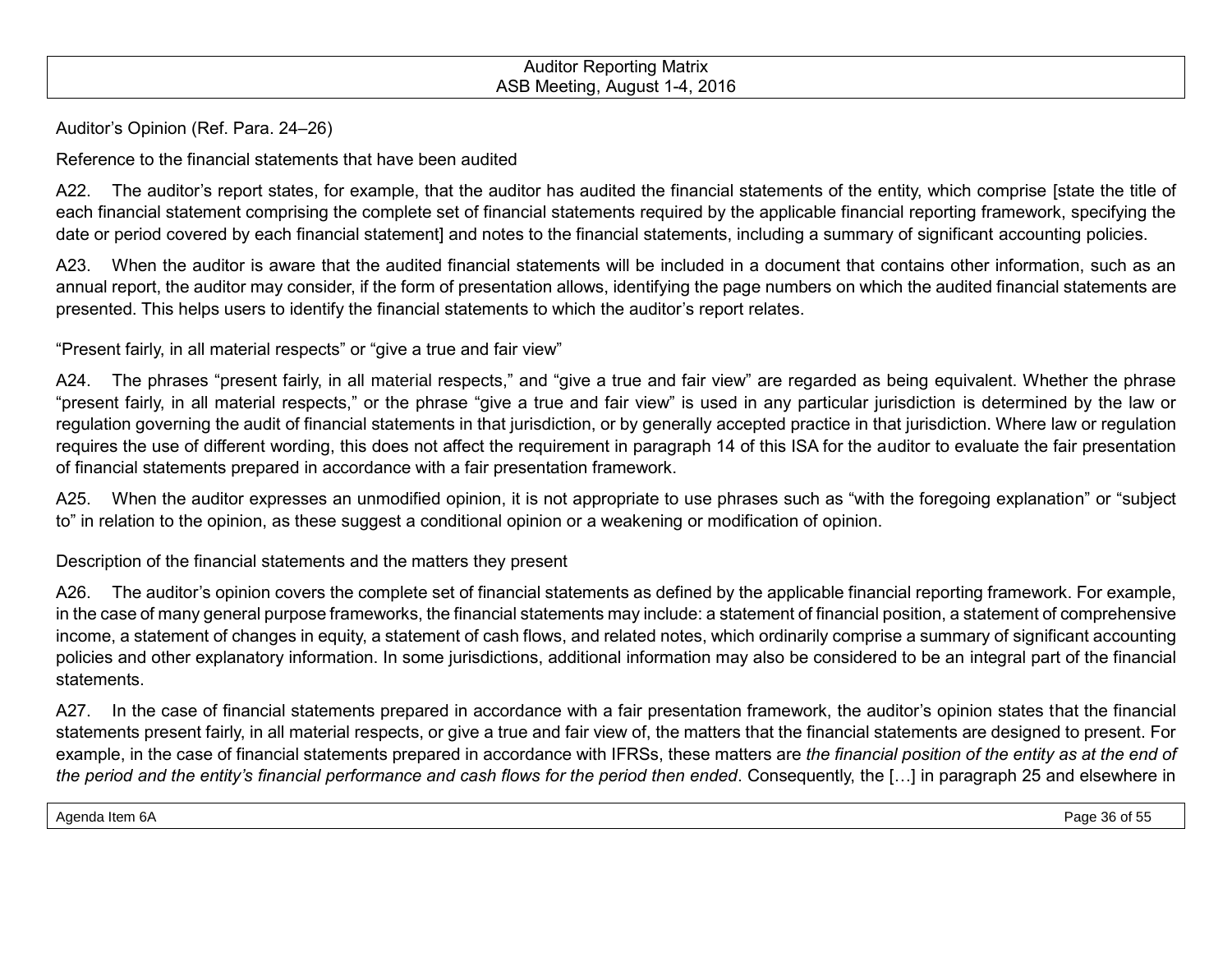Auditor's Opinion (Ref. Para. 24–26)

Reference to the financial statements that have been audited

A22. The auditor's report states, for example, that the auditor has audited the financial statements of the entity, which comprise [state the title of each financial statement comprising the complete set of financial statements required by the applicable financial reporting framework, specifying the date or period covered by each financial statement] and notes to the financial statements, including a summary of significant accounting policies.

A23. When the auditor is aware that the audited financial statements will be included in a document that contains other information, such as an annual report, the auditor may consider, if the form of presentation allows, identifying the page numbers on which the audited financial statements are presented. This helps users to identify the financial statements to which the auditor's report relates.

"Present fairly, in all material respects" or "give a true and fair view"

A24. The phrases "present fairly, in all material respects," and "give a true and fair view" are regarded as being equivalent. Whether the phrase "present fairly, in all material respects," or the phrase "give a true and fair view" is used in any particular jurisdiction is determined by the law or regulation governing the audit of financial statements in that jurisdiction, or by generally accepted practice in that jurisdiction. Where law or regulation requires the use of different wording, this does not affect the requirement in paragraph 14 of this ISA for the auditor to evaluate the fair presentation of financial statements prepared in accordance with a fair presentation framework.

A25. When the auditor expresses an unmodified opinion, it is not appropriate to use phrases such as "with the foregoing explanation" or "subject to" in relation to the opinion, as these suggest a conditional opinion or a weakening or modification of opinion.

Description of the financial statements and the matters they present

A26. The auditor's opinion covers the complete set of financial statements as defined by the applicable financial reporting framework. For example, in the case of many general purpose frameworks, the financial statements may include: a statement of financial position, a statement of comprehensive income, a statement of changes in equity, a statement of cash flows, and related notes, which ordinarily comprise a summary of significant accounting policies and other explanatory information. In some jurisdictions, additional information may also be considered to be an integral part of the financial statements.

A27. In the case of financial statements prepared in accordance with a fair presentation framework, the auditor's opinion states that the financial statements present fairly, in all material respects, or give a true and fair view of, the matters that the financial statements are designed to present. For example, in the case of financial statements prepared in accordance with IFRSs, these matters are *the financial position of the entity as at the end of the period and the entity's financial performance and cash flows for the period then ended*. Consequently, the […] in paragraph 25 and elsewhere in

Agenda Item 6A Page 36 of 55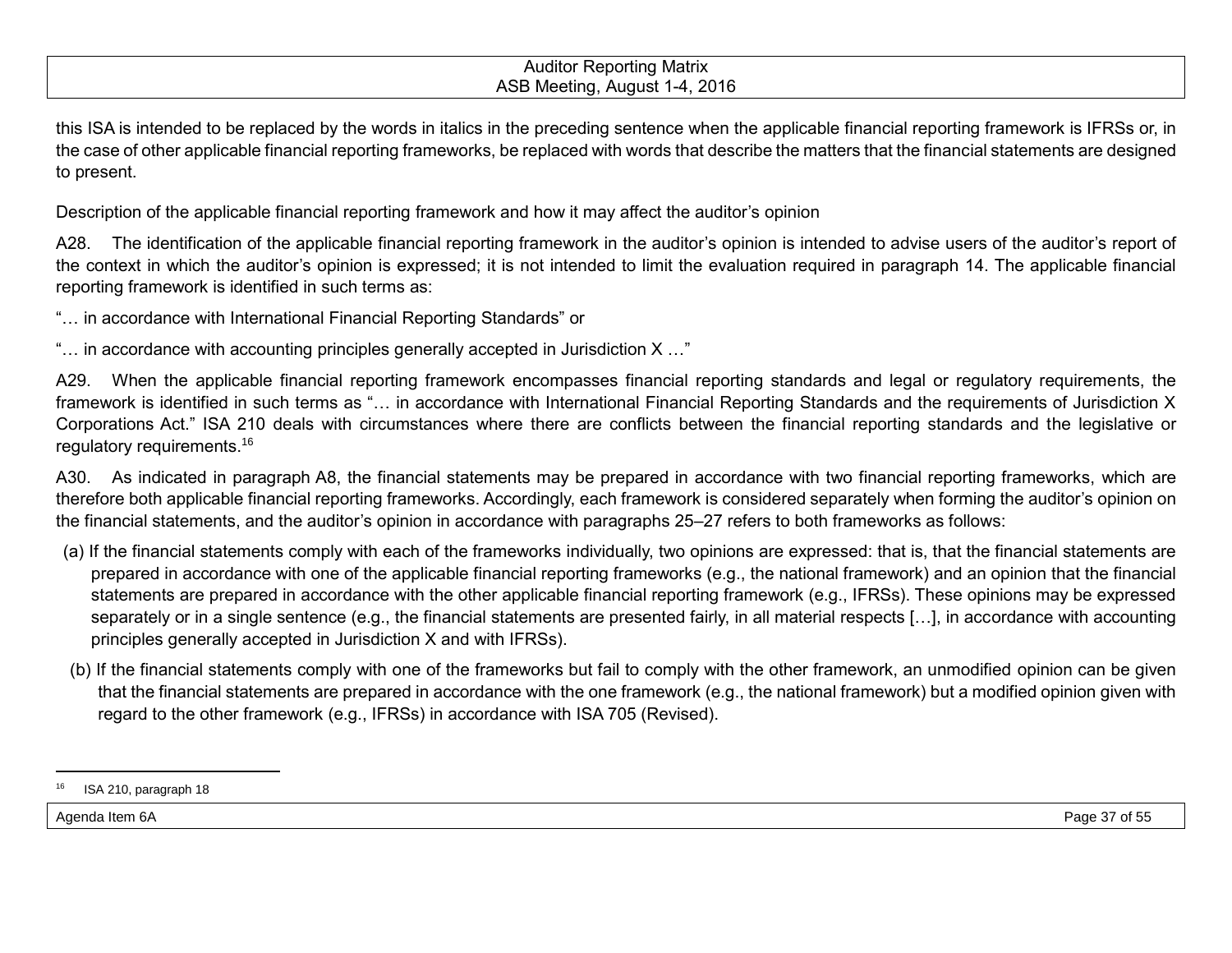this ISA is intended to be replaced by the words in italics in the preceding sentence when the applicable financial reporting framework is IFRSs or, in the case of other applicable financial reporting frameworks, be replaced with words that describe the matters that the financial statements are designed to present.

Description of the applicable financial reporting framework and how it may affect the auditor's opinion

A28. The identification of the applicable financial reporting framework in the auditor's opinion is intended to advise users of the auditor's report of the context in which the auditor's opinion is expressed; it is not intended to limit the evaluation required in paragraph 14. The applicable financial reporting framework is identified in such terms as:

"… in accordance with International Financial Reporting Standards" or

"… in accordance with accounting principles generally accepted in Jurisdiction X …"

A29. When the applicable financial reporting framework encompasses financial reporting standards and legal or regulatory requirements, the framework is identified in such terms as "… in accordance with International Financial Reporting Standards and the requirements of Jurisdiction X Corporations Act." ISA 210 deals with circumstances where there are conflicts between the financial reporting standards and the legislative or regulatory requirements.<sup>16</sup>

A30. As indicated in paragraph A8, the financial statements may be prepared in accordance with two financial reporting frameworks, which are therefore both applicable financial reporting frameworks. Accordingly, each framework is considered separately when forming the auditor's opinion on the financial statements, and the auditor's opinion in accordance with paragraphs 25–27 refers to both frameworks as follows:

- (a) If the financial statements comply with each of the frameworks individually, two opinions are expressed: that is, that the financial statements are prepared in accordance with one of the applicable financial reporting frameworks (e.g., the national framework) and an opinion that the financial statements are prepared in accordance with the other applicable financial reporting framework (e.g., IFRSs). These opinions may be expressed separately or in a single sentence (e.g., the financial statements are presented fairly, in all material respects […], in accordance with accounting principles generally accepted in Jurisdiction X and with IFRSs).
- (b) If the financial statements comply with one of the frameworks but fail to comply with the other framework, an unmodified opinion can be given that the financial statements are prepared in accordance with the one framework (e.g., the national framework) but a modified opinion given with regard to the other framework (e.g., IFRSs) in accordance with ISA 705 (Revised).

Agenda Item 6A Page 37 of 55

<sup>16</sup> ISA 210, paragraph 18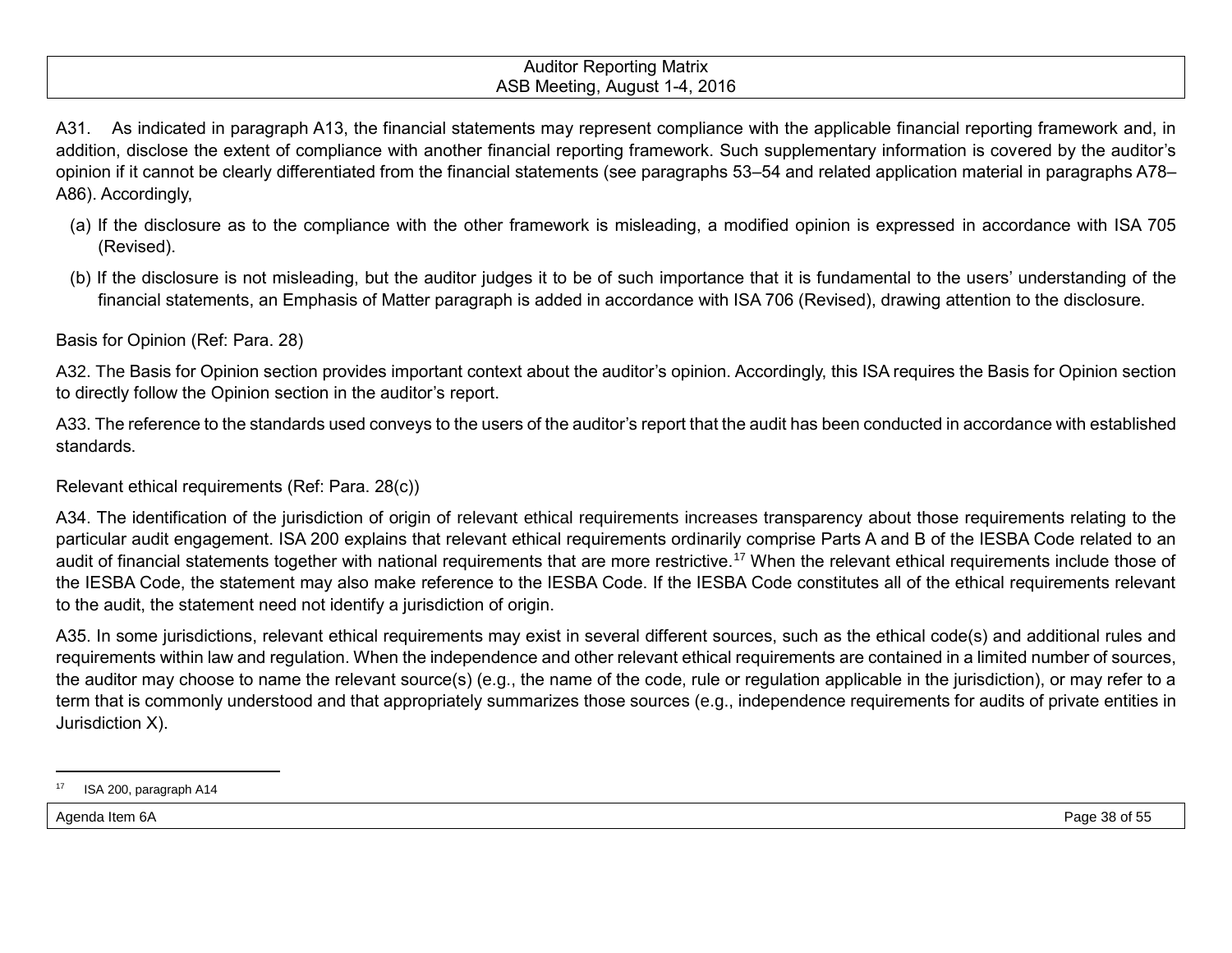A31. As indicated in paragraph A13, the financial statements may represent compliance with the applicable financial reporting framework and, in addition, disclose the extent of compliance with another financial reporting framework. Such supplementary information is covered by the auditor's opinion if it cannot be clearly differentiated from the financial statements (see paragraphs 53–54 and related application material in paragraphs A78– A86). Accordingly,

- (a) If the disclosure as to the compliance with the other framework is misleading, a modified opinion is expressed in accordance with ISA 705 (Revised).
- (b) If the disclosure is not misleading, but the auditor judges it to be of such importance that it is fundamental to the users' understanding of the financial statements, an Emphasis of Matter paragraph is added in accordance with ISA 706 (Revised), drawing attention to the disclosure.

Basis for Opinion (Ref: Para. 28)

A32. The Basis for Opinion section provides important context about the auditor's opinion. Accordingly, this ISA requires the Basis for Opinion section to directly follow the Opinion section in the auditor's report.

A33. The reference to the standards used conveys to the users of the auditor's report that the audit has been conducted in accordance with established standards.

Relevant ethical requirements (Ref: Para. 28(c))

A34. The identification of the jurisdiction of origin of relevant ethical requirements increases transparency about those requirements relating to the particular audit engagement. ISA 200 explains that relevant ethical requirements ordinarily comprise Parts A and B of the IESBA Code related to an audit of financial statements together with national requirements that are more restrictive.<sup>17</sup> When the relevant ethical requirements include those of the IESBA Code, the statement may also make reference to the IESBA Code. If the IESBA Code constitutes all of the ethical requirements relevant to the audit, the statement need not identify a jurisdiction of origin.

A35. In some jurisdictions, relevant ethical requirements may exist in several different sources, such as the ethical code(s) and additional rules and requirements within law and regulation. When the independence and other relevant ethical requirements are contained in a limited number of sources, the auditor may choose to name the relevant source(s) (e.g., the name of the code, rule or regulation applicable in the jurisdiction), or may refer to a term that is commonly understood and that appropriately summarizes those sources (e.g., independence requirements for audits of private entities in Jurisdiction X).

Agenda Item 6A Page 38 of 55

<sup>17</sup> ISA 200, paragraph A14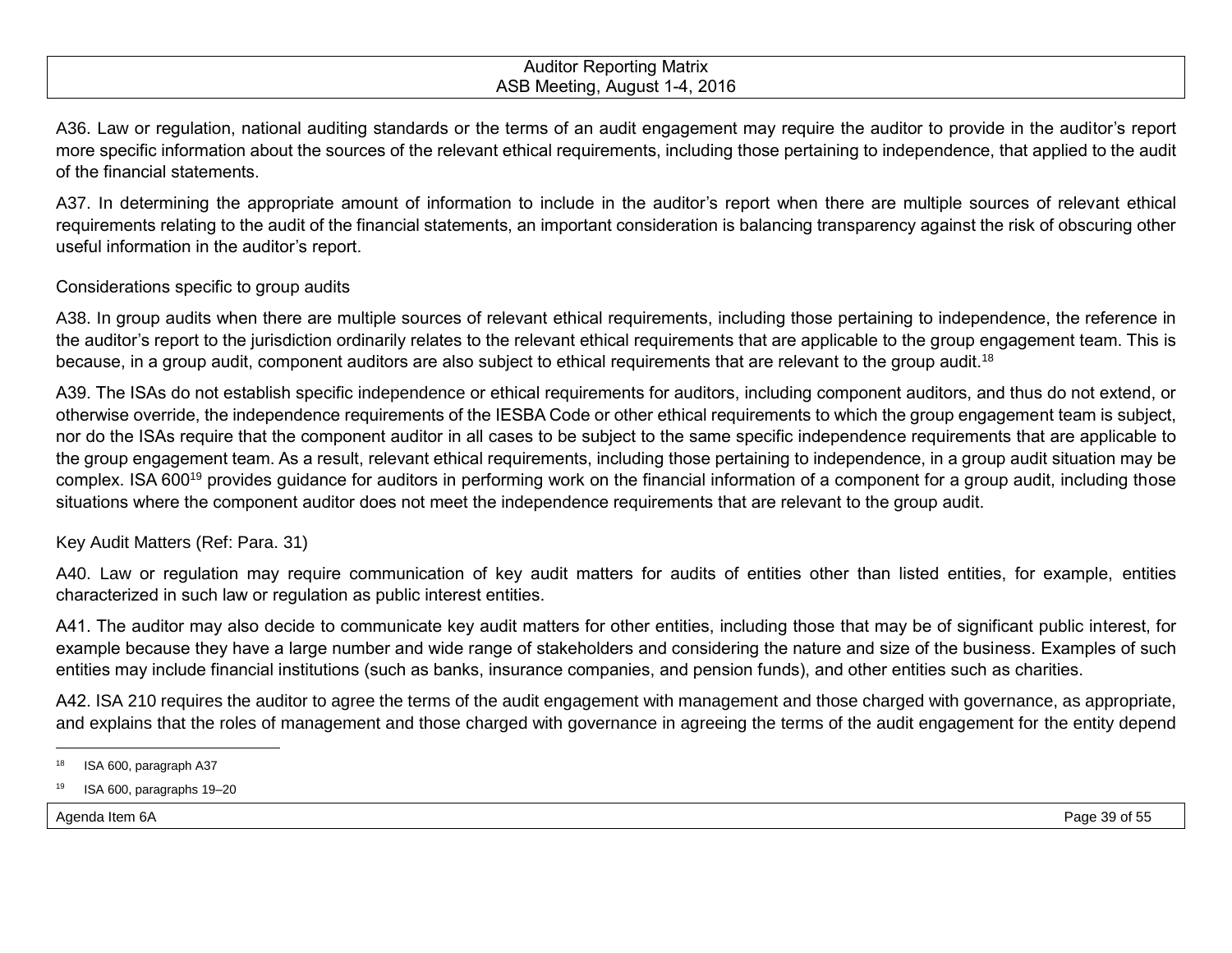A36. Law or regulation, national auditing standards or the terms of an audit engagement may require the auditor to provide in the auditor's report more specific information about the sources of the relevant ethical requirements, including those pertaining to independence, that applied to the audit of the financial statements.

A37. In determining the appropriate amount of information to include in the auditor's report when there are multiple sources of relevant ethical requirements relating to the audit of the financial statements, an important consideration is balancing transparency against the risk of obscuring other useful information in the auditor's report.

## Considerations specific to group audits

A38. In group audits when there are multiple sources of relevant ethical requirements, including those pertaining to independence, the reference in the auditor's report to the jurisdiction ordinarily relates to the relevant ethical requirements that are applicable to the group engagement team. This is because, in a group audit, component auditors are also subject to ethical requirements that are relevant to the group audit.<sup>18</sup>

A39. The ISAs do not establish specific independence or ethical requirements for auditors, including component auditors, and thus do not extend, or otherwise override, the independence requirements of the IESBA Code or other ethical requirements to which the group engagement team is subject, nor do the ISAs require that the component auditor in all cases to be subject to the same specific independence requirements that are applicable to the group engagement team. As a result, relevant ethical requirements, including those pertaining to independence, in a group audit situation may be complex. ISA 600<sup>19</sup> provides guidance for auditors in performing work on the financial information of a component for a group audit, including those situations where the component auditor does not meet the independence requirements that are relevant to the group audit.

## Key Audit Matters (Ref: Para. 31)

A40. Law or regulation may require communication of key audit matters for audits of entities other than listed entities, for example, entities characterized in such law or regulation as public interest entities.

A41. The auditor may also decide to communicate key audit matters for other entities, including those that may be of significant public interest, for example because they have a large number and wide range of stakeholders and considering the nature and size of the business. Examples of such entities may include financial institutions (such as banks, insurance companies, and pension funds), and other entities such as charities.

A42. ISA 210 requires the auditor to agree the terms of the audit engagement with management and those charged with governance, as appropriate, and explains that the roles of management and those charged with governance in agreeing the terms of the audit engagement for the entity depend

Agenda Item 6A Page 39 of 55

<sup>&</sup>lt;sup>18</sup> ISA 600, paragraph A37

<sup>19</sup> ISA 600, paragraphs 19–20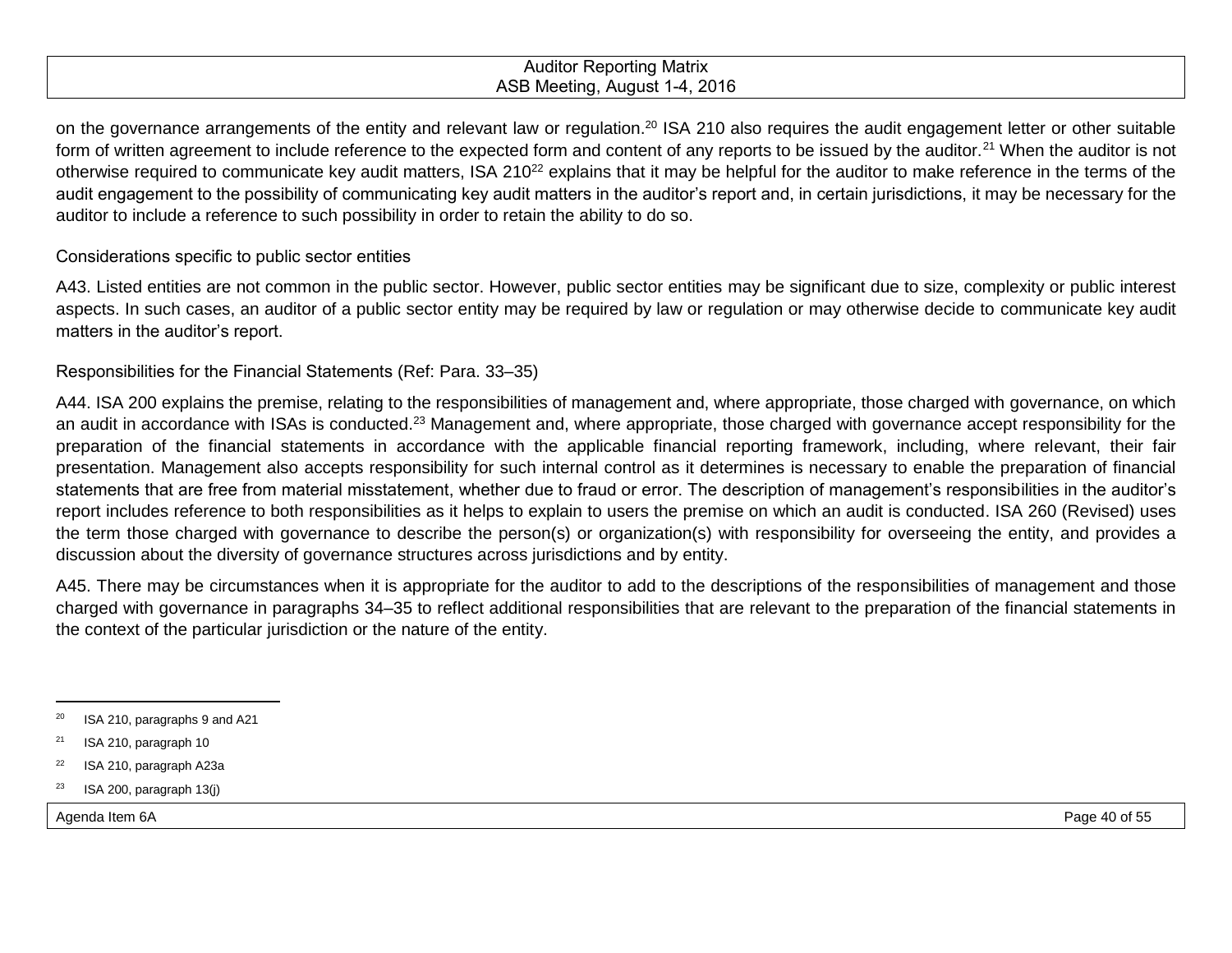on the governance arrangements of the entity and relevant law or regulation.<sup>20</sup> ISA 210 also requires the audit engagement letter or other suitable form of written agreement to include reference to the expected form and content of any reports to be issued by the auditor.<sup>21</sup> When the auditor is not otherwise required to communicate key audit matters, ISA 210<sup>22</sup> explains that it may be helpful for the auditor to make reference in the terms of the audit engagement to the possibility of communicating key audit matters in the auditor's report and, in certain jurisdictions, it may be necessary for the auditor to include a reference to such possibility in order to retain the ability to do so.

## Considerations specific to public sector entities

A43. Listed entities are not common in the public sector. However, public sector entities may be significant due to size, complexity or public interest aspects. In such cases, an auditor of a public sector entity may be required by law or regulation or may otherwise decide to communicate key audit matters in the auditor's report.

Responsibilities for the Financial Statements (Ref: Para. 33–35)

A44. ISA 200 explains the premise, relating to the responsibilities of management and, where appropriate, those charged with governance, on which an audit in accordance with ISAs is conducted.<sup>23</sup> Management and, where appropriate, those charged with governance accept responsibility for the preparation of the financial statements in accordance with the applicable financial reporting framework, including, where relevant, their fair presentation. Management also accepts responsibility for such internal control as it determines is necessary to enable the preparation of financial statements that are free from material misstatement, whether due to fraud or error. The description of management's responsibilities in the auditor's report includes reference to both responsibilities as it helps to explain to users the premise on which an audit is conducted. ISA 260 (Revised) uses the term those charged with governance to describe the person(s) or organization(s) with responsibility for overseeing the entity, and provides a discussion about the diversity of governance structures across jurisdictions and by entity.

A45. There may be circumstances when it is appropriate for the auditor to add to the descriptions of the responsibilities of management and those charged with governance in paragraphs 34–35 to reflect additional responsibilities that are relevant to the preparation of the financial statements in the context of the particular jurisdiction or the nature of the entity.

 $23$  ISA 200, paragraph 13(j)

 $20$  ISA 210, paragraphs 9 and A21

 $21$  ISA 210, paragraph 10

<sup>22</sup> ISA 210, paragraph A23a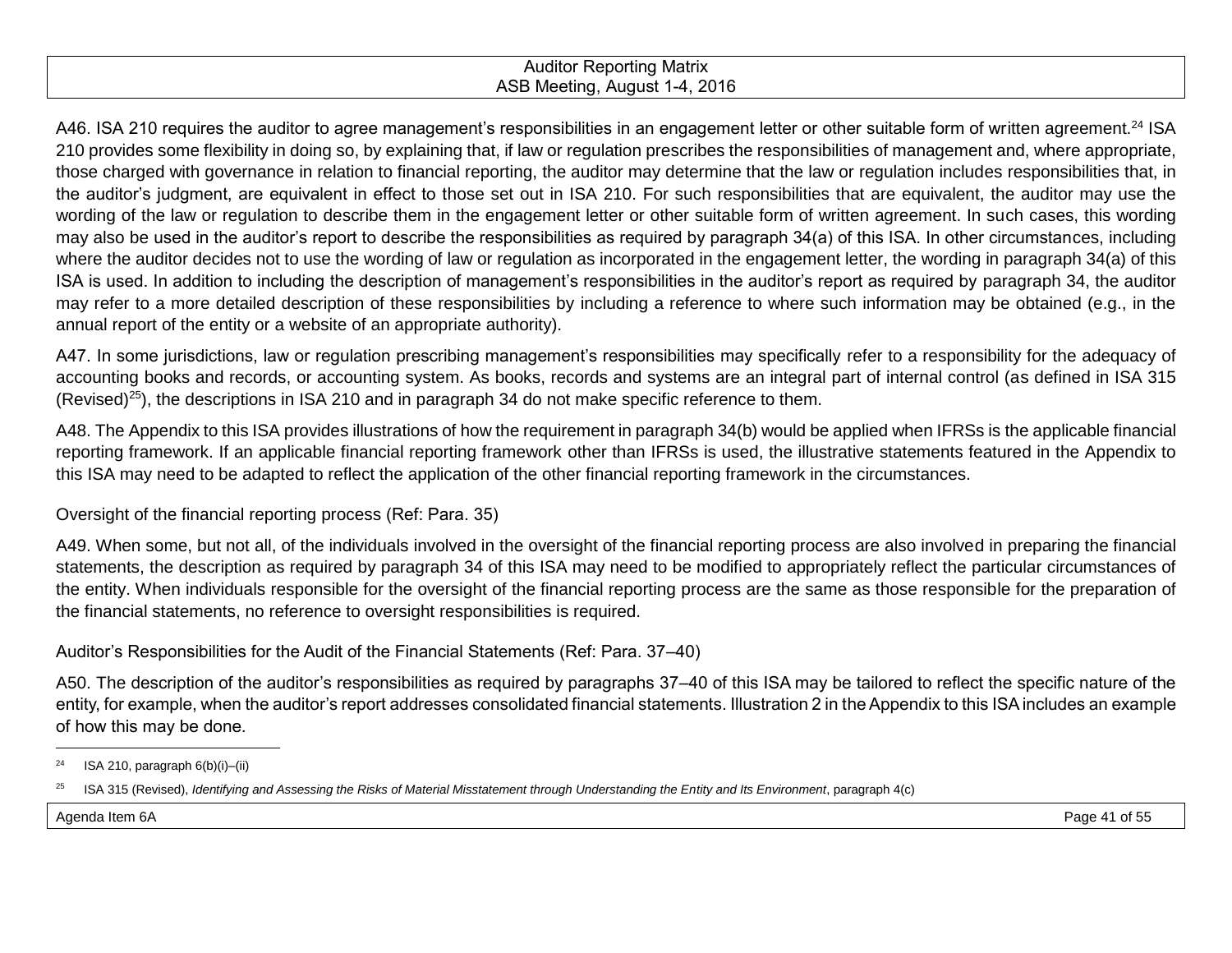A46. ISA 210 requires the auditor to agree management's responsibilities in an engagement letter or other suitable form of written agreement.<sup>24</sup> ISA 210 provides some flexibility in doing so, by explaining that, if law or regulation prescribes the responsibilities of management and, where appropriate, those charged with governance in relation to financial reporting, the auditor may determine that the law or regulation includes responsibilities that, in the auditor's judgment, are equivalent in effect to those set out in ISA 210. For such responsibilities that are equivalent, the auditor may use the wording of the law or regulation to describe them in the engagement letter or other suitable form of written agreement. In such cases, this wording may also be used in the auditor's report to describe the responsibilities as required by paragraph 34(a) of this ISA. In other circumstances, including where the auditor decides not to use the wording of law or regulation as incorporated in the engagement letter, the wording in paragraph 34(a) of this ISA is used. In addition to including the description of management's responsibilities in the auditor's report as required by paragraph 34, the auditor may refer to a more detailed description of these responsibilities by including a reference to where such information may be obtained (e.g., in the annual report of the entity or a website of an appropriate authority).

A47. In some jurisdictions, law or regulation prescribing management's responsibilities may specifically refer to a responsibility for the adequacy of accounting books and records, or accounting system. As books, records and systems are an integral part of internal control (as defined in ISA 315 (Revised)<sup>25</sup>), the descriptions in ISA 210 and in paragraph 34 do not make specific reference to them.

A48. The Appendix to this ISA provides illustrations of how the requirement in paragraph 34(b) would be applied when IFRSs is the applicable financial reporting framework. If an applicable financial reporting framework other than IFRSs is used, the illustrative statements featured in the Appendix to this ISA may need to be adapted to reflect the application of the other financial reporting framework in the circumstances.

Oversight of the financial reporting process (Ref: Para. 35)

A49. When some, but not all, of the individuals involved in the oversight of the financial reporting process are also involved in preparing the financial statements, the description as required by paragraph 34 of this ISA may need to be modified to appropriately reflect the particular circumstances of the entity. When individuals responsible for the oversight of the financial reporting process are the same as those responsible for the preparation of the financial statements, no reference to oversight responsibilities is required.

Auditor's Responsibilities for the Audit of the Financial Statements (Ref: Para. 37–40)

A50. The description of the auditor's responsibilities as required by paragraphs 37–40 of this ISA may be tailored to reflect the specific nature of the entity, for example, when the auditor's report addresses consolidated financial statements. Illustration 2 in the Appendix to this ISA includes an example of how this may be done.

Agenda Item 6A Page 41 of 55

<sup>&</sup>lt;sup>24</sup> ISA 210, paragraph  $6(b)(i)$ –(ii)

<sup>&</sup>lt;sup>25</sup> ISA 315 (Revised), *Identifying and Assessing the Risks of Material Misstatement through Understanding the Entity and Its Environment, paragraph 4(c)*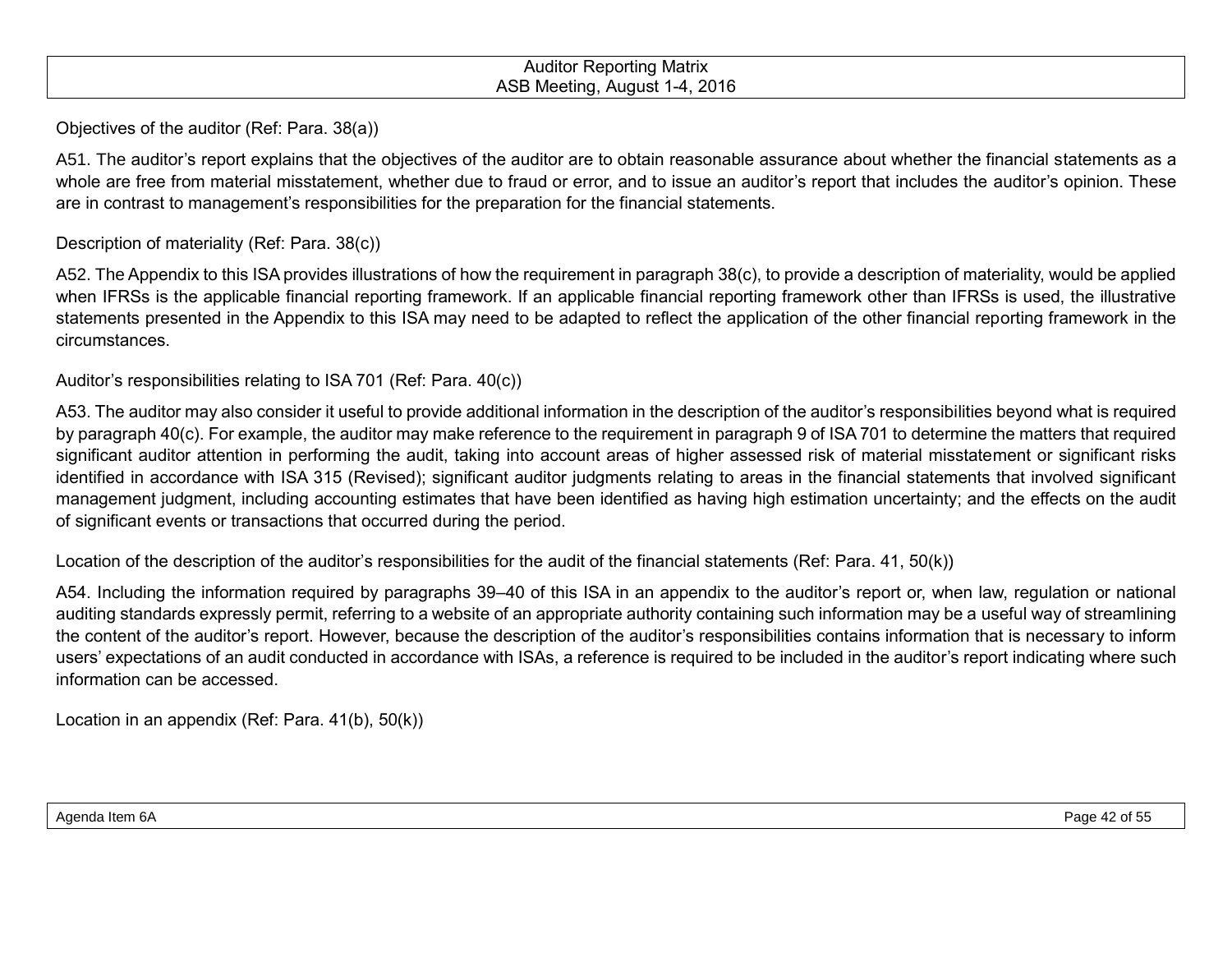Objectives of the auditor (Ref: Para. 38(a))

A51. The auditor's report explains that the objectives of the auditor are to obtain reasonable assurance about whether the financial statements as a whole are free from material misstatement, whether due to fraud or error, and to issue an auditor's report that includes the auditor's opinion. These are in contrast to management's responsibilities for the preparation for the financial statements.

Description of materiality (Ref: Para. 38(c))

A52. The Appendix to this ISA provides illustrations of how the requirement in paragraph 38(c), to provide a description of materiality, would be applied when IFRSs is the applicable financial reporting framework. If an applicable financial reporting framework other than IFRSs is used, the illustrative statements presented in the Appendix to this ISA may need to be adapted to reflect the application of the other financial reporting framework in the circumstances.

Auditor's responsibilities relating to ISA 701 (Ref: Para. 40(c))

A53. The auditor may also consider it useful to provide additional information in the description of the auditor's responsibilities beyond what is required by paragraph 40(c). For example, the auditor may make reference to the requirement in paragraph 9 of ISA 701 to determine the matters that required significant auditor attention in performing the audit, taking into account areas of higher assessed risk of material misstatement or significant risks identified in accordance with ISA 315 (Revised); significant auditor judgments relating to areas in the financial statements that involved significant management judgment, including accounting estimates that have been identified as having high estimation uncertainty; and the effects on the audit of significant events or transactions that occurred during the period.

Location of the description of the auditor's responsibilities for the audit of the financial statements (Ref: Para. 41, 50(k))

A54. Including the information required by paragraphs 39–40 of this ISA in an appendix to the auditor's report or, when law, regulation or national auditing standards expressly permit, referring to a website of an appropriate authority containing such information may be a useful way of streamlining the content of the auditor's report. However, because the description of the auditor's responsibilities contains information that is necessary to inform users' expectations of an audit conducted in accordance with ISAs, a reference is required to be included in the auditor's report indicating where such information can be accessed.

Location in an appendix (Ref: Para. 41(b), 50(k))

Agenda Item 6A Page 42 of 55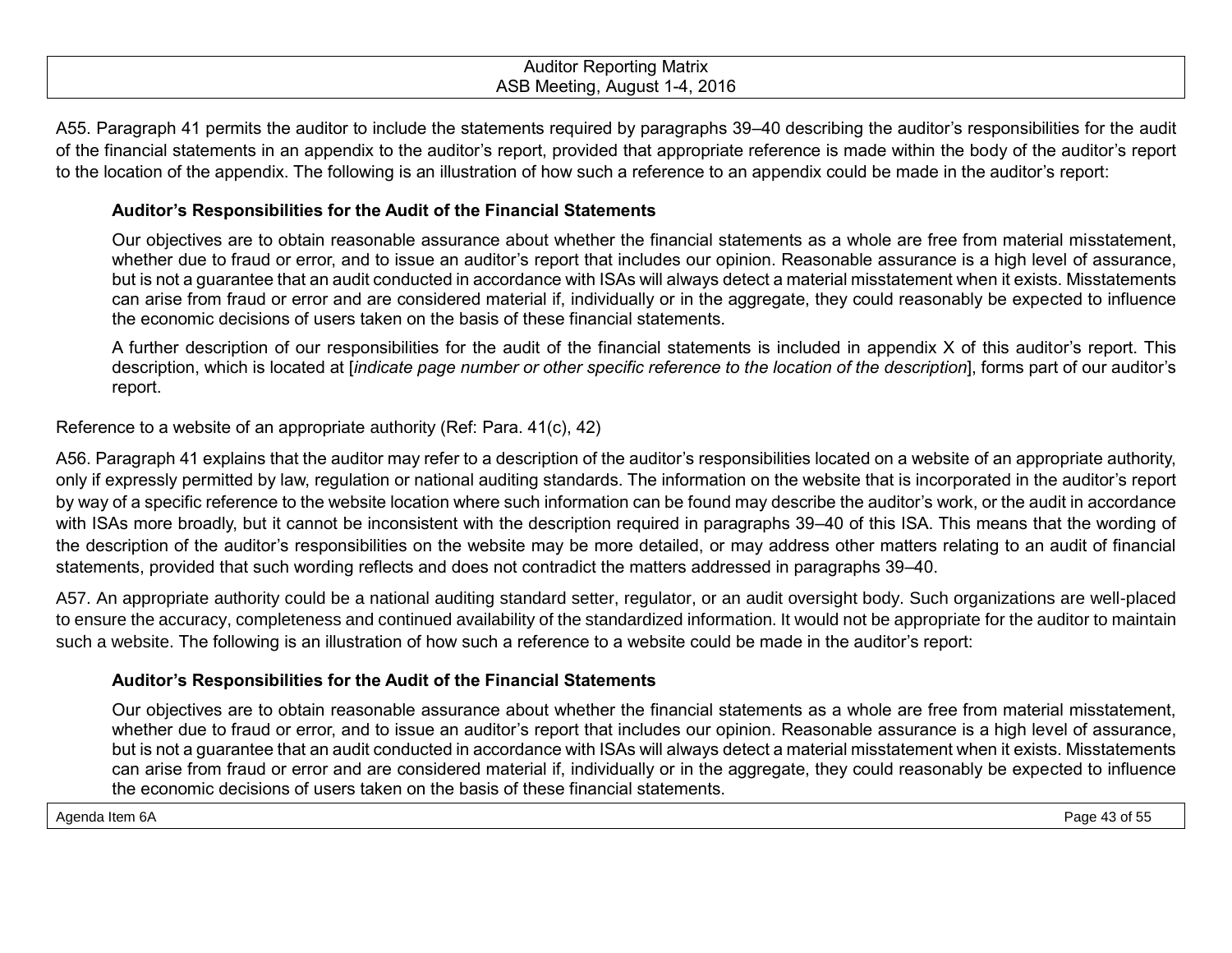A55. Paragraph 41 permits the auditor to include the statements required by paragraphs 39–40 describing the auditor's responsibilities for the audit of the financial statements in an appendix to the auditor's report, provided that appropriate reference is made within the body of the auditor's report to the location of the appendix. The following is an illustration of how such a reference to an appendix could be made in the auditor's report:

## **Auditor's Responsibilities for the Audit of the Financial Statements**

Our objectives are to obtain reasonable assurance about whether the financial statements as a whole are free from material misstatement, whether due to fraud or error, and to issue an auditor's report that includes our opinion. Reasonable assurance is a high level of assurance, but is not a guarantee that an audit conducted in accordance with ISAs will always detect a material misstatement when it exists. Misstatements can arise from fraud or error and are considered material if, individually or in the aggregate, they could reasonably be expected to influence the economic decisions of users taken on the basis of these financial statements.

A further description of our responsibilities for the audit of the financial statements is included in appendix X of this auditor's report. This description, which is located at [*indicate page number or other specific reference to the location of the description*], forms part of our auditor's report.

Reference to a website of an appropriate authority (Ref: Para. 41(c), 42)

A56. Paragraph 41 explains that the auditor may refer to a description of the auditor's responsibilities located on a website of an appropriate authority, only if expressly permitted by law, regulation or national auditing standards. The information on the website that is incorporated in the auditor's report by way of a specific reference to the website location where such information can be found may describe the auditor's work, or the audit in accordance with ISAs more broadly, but it cannot be inconsistent with the description required in paragraphs 39–40 of this ISA. This means that the wording of the description of the auditor's responsibilities on the website may be more detailed, or may address other matters relating to an audit of financial statements, provided that such wording reflects and does not contradict the matters addressed in paragraphs 39–40.

A57. An appropriate authority could be a national auditing standard setter, regulator, or an audit oversight body. Such organizations are well-placed to ensure the accuracy, completeness and continued availability of the standardized information. It would not be appropriate for the auditor to maintain such a website. The following is an illustration of how such a reference to a website could be made in the auditor's report:

## **Auditor's Responsibilities for the Audit of the Financial Statements**

Our objectives are to obtain reasonable assurance about whether the financial statements as a whole are free from material misstatement, whether due to fraud or error, and to issue an auditor's report that includes our opinion. Reasonable assurance is a high level of assurance, but is not a guarantee that an audit conducted in accordance with ISAs will always detect a material misstatement when it exists. Misstatements can arise from fraud or error and are considered material if, individually or in the aggregate, they could reasonably be expected to influence the economic decisions of users taken on the basis of these financial statements.

Agenda Item 6A Page 43 of 55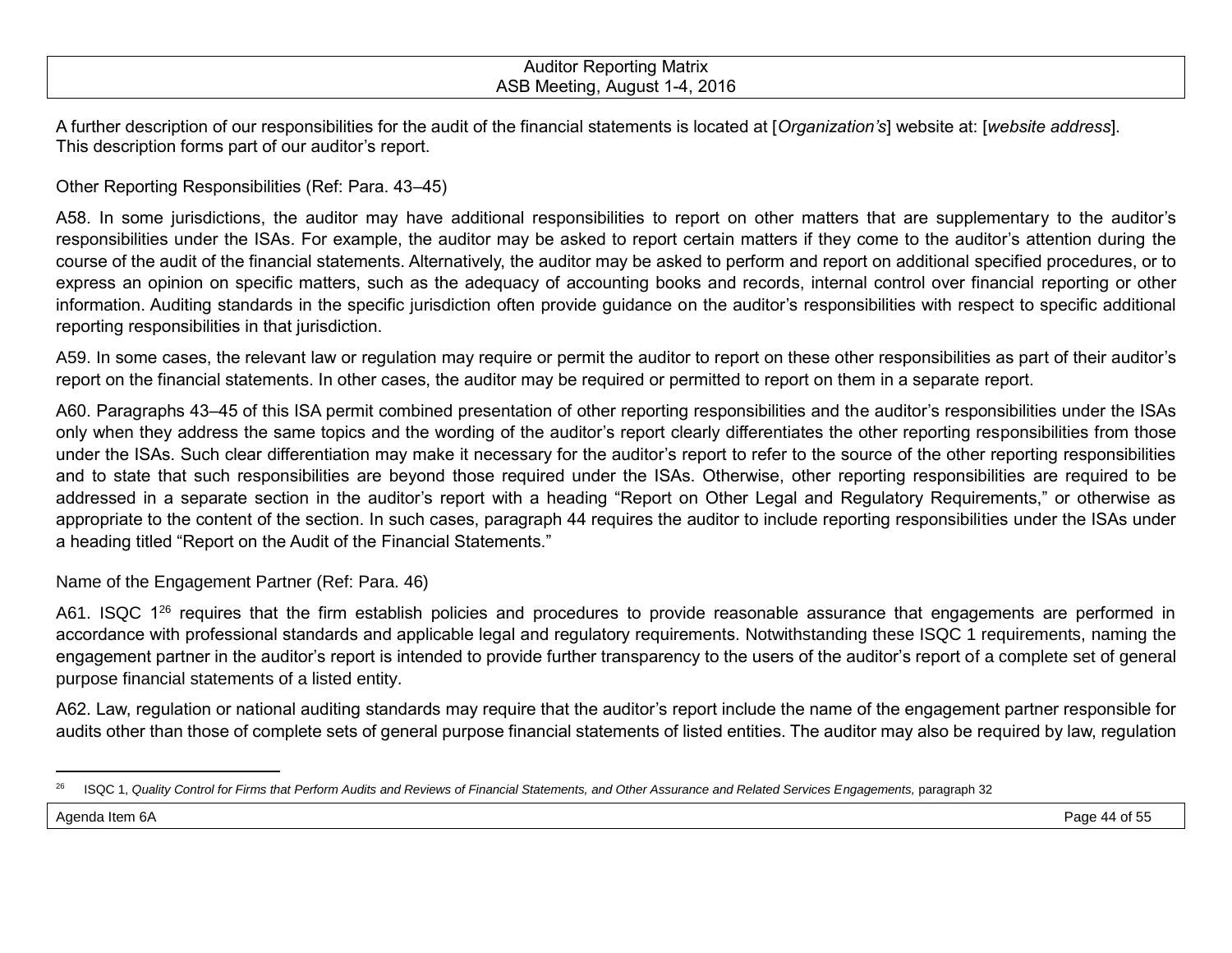A further description of our responsibilities for the audit of the financial statements is located at [*Organization's*] website at: [*website address*]. This description forms part of our auditor's report.

Other Reporting Responsibilities (Ref: Para. 43–45)

A58. In some jurisdictions, the auditor may have additional responsibilities to report on other matters that are supplementary to the auditor's responsibilities under the ISAs. For example, the auditor may be asked to report certain matters if they come to the auditor's attention during the course of the audit of the financial statements. Alternatively, the auditor may be asked to perform and report on additional specified procedures, or to express an opinion on specific matters, such as the adequacy of accounting books and records, internal control over financial reporting or other information. Auditing standards in the specific jurisdiction often provide guidance on the auditor's responsibilities with respect to specific additional reporting responsibilities in that jurisdiction.

A59. In some cases, the relevant law or regulation may require or permit the auditor to report on these other responsibilities as part of their auditor's report on the financial statements. In other cases, the auditor may be required or permitted to report on them in a separate report.

A60. Paragraphs 43–45 of this ISA permit combined presentation of other reporting responsibilities and the auditor's responsibilities under the ISAs only when they address the same topics and the wording of the auditor's report clearly differentiates the other reporting responsibilities from those under the ISAs. Such clear differentiation may make it necessary for the auditor's report to refer to the source of the other reporting responsibilities and to state that such responsibilities are beyond those required under the ISAs. Otherwise, other reporting responsibilities are required to be addressed in a separate section in the auditor's report with a heading "Report on Other Legal and Regulatory Requirements," or otherwise as appropriate to the content of the section. In such cases, paragraph 44 requires the auditor to include reporting responsibilities under the ISAs under a heading titled "Report on the Audit of the Financial Statements."

Name of the Engagement Partner (Ref: Para. 46)

A61. ISQC 1<sup>26</sup> requires that the firm establish policies and procedures to provide reasonable assurance that engagements are performed in accordance with professional standards and applicable legal and regulatory requirements. Notwithstanding these ISQC 1 requirements, naming the engagement partner in the auditor's report is intended to provide further transparency to the users of the auditor's report of a complete set of general purpose financial statements of a listed entity.

A62. Law, regulation or national auditing standards may require that the auditor's report include the name of the engagement partner responsible for audits other than those of complete sets of general purpose financial statements of listed entities. The auditor may also be required by law, regulation

<sup>26</sup> ISQC 1, Quality Control for Firms that Perform Audits and Reviews of Financial Statements, and Other Assurance and Related Services Engagements, paragraph 32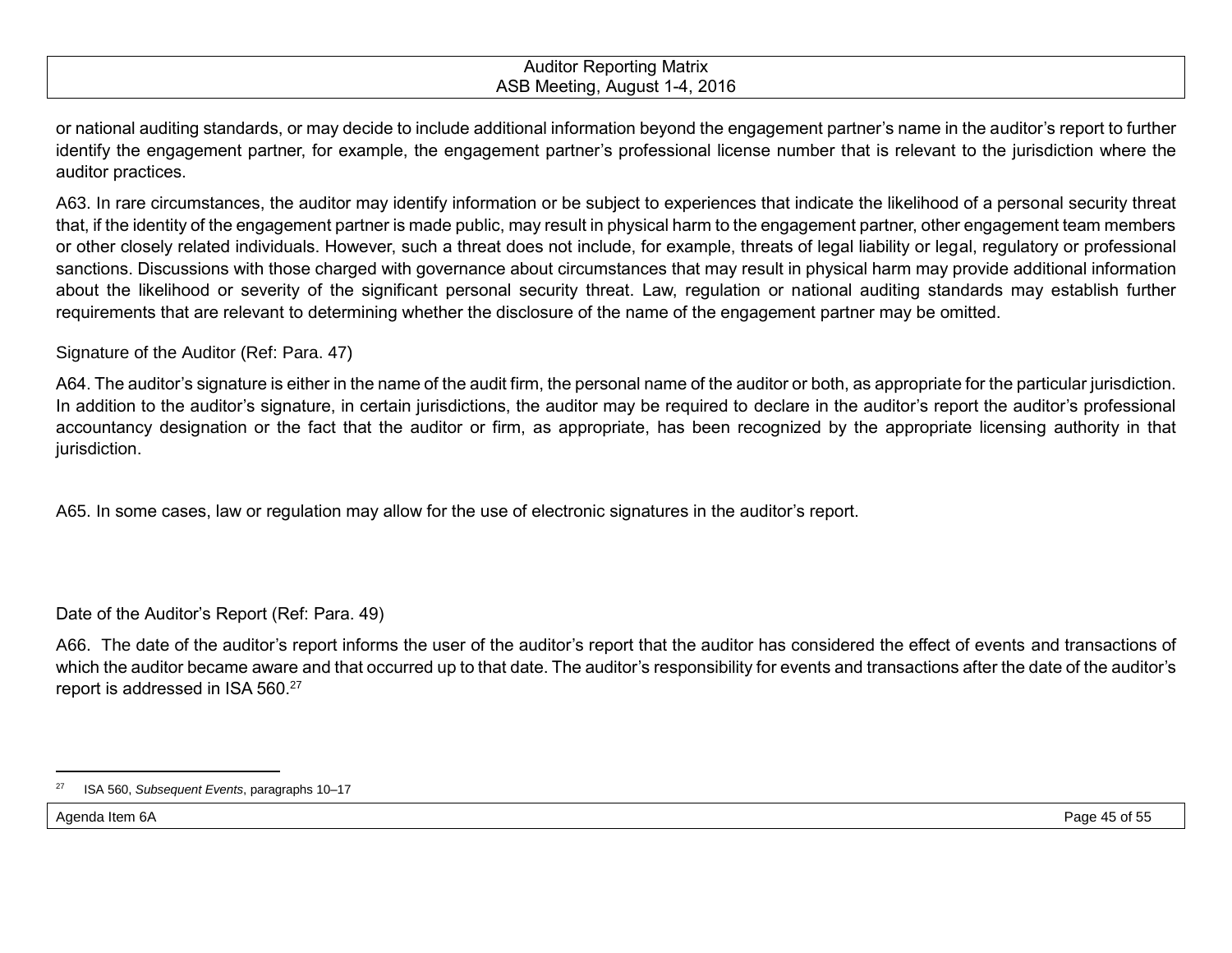or national auditing standards, or may decide to include additional information beyond the engagement partner's name in the auditor's report to further identify the engagement partner, for example, the engagement partner's professional license number that is relevant to the jurisdiction where the auditor practices.

A63. In rare circumstances, the auditor may identify information or be subject to experiences that indicate the likelihood of a personal security threat that, if the identity of the engagement partner is made public, may result in physical harm to the engagement partner, other engagement team members or other closely related individuals. However, such a threat does not include, for example, threats of legal liability or legal, regulatory or professional sanctions. Discussions with those charged with governance about circumstances that may result in physical harm may provide additional information about the likelihood or severity of the significant personal security threat. Law, regulation or national auditing standards may establish further requirements that are relevant to determining whether the disclosure of the name of the engagement partner may be omitted.

Signature of the Auditor (Ref: Para. 47)

A64. The auditor's signature is either in the name of the audit firm, the personal name of the auditor or both, as appropriate for the particular jurisdiction. In addition to the auditor's signature, in certain jurisdictions, the auditor may be required to declare in the auditor's report the auditor's professional accountancy designation or the fact that the auditor or firm, as appropriate, has been recognized by the appropriate licensing authority in that jurisdiction.

A65. In some cases, law or regulation may allow for the use of electronic signatures in the auditor's report.

Date of the Auditor's Report (Ref: Para. 49)

A66. The date of the auditor's report informs the user of the auditor's report that the auditor has considered the effect of events and transactions of which the auditor became aware and that occurred up to that date. The auditor's responsibility for events and transactions after the date of the auditor's report is addressed in ISA 560.<sup>27</sup>

Agenda Item 6A Page 45 of 55

<sup>27</sup> ISA 560, *Subsequent Events*, paragraphs 10–17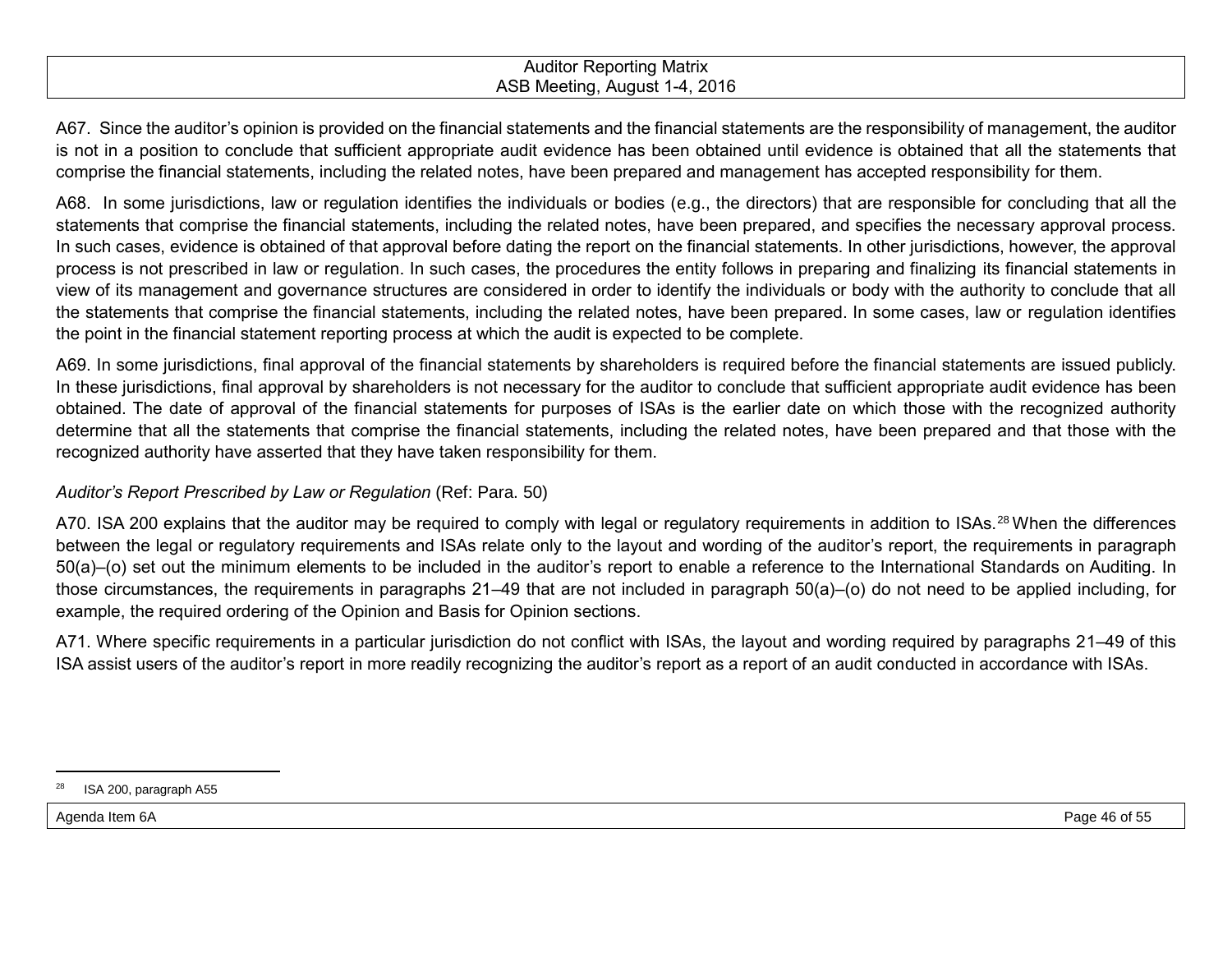A67. Since the auditor's opinion is provided on the financial statements and the financial statements are the responsibility of management, the auditor is not in a position to conclude that sufficient appropriate audit evidence has been obtained until evidence is obtained that all the statements that comprise the financial statements, including the related notes, have been prepared and management has accepted responsibility for them.

A68. In some jurisdictions, law or regulation identifies the individuals or bodies (e.g., the directors) that are responsible for concluding that all the statements that comprise the financial statements, including the related notes, have been prepared, and specifies the necessary approval process. In such cases, evidence is obtained of that approval before dating the report on the financial statements. In other jurisdictions, however, the approval process is not prescribed in law or regulation. In such cases, the procedures the entity follows in preparing and finalizing its financial statements in view of its management and governance structures are considered in order to identify the individuals or body with the authority to conclude that all the statements that comprise the financial statements, including the related notes, have been prepared. In some cases, law or regulation identifies the point in the financial statement reporting process at which the audit is expected to be complete.

A69. In some jurisdictions, final approval of the financial statements by shareholders is required before the financial statements are issued publicly. In these jurisdictions, final approval by shareholders is not necessary for the auditor to conclude that sufficient appropriate audit evidence has been obtained. The date of approval of the financial statements for purposes of ISAs is the earlier date on which those with the recognized authority determine that all the statements that comprise the financial statements, including the related notes, have been prepared and that those with the recognized authority have asserted that they have taken responsibility for them.

## *Auditor's Report Prescribed by Law or Regulation* (Ref: Para. 50)

A70. ISA 200 explains that the auditor may be required to comply with legal or regulatory requirements in addition to ISAs.<sup>28</sup> When the differences between the legal or regulatory requirements and ISAs relate only to the layout and wording of the auditor's report, the requirements in paragraph 50(a)–(o) set out the minimum elements to be included in the auditor's report to enable a reference to the International Standards on Auditing. In those circumstances, the requirements in paragraphs 21–49 that are not included in paragraph 50(a)–(o) do not need to be applied including, for example, the required ordering of the Opinion and Basis for Opinion sections.

A71. Where specific requirements in a particular jurisdiction do not conflict with ISAs, the layout and wording required by paragraphs 21–49 of this ISA assist users of the auditor's report in more readily recognizing the auditor's report as a report of an audit conducted in accordance with ISAs.

Agenda Item 6A Page 46 of 55

<sup>28</sup> ISA 200, paragraph A55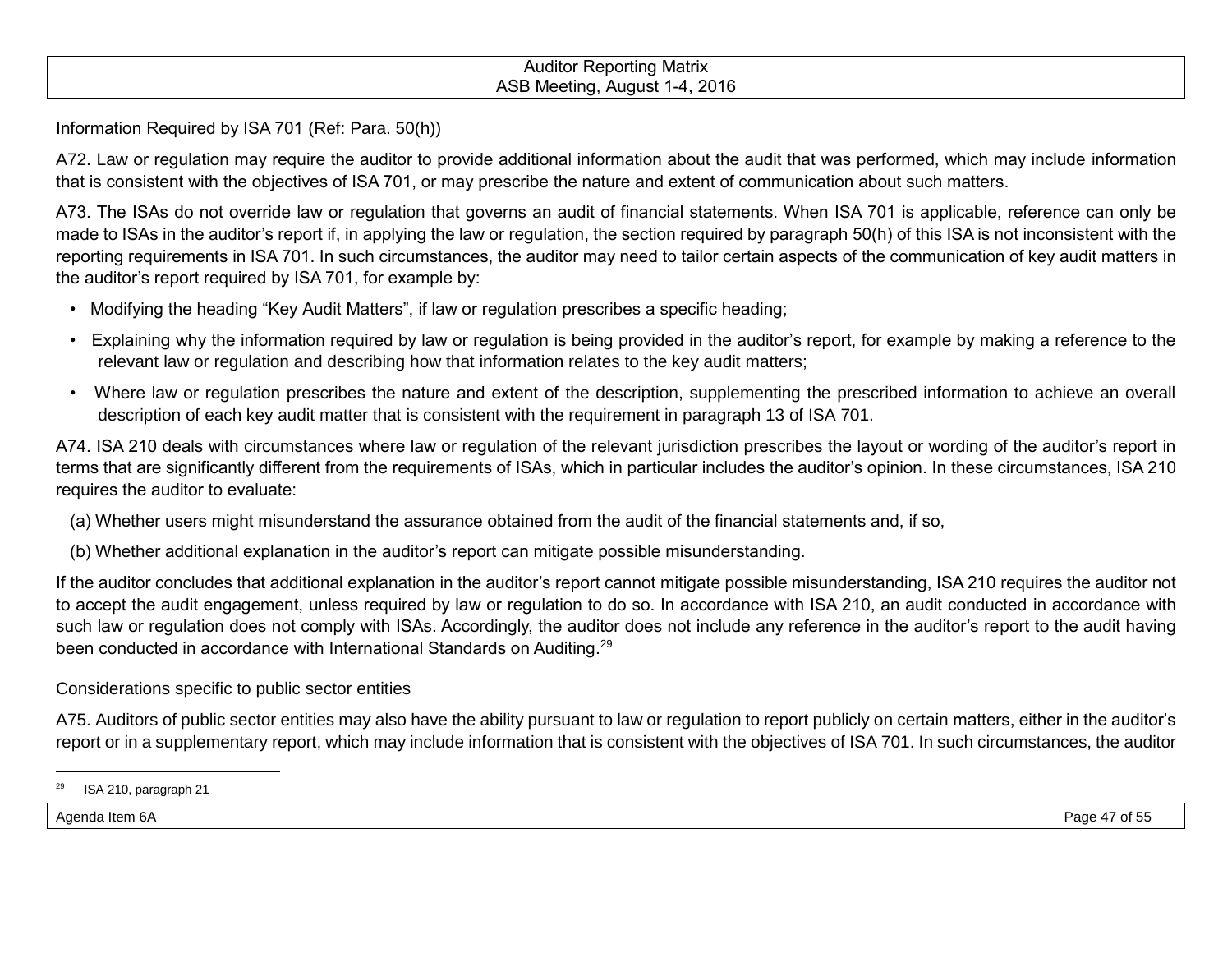Information Required by ISA 701 (Ref: Para. 50(h))

A72. Law or regulation may require the auditor to provide additional information about the audit that was performed, which may include information that is consistent with the objectives of ISA 701, or may prescribe the nature and extent of communication about such matters.

A73. The ISAs do not override law or regulation that governs an audit of financial statements. When ISA 701 is applicable, reference can only be made to ISAs in the auditor's report if, in applying the law or regulation, the section required by paragraph 50(h) of this ISA is not inconsistent with the reporting requirements in ISA 701. In such circumstances, the auditor may need to tailor certain aspects of the communication of key audit matters in the auditor's report required by ISA 701, for example by:

- Modifying the heading "Key Audit Matters", if law or regulation prescribes a specific heading;
- Explaining why the information required by law or regulation is being provided in the auditor's report, for example by making a reference to the relevant law or regulation and describing how that information relates to the key audit matters;
- Where law or regulation prescribes the nature and extent of the description, supplementing the prescribed information to achieve an overall description of each key audit matter that is consistent with the requirement in paragraph 13 of ISA 701.

A74. ISA 210 deals with circumstances where law or regulation of the relevant jurisdiction prescribes the layout or wording of the auditor's report in terms that are significantly different from the requirements of ISAs, which in particular includes the auditor's opinion. In these circumstances, ISA 210 requires the auditor to evaluate:

(a) Whether users might misunderstand the assurance obtained from the audit of the financial statements and, if so,

(b) Whether additional explanation in the auditor's report can mitigate possible misunderstanding.

If the auditor concludes that additional explanation in the auditor's report cannot mitigate possible misunderstanding, ISA 210 requires the auditor not to accept the audit engagement, unless required by law or regulation to do so. In accordance with ISA 210, an audit conducted in accordance with such law or regulation does not comply with ISAs. Accordingly, the auditor does not include any reference in the auditor's report to the audit having been conducted in accordance with International Standards on Auditing.<sup>29</sup>

## Considerations specific to public sector entities

A75. Auditors of public sector entities may also have the ability pursuant to law or regulation to report publicly on certain matters, either in the auditor's report or in a supplementary report, which may include information that is consistent with the objectives of ISA 701. In such circumstances, the auditor

Agenda Item 6A Page 47 of 55

<sup>29</sup> ISA 210, paragraph 21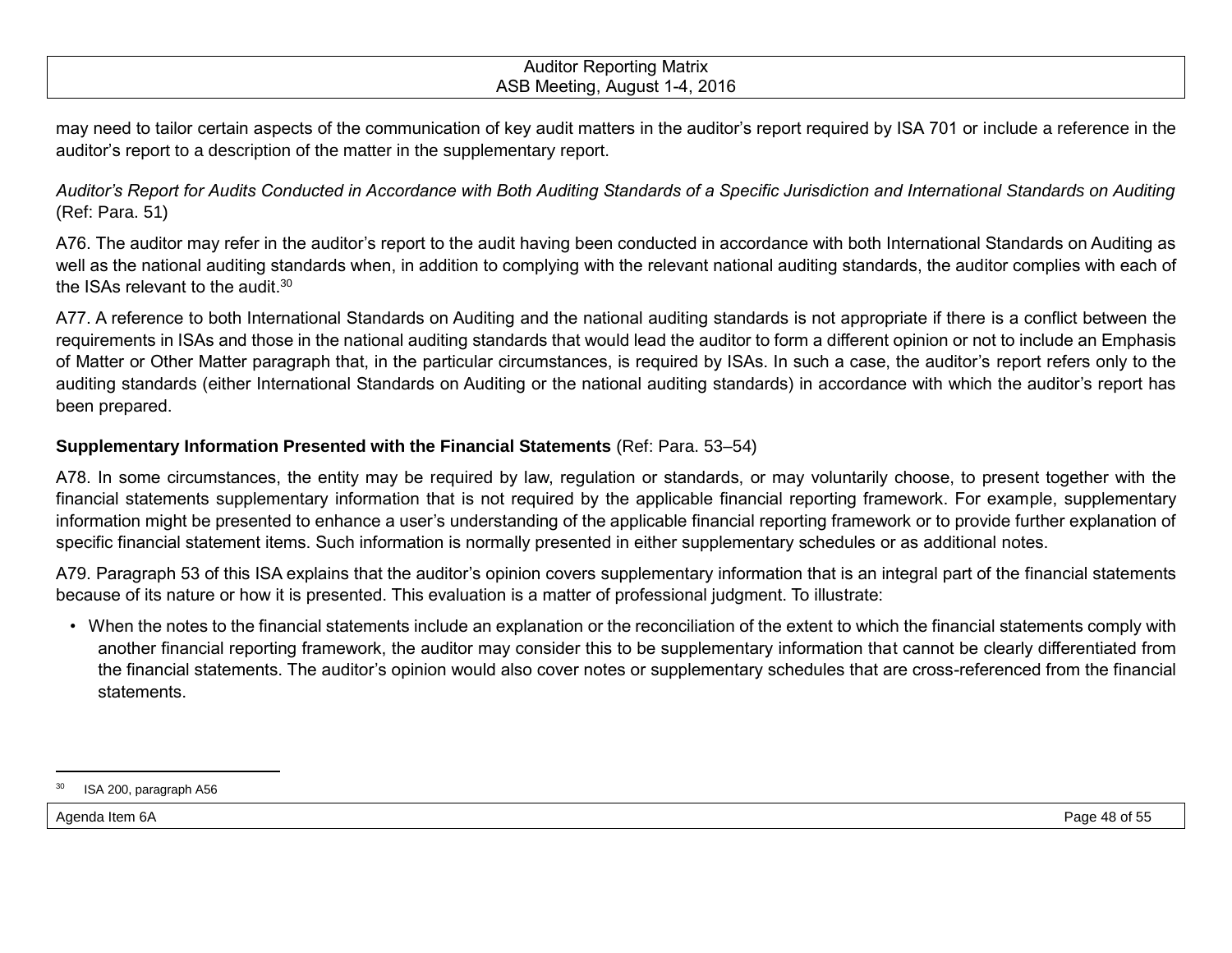may need to tailor certain aspects of the communication of key audit matters in the auditor's report required by ISA 701 or include a reference in the auditor's report to a description of the matter in the supplementary report.

*Auditor's Report for Audits Conducted in Accordance with Both Auditing Standards of a Specific Jurisdiction and International Standards on Auditing* (Ref: Para. 51)

A76. The auditor may refer in the auditor's report to the audit having been conducted in accordance with both International Standards on Auditing as well as the national auditing standards when, in addition to complying with the relevant national auditing standards, the auditor complies with each of the ISAs relevant to the audit  $30$ 

A77. A reference to both International Standards on Auditing and the national auditing standards is not appropriate if there is a conflict between the requirements in ISAs and those in the national auditing standards that would lead the auditor to form a different opinion or not to include an Emphasis of Matter or Other Matter paragraph that, in the particular circumstances, is required by ISAs. In such a case, the auditor's report refers only to the auditing standards (either International Standards on Auditing or the national auditing standards) in accordance with which the auditor's report has been prepared.

## **Supplementary Information Presented with the Financial Statements** (Ref: Para. 53–54)

A78. In some circumstances, the entity may be required by law, regulation or standards, or may voluntarily choose, to present together with the financial statements supplementary information that is not required by the applicable financial reporting framework. For example, supplementary information might be presented to enhance a user's understanding of the applicable financial reporting framework or to provide further explanation of specific financial statement items. Such information is normally presented in either supplementary schedules or as additional notes.

A79. Paragraph 53 of this ISA explains that the auditor's opinion covers supplementary information that is an integral part of the financial statements because of its nature or how it is presented. This evaluation is a matter of professional judgment. To illustrate:

• When the notes to the financial statements include an explanation or the reconciliation of the extent to which the financial statements comply with another financial reporting framework, the auditor may consider this to be supplementary information that cannot be clearly differentiated from the financial statements. The auditor's opinion would also cover notes or supplementary schedules that are cross-referenced from the financial statements.

Agenda Item 6A Page 48 of 55

ISA 200, paragraph A56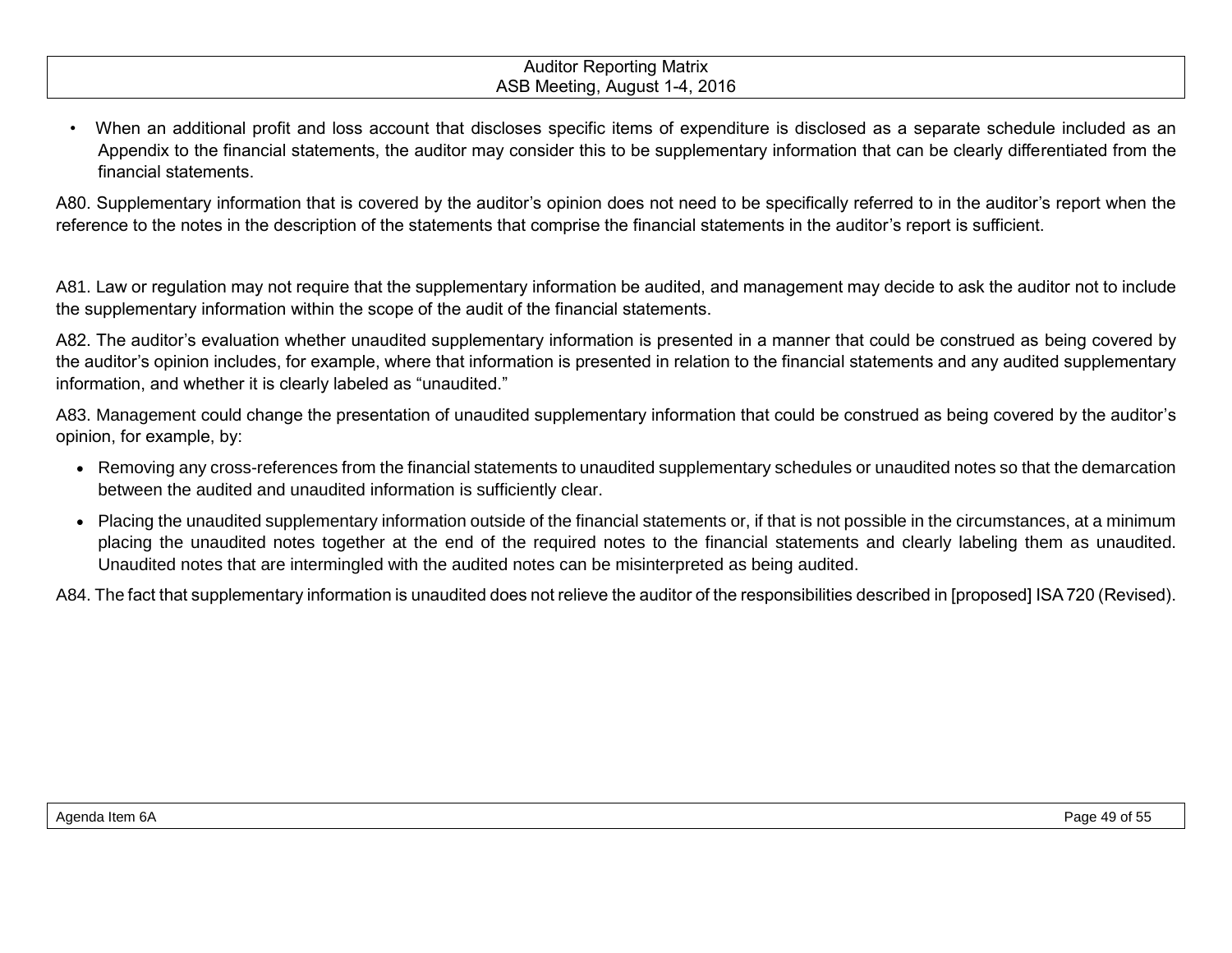• When an additional profit and loss account that discloses specific items of expenditure is disclosed as a separate schedule included as an Appendix to the financial statements, the auditor may consider this to be supplementary information that can be clearly differentiated from the financial statements.

A80. Supplementary information that is covered by the auditor's opinion does not need to be specifically referred to in the auditor's report when the reference to the notes in the description of the statements that comprise the financial statements in the auditor's report is sufficient.

A81. Law or regulation may not require that the supplementary information be audited, and management may decide to ask the auditor not to include the supplementary information within the scope of the audit of the financial statements.

A82. The auditor's evaluation whether unaudited supplementary information is presented in a manner that could be construed as being covered by the auditor's opinion includes, for example, where that information is presented in relation to the financial statements and any audited supplementary information, and whether it is clearly labeled as "unaudited."

A83. Management could change the presentation of unaudited supplementary information that could be construed as being covered by the auditor's opinion, for example, by:

- Removing any cross-references from the financial statements to unaudited supplementary schedules or unaudited notes so that the demarcation between the audited and unaudited information is sufficiently clear.
- Placing the unaudited supplementary information outside of the financial statements or, if that is not possible in the circumstances, at a minimum placing the unaudited notes together at the end of the required notes to the financial statements and clearly labeling them as unaudited. Unaudited notes that are intermingled with the audited notes can be misinterpreted as being audited.

A84. The fact that supplementary information is unaudited does not relieve the auditor of the responsibilities described in [proposed] ISA 720 (Revised).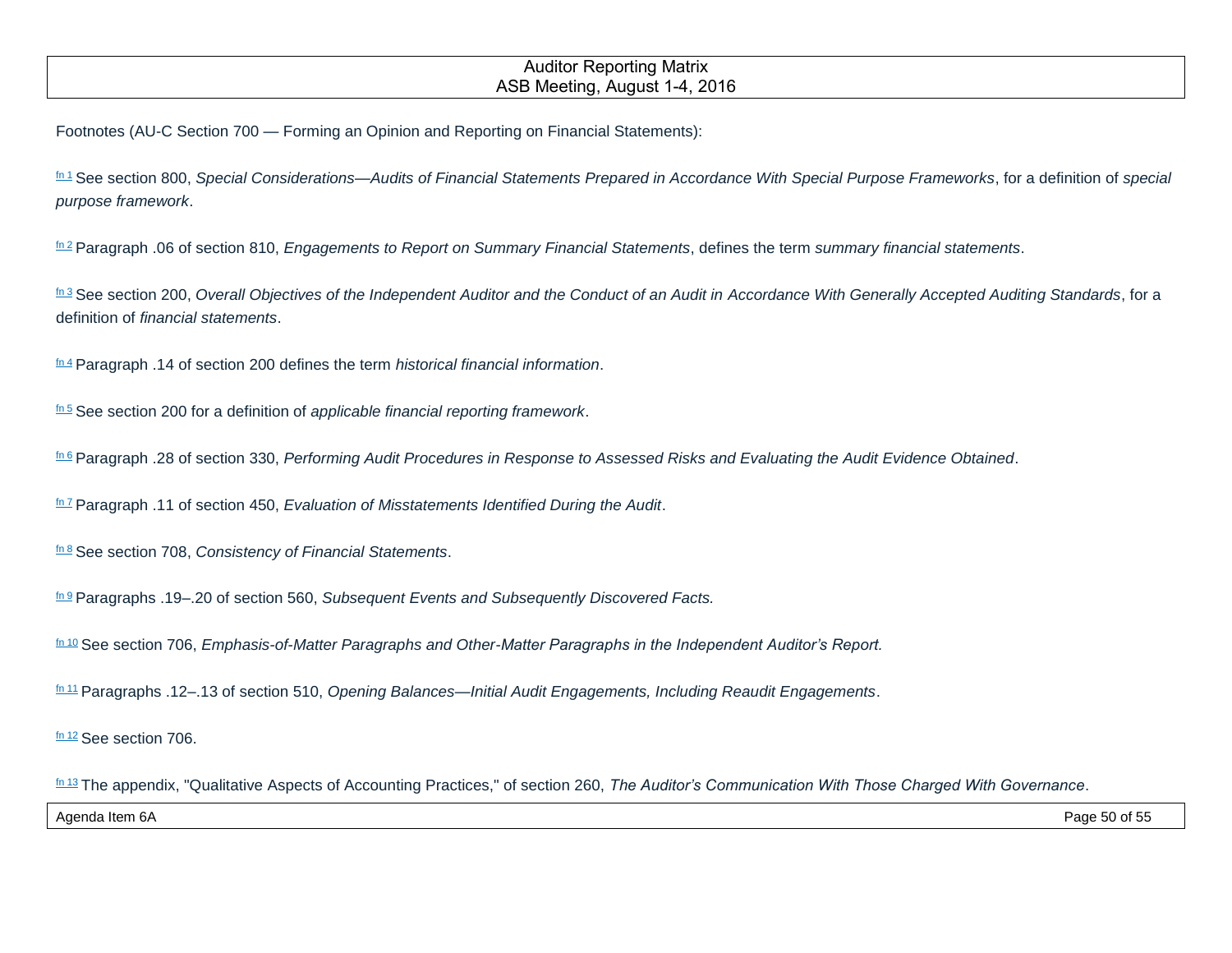Footnotes (AU-C Section 700 — Forming an Opinion and Reporting on Financial Statements):

[fn 1](https://publication.cpa2biz.com/content/link/ps/ad_700#ad_700_fn1) See section 800, *Special Considerations—Audits of Financial Statements Prepared in Accordance With Special Purpose Frameworks*, for a definition of *special purpose framework*.

[fn 2](https://publication.cpa2biz.com/content/link/ps/ad_700#ad_700_fn2) Paragraph .06 of section 810, *Engagements to Report on Summary Financial Statements*, defines the term *summary financial statements*.

[fn 3](https://publication.cpa2biz.com/content/link/ps/ad_700#ad_700_fn3) See section 200, *Overall Objectives of the Independent Auditor and the Conduct of an Audit in Accordance With Generally Accepted Auditing Standards*, for a definition of *financial statements*.

[fn 4](https://publication.cpa2biz.com/content/link/ps/ad_700#ad_700_fn4) Paragraph .14 of section 200 defines the term *historical financial information*.

[fn 5](https://publication.cpa2biz.com/content/link/ps/ad_700#ad_700_fn5) See section 200 for a definition of *applicable financial reporting framework*.

[fn 6](https://publication.cpa2biz.com/content/link/ps/ad_700#ad_700_fn6) Paragraph .28 of section 330, *Performing Audit Procedures in Response to Assessed Risks and Evaluating the Audit Evidence Obtained*.

[fn 7](https://publication.cpa2biz.com/content/link/ps/ad_700#ad_700_fn7) Paragraph .11 of section 450, *Evaluation of Misstatements Identified During the Audit*.

[fn 8](https://publication.cpa2biz.com/content/link/ps/ad_700#ad_700_fn8) See section 708, *Consistency of Financial Statements*.

fin<sup>9</sup> Paragraphs .19–.20 of section 560, *Subsequent Events and Subsequently Discovered Facts.* 

[fn 10](https://publication.cpa2biz.com/content/link/ps/ad_700#ad_700_fn10) See section 706, *Emphasis-of-Matter Paragraphs and Other-Matter Paragraphs in the Independent Auditor's Report.*

fn [11](https://publication.cpa2biz.com/content/link/ps/ad_700#ad_700_fn11) Paragraphs .12–.13 of section 510, *Opening Balances—Initial Audit Engagements, Including Reaudit Engagements*.

 $\frac{fn 12}{n}$  $\frac{fn 12}{n}$  $\frac{fn 12}{n}$  See section 706.

[fn 13](https://publication.cpa2biz.com/content/link/ps/ad_700#ad_700_fn13) The appendix, "Qualitative Aspects of Accounting Practices," of section 260, *The Auditor's Communication With Those Charged With Governance*.

Agenda Item 6A Page 50 of 55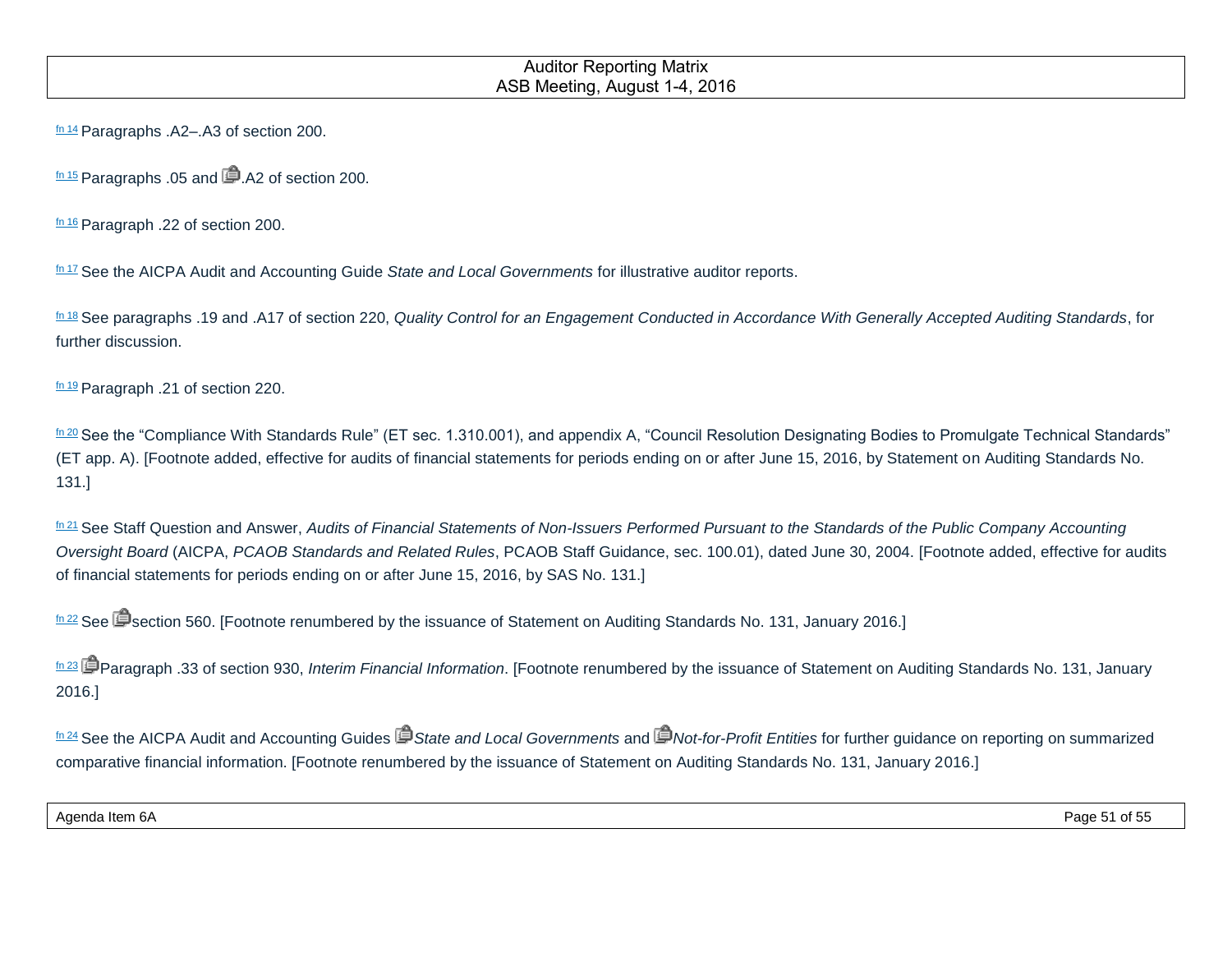[fn 14](https://publication.cpa2biz.com/content/link/ps/ad_700#ad_700_fn14) Paragraphs .A2-.A3 of section 200.

 $\frac{4n}{15}$  Paragraphs .05 and  $\hat{=}$  A2 of section 200.

[fn 16](https://publication.cpa2biz.com/content/link/ps/ad_700#ad_700_fn16) Paragraph .22 of section 200.

[fn 17](https://publication.cpa2biz.com/content/link/ps/ad_700#ad_700_fn17) See the AICPA Audit and Accounting Guide *State and Local Governments* for illustrative auditor reports.

[fn 18](https://publication.cpa2biz.com/content/link/ps/ad_700#ad_700_fn18) See paragraphs .19 and .A17 of section 220, *Quality Control for an Engagement Conducted in Accordance With Generally Accepted Auditing Standards*, for further discussion.

 $\frac{fn 19}{n}$  $\frac{fn 19}{n}$  $\frac{fn 19}{n}$  Paragraph .21 of section 220.

fin 20 See the "Compliance With Standards Rule" (ET sec. 1.310.001), and appendix A, "Council Resolution Designating Bodies to Promulgate Technical Standards" (ET app. A). [Footnote added, effective for audits of financial statements for periods ending on or after June 15, 2016, by Statement on Auditing Standards No. 131.]

[fn 21](https://publication.cpa2biz.com/content/link/ps/ad_700#ad_700_fn21) See Staff Question and Answer, *Audits of Financial Statements of Non-Issuers Performed Pursuant to the Standards of the Public Company Accounting Oversight Board* (AICPA, *PCAOB Standards and Related Rules*, PCAOB Staff Guidance, sec. 100.01), dated June 30, 2004. [Footnote added, effective for audits of financial statements for periods ending on or after June 15, 2016, by SAS No. 131.]

 $\frac{fn}{22}$  See section 560. [Footnote renumbered by the issuance of Statement on Auditing Standards No. 131, January 2016.]

[fn 23](https://publication.cpa2biz.com/content/link/ps/ad_700#ad_700_fn23) Paragraph .33 of section 930, *Interim Financial Information*. [Footnote renumbered by the issuance of Statement on Auditing Standards No. 131, January 2016.]

[fn 24](https://publication.cpa2biz.com/content/link/ps/ad_700#ad_700_fn24) See the AICPA Audit and Accounting Guides *State and Local Governments* and *Not-for-Profit Entities* for further guidance on reporting on summarized comparative financial information. [Footnote renumbered by the issuance of Statement on Auditing Standards No. 131, January 2016.]

Agenda Item 6A Page 51 of 55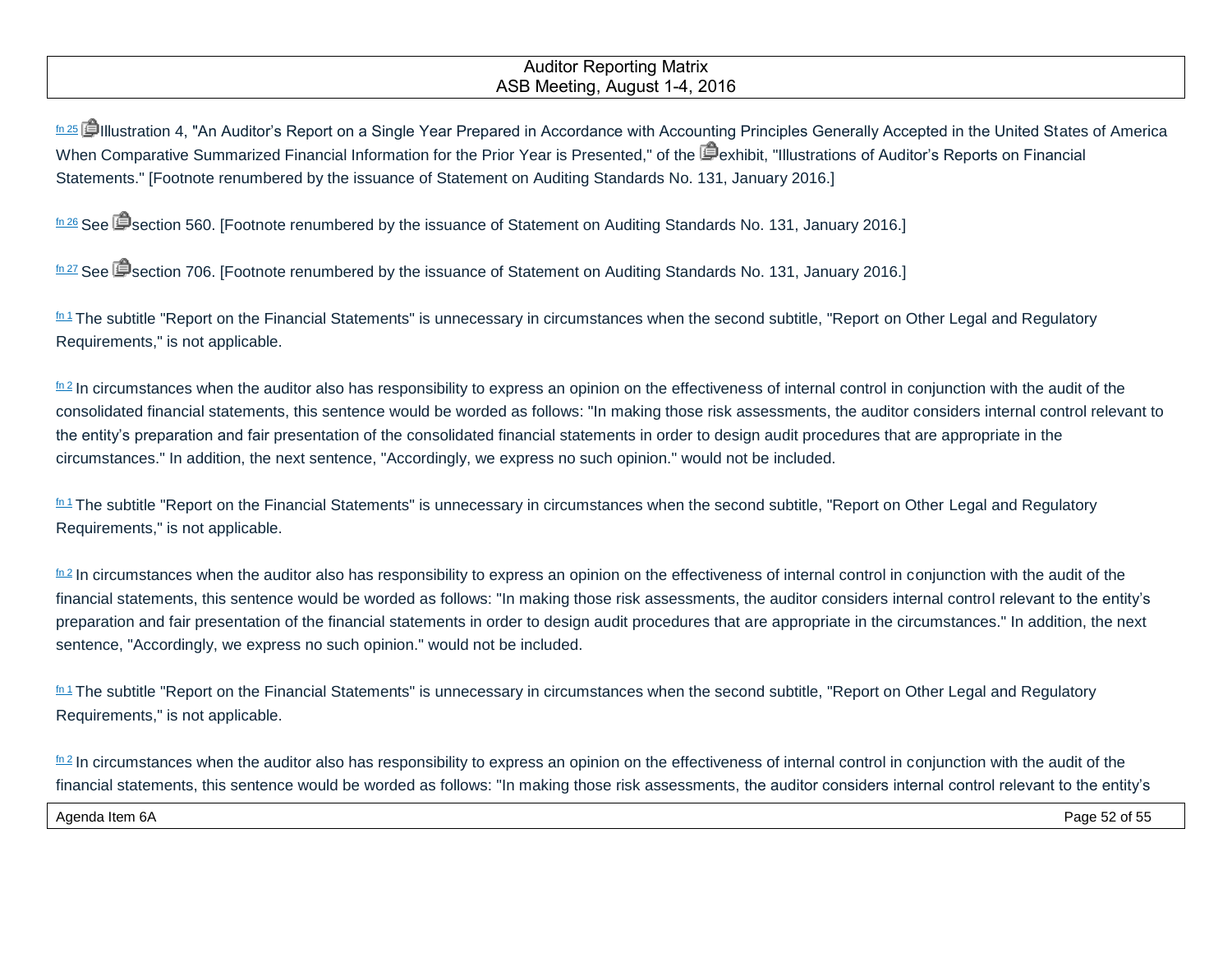fin 25 **| Illustration 4. "An Auditor's Report on a Single Year Prepared in Accordance with Accounting Principles Generally Accepted in the United States of America** When Comparative Summarized Financial Information for the Prior Year is Presented," of the **Pexhibit, "Illustrations of Auditor's Reports on Financial** Statements." [Footnote renumbered by the issuance of Statement on Auditing Standards No. 131, January 2016.]

[fn 26](https://publication.cpa2biz.com/content/link/ps/ad_700#ad_700_fn26) See section 560. [Footnote renumbered by the issuance of Statement on Auditing Standards No. 131, January 2016.]

 $\frac{f_{\text{m}}$  27 See  $\hat{p}$  section 706. [Footnote renumbered by the issuance of Statement on Auditing Standards No. 131, January 2016.]

 $\frac{fn1}{n}$ The subtitle "Report on the Financial Statements" is unnecessary in circumstances when the second subtitle, "Report on Other Legal and Regulatory Requirements," is not applicable.

 $\frac{fn2}{n}$  In circumstances when the auditor also has responsibility to express an opinion on the effectiveness of internal control in conjunction with the audit of the consolidated financial statements, this sentence would be worded as follows: "In making those risk assessments, the auditor considers internal control relevant to the entity's preparation and fair presentation of the consolidated financial statements in order to design audit procedures that are appropriate in the circumstances." In addition, the next sentence, "Accordingly, we express no such opinion." would not be included.

 $\frac{fn1}{n}$ The subtitle "Report on the Financial Statements" is unnecessary in circumstances when the second subtitle, "Report on Other Legal and Regulatory Requirements," is not applicable.

 $\frac{fn2}{n}$  In circumstances when the auditor also has responsibility to express an opinion on the effectiveness of internal control in conjunction with the audit of the financial statements, this sentence would be worded as follows: "In making those risk assessments, the auditor considers internal control relevant to the entity's preparation and fair presentation of the financial statements in order to design audit procedures that are appropriate in the circumstances." In addition, the next sentence, "Accordingly, we express no such opinion." would not be included.

 $\frac{f_{\text{m}}}{f}$  The subtitle "Report on the Financial Statements" is unnecessary in circumstances when the second subtitle, "Report on Other Legal and Regulatory Requirements," is not applicable.

 $m \ge 1$ n circumstances when the auditor also has responsibility to express an opinion on the effectiveness of internal control in conjunction with the audit of the financial statements, this sentence would be worded as follows: "In making those risk assessments, the auditor considers internal control relevant to the entity's

Agenda Item 6A Page 52 of 55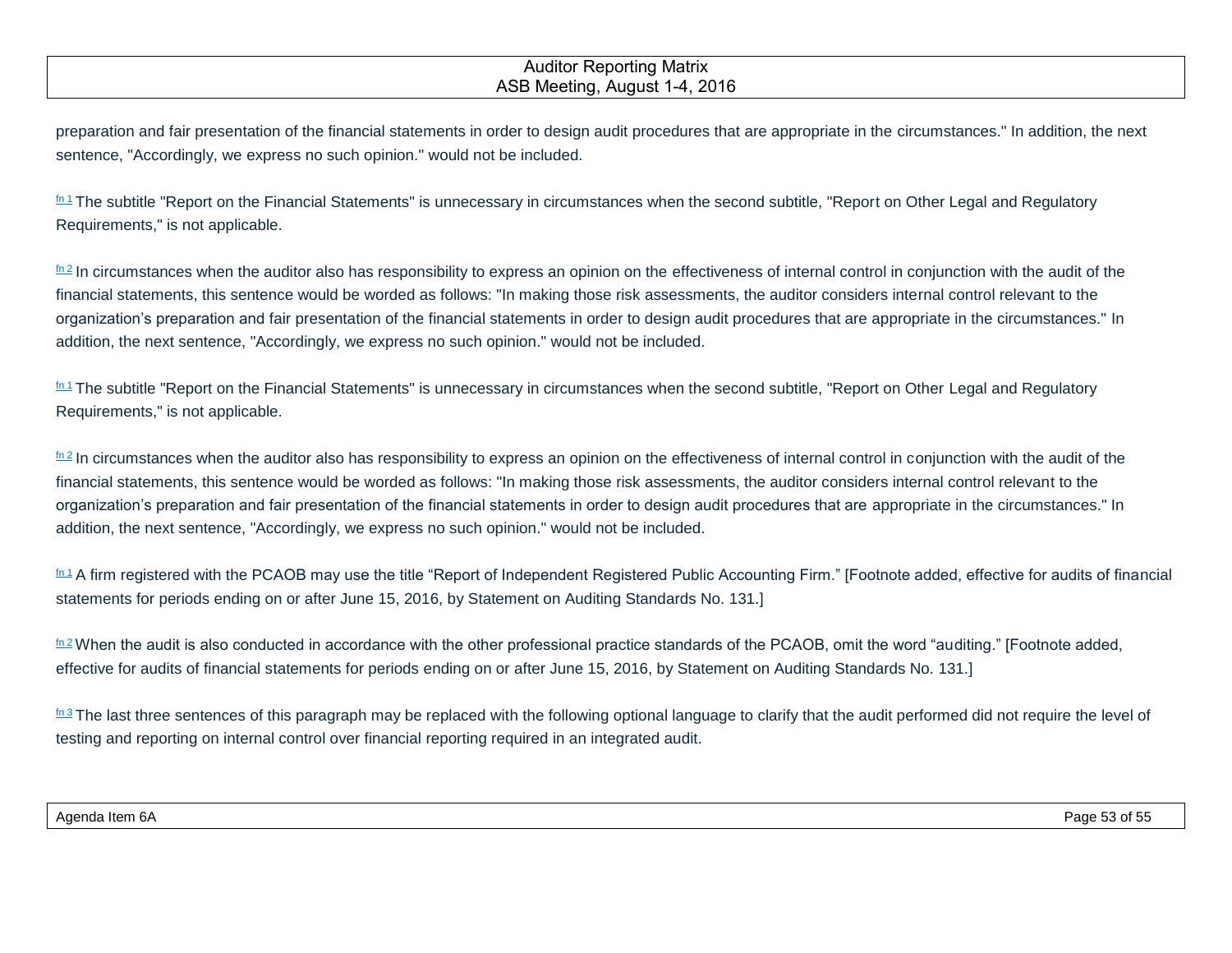preparation and fair presentation of the financial statements in order to design audit procedures that are appropriate in the circumstances." In addition, the next sentence, "Accordingly, we express no such opinion." would not be included.

 $\frac{fn1}{n}$ The subtitle "Report on the Financial Statements" is unnecessary in circumstances when the second subtitle, "Report on Other Legal and Regulatory Requirements," is not applicable.

 $\frac{fn2}{n}$  In circumstances when the auditor also has responsibility to express an opinion on the effectiveness of internal control in conjunction with the audit of the financial statements, this sentence would be worded as follows: "In making those risk assessments, the auditor considers internal control relevant to the organization's preparation and fair presentation of the financial statements in order to design audit procedures that are appropriate in the circumstances." In addition, the next sentence, "Accordingly, we express no such opinion." would not be included.

 $\frac{fn}{1}$ The subtitle "Report on the Financial Statements" is unnecessary in circumstances when the second subtitle, "Report on Other Legal and Regulatory Requirements," is not applicable.

 $\frac{m}{2}$  In circumstances when the auditor also has responsibility to express an opinion on the effectiveness of internal control in conjunction with the audit of the financial statements, this sentence would be worded as follows: "In making those risk assessments, the auditor considers internal control relevant to the organization's preparation and fair presentation of the financial statements in order to design audit procedures that are appropriate in the circumstances." In addition, the next sentence, "Accordingly, we express no such opinion." would not be included.

 $\frac{fn1}{n}$ A firm registered with the PCAOB may use the title "Report of Independent Registered Public Accounting Firm." [Footnote added, effective for audits of financial statements for periods ending on or after June 15, 2016, by Statement on Auditing Standards No. 131.]

 $\frac{fn2}{}$ When the audit is also conducted in accordance with the other professional practice standards of the PCAOB, omit the word "auditing." [Footnote added, effective for audits of financial statements for periods ending on or after June 15, 2016, by Statement on Auditing Standards No. 131.]

 $\frac{f_{\text{m}}}{2}$  The last three sentences of this paragraph may be replaced with the following optional language to clarify that the audit performed did not require the level of testing and reporting on internal control over financial reporting required in an integrated audit.

Agenda Item 6A Page 53 of 55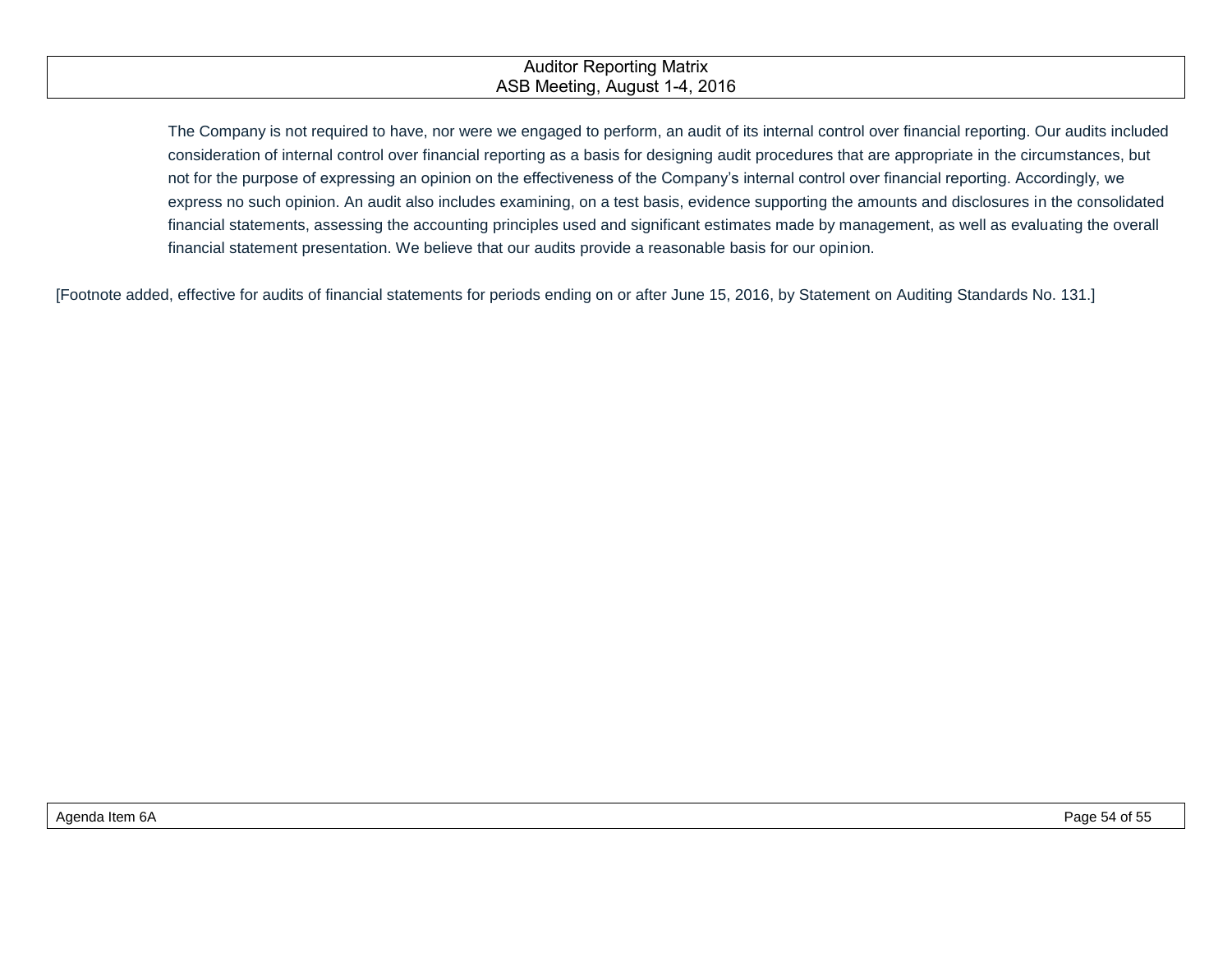The Company is not required to have, nor were we engaged to perform, an audit of its internal control over financial reporting. Our audits included consideration of internal control over financial reporting as a basis for designing audit procedures that are appropriate in the circumstances, but not for the purpose of expressing an opinion on the effectiveness of the Company's internal control over financial reporting. Accordingly, we express no such opinion. An audit also includes examining, on a test basis, evidence supporting the amounts and disclosures in the consolidated financial statements, assessing the accounting principles used and significant estimates made by management, as well as evaluating the overall financial statement presentation. We believe that our audits provide a reasonable basis for our opinion.

[Footnote added, effective for audits of financial statements for periods ending on or after June 15, 2016, by Statement on Auditing Standards No. 131.]

Agenda Item 6A Page 54 of 55